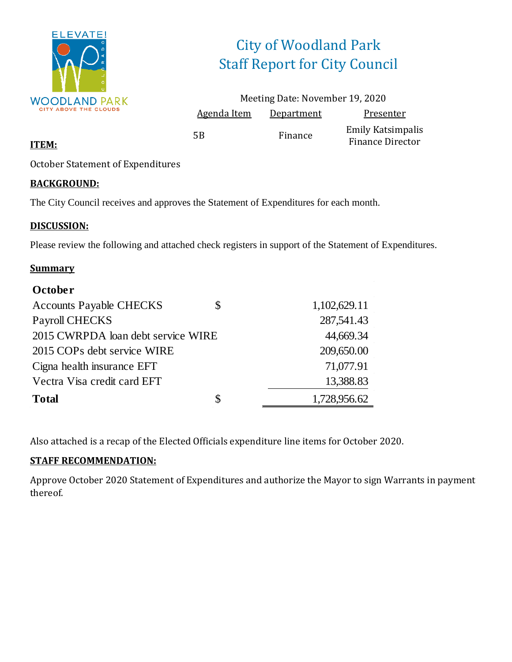

# City of Woodland Park Staff Report for City Council

|                    | Meeting Date: November 19, 2020 |                                                     |
|--------------------|---------------------------------|-----------------------------------------------------|
| <b>Agenda Item</b> | Department                      | Presenter                                           |
| 5Β                 | Finance                         | <b>Emily Katsimpalis</b><br><b>Finance Director</b> |

#### **ITEM:**

October Statement of Expenditures

#### **BACKGROUND:**

The City Council receives and approves the Statement of Expenditures for each month.

#### **DISCUSSION:**

Please review the following and attached check registers in support of the Statement of Expenditures.

#### **Summary**

| October                            |                    |
|------------------------------------|--------------------|
| <b>Accounts Payable CHECKS</b>     | \$<br>1,102,629.11 |
| Payroll CHECKS                     | 287,541.43         |
| 2015 CWRPDA loan debt service WIRE | 44,669.34          |
| 2015 COPs debt service WIRE        | 209,650.00         |
| Cigna health insurance EFT         | 71,077.91          |
| Vectra Visa credit card EFT        | 13,388.83          |
| <b>Total</b>                       | \$<br>1,728,956.62 |

Also attached is a recap of the Elected Officials expenditure line items for October 2020.

#### **STAFF RECOMMENDATION:**

Approve October 2020 Statement of Expenditures and authorize the Mayor to sign Warrants in payment thereof.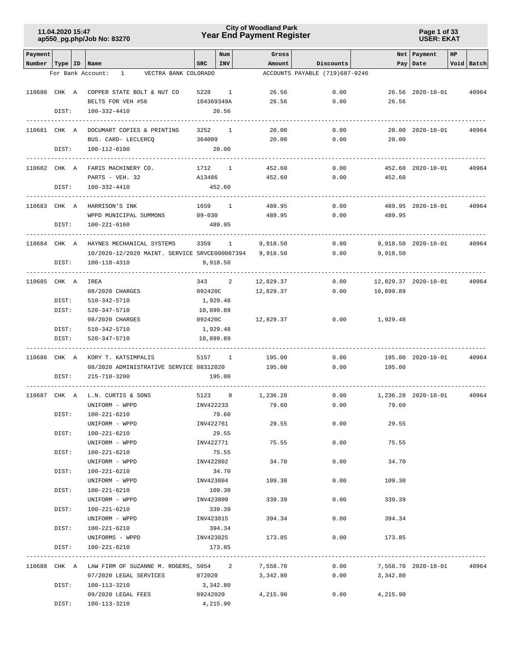### **Year End Payment Register City of Woodland Park 11.04.2020 15:47**

#### **Page 1 of 33 USER: EKAT**

| Payment                   |       |                                                        |                     | Num          | Gross             |                                |                | Net   Payment        | HP |            |
|---------------------------|-------|--------------------------------------------------------|---------------------|--------------|-------------------|--------------------------------|----------------|----------------------|----|------------|
| Number   Type   ID   Name |       |                                                        | SRC                 | INV          | Amount            | <b>Discounts</b>               |                | Pay Date             |    | Void Batch |
|                           |       | For Bank Account: 1 VECTRA BANK COLORADO               |                     |              |                   | ACCOUNTS PAYABLE (719)687-9246 |                |                      |    |            |
|                           |       |                                                        |                     |              |                   |                                |                |                      |    |            |
|                           |       | 110680 CHK A COPPER STATE BOLT & NUT CO                | 5228 1              |              | 26.56             | 0.00                           |                | 26.56 2020-10-01     |    | 40964      |
|                           |       | BELTS FOR VEH #56                                      | 104369349A          |              | 26.56             | 0.00                           | 26.56          |                      |    |            |
|                           | DIST: | 100-332-4410                                           |                     | 26.56        |                   |                                |                |                      |    |            |
|                           |       |                                                        |                     |              |                   |                                |                |                      |    |            |
|                           |       | 110681 CHK A DOCUMART COPIES & PRINTING                | 3252                | $\mathbf{1}$ | 20.00             | 0.00                           |                | 20.00 2020-10-01     |    | 40964      |
|                           |       | BUS. CARD- LECLERCQ                                    | 364009              |              | 20.00             | 0.00                           | 20.00          |                      |    |            |
|                           | DIST: | 100-112-6100                                           |                     | 20.00        |                   |                                |                |                      |    |            |
|                           |       | 110682 CHK A FARIS MACHINERY CO.                       | 1712 1              |              | 452.60            | 0.00                           |                | 452.60 2020-10-01    |    | 40964      |
|                           |       | PARTS - VEH. 32                                        | A13486              |              | 452.60            | 0.00                           | 452.60         |                      |    |            |
|                           | DIST: | 100-332-4410                                           |                     | 452.60       |                   |                                |                |                      |    |            |
|                           |       |                                                        |                     |              |                   |                                |                |                      |    |            |
| 110683 CHK A              |       | HARRISON'S INK                                         | 1659 1              |              | 489.95            | 0.00                           |                | 489.95 2020-10-01    |    | 40964      |
|                           |       | WPPD MUNICIPAL SUMMONS                                 | $09 - 030$          |              | 489.95            | 0.00                           | 489.95         |                      |    |            |
|                           | DIST: | 100-221-6160                                           |                     | 489.95       |                   |                                |                |                      |    |            |
|                           |       |                                                        |                     |              |                   |                                |                |                      |    |            |
| 110684 CHK A              |       | HAYNES MECHANICAL SYSTEMS                              |                     | 3359 1       | 9,918.50          | 0.00                           |                | 9,918.50 2020-10-01  |    | 40964      |
|                           |       | 10/2020-12/2020 MAINT. SERVICE SRVCE000087394 9,918.50 |                     |              |                   | 0.00                           | 9,918.50       |                      |    |            |
|                           | DIST: | 100-118-4310                                           | 9,918.50            |              |                   |                                |                |                      |    |            |
|                           |       | ----------------                                       |                     |              |                   |                                |                |                      |    |            |
| 110685 CHK A              |       | IREA                                                   |                     | 343 2        | 12,829.37         | 0.00                           |                | 12,829.37 2020-10-01 |    | 40964      |
|                           |       | 08/2020 CHARGES                                        |                     |              | 092420C 12,829.37 | 0.00                           | 10,899.89      |                      |    |            |
|                           | DIST: | 510-342-5710                                           | 1,929.48            |              |                   |                                |                |                      |    |            |
|                           | DIST: | 520-347-5710                                           | 10,899.89           |              |                   | 0.00                           |                |                      |    |            |
|                           | DIST: | 08/2020 CHARGES<br>510-342-5710                        | 092420C<br>1,929.48 |              | 12,829.37         |                                | 1,929.48       |                      |    |            |
|                           | DIST: | 520-347-5710                                           | 10,899.89           |              |                   |                                |                |                      |    |            |
|                           |       |                                                        |                     |              |                   |                                |                |                      |    |            |
| 110686 CHK A              |       | KORY T. KATSIMPALIS                                    |                     | 5157 1       | 195.00            | 0.00                           |                | 195.00 2020-10-01    |    | 40964      |
|                           |       | 08/2020 ADMINISTRATIVE SERVICE 08312020 195.00         |                     |              |                   | 0.00                           | 195.00         |                      |    |            |
|                           | DIST: | 215-710-3200                                           |                     | 195.00       |                   |                                |                |                      |    |            |
|                           |       |                                                        |                     |              |                   |                                |                |                      |    |            |
| 110687 CHK A              |       | L.N. CURTIS & SONS                                     | 5123 8              |              | 1,236.28          | 0.00                           |                | 1,236.28 2020-10-01  |    | 40964      |
|                           |       | UNIFORM - WPPD                                         | INV422233           |              | 79.60             | 0.00                           | 79.60          |                      |    |            |
|                           | DIST: | 100-221-6210                                           |                     | 79.60        |                   |                                |                |                      |    |            |
|                           |       | UNIFORM - WPPD                                         | INV422761           |              | 29.55             | 0.00                           | 29.55          |                      |    |            |
|                           | DIST: | 100-221-6210                                           |                     | 29.55        |                   |                                |                |                      |    |            |
|                           |       | UNIFORM - WPPD                                         | INV422771           |              | 75.55             | 0.00                           | 75.55          |                      |    |            |
|                           | DIST: | 100-221-6210                                           |                     | 75.55        |                   |                                |                |                      |    |            |
|                           |       | UNIFORM - WPPD                                         | INV422802           |              | 34.70             | 0.00                           | 34.70          |                      |    |            |
|                           | DIST: | 100-221-6210                                           |                     | 34.70        |                   |                                |                |                      |    |            |
|                           |       | UNIFORM - WPPD                                         | INV423804           |              | 109.30            | 0.00                           | 109.30         |                      |    |            |
|                           | DIST: | 100-221-6210                                           |                     | 109.30       |                   |                                |                |                      |    |            |
|                           |       | UNIFORM - WPPD<br>100-221-6210                         | INV423809           | 339.39       | 339.39            | 0.00                           | 339.39         |                      |    |            |
|                           | DIST: | UNIFORM - WPPD                                         | INV423815           |              | 394.34            | 0.00                           | 394.34         |                      |    |            |
|                           | DIST: | 100-221-6210                                           |                     | 394.34       |                   |                                |                |                      |    |            |
|                           |       | UNIFORMS - WPPD                                        |                     |              | INV423825 173.85  |                                | 0.00<br>173.85 |                      |    |            |
|                           | DIST: | 100-221-6210                                           |                     | 173.85       |                   |                                |                |                      |    |            |
|                           |       |                                                        |                     |              |                   |                                |                |                      |    |            |
|                           |       | 110688 CHK A LAW FIRM OF SUZANNE M. ROGERS, 5054 2     |                     |              | 7,558.70          | 0.00                           |                | 7,558.70 2020-10-01  |    | 40964      |
|                           |       | 07/2020 LEGAL SERVICES                                 | 072020              |              | 3,342.80          | 0.00                           | 3,342.80       |                      |    |            |
|                           | DIST: | 100-113-3210                                           | 3,342.80            |              |                   |                                |                |                      |    |            |
|                           |       | 09/2020 LEGAL FEES                                     | 09242020            |              | 4,215.90          | 0.00                           | 4,215.90       |                      |    |            |
|                           | DIST: | 100-113-3210                                           | 4,215.90            |              |                   |                                |                |                      |    |            |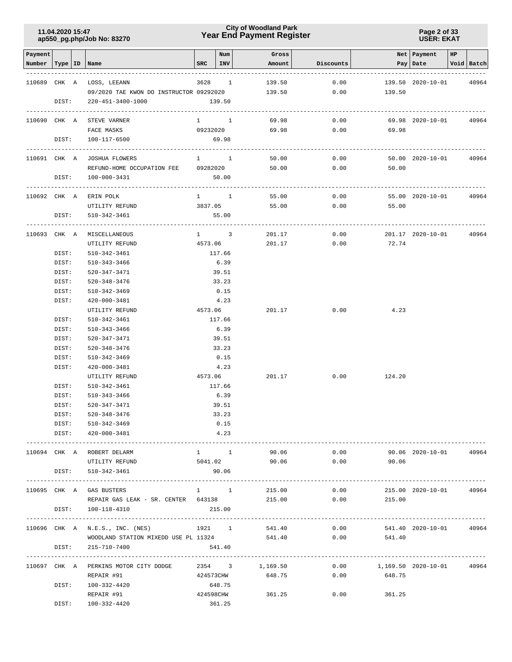### **Year End Payment Register City of Woodland Park 11.04.2020 15:47**

**Page 2 of 33 USER: EKAT**

| Payment |                |    |                                                                                            |                     | Num            | Gross               |                                  |                     | Net Payment       | HP             |            |
|---------|----------------|----|--------------------------------------------------------------------------------------------|---------------------|----------------|---------------------|----------------------------------|---------------------|-------------------|----------------|------------|
| Number  | Type           | ID | Name                                                                                       | SRC                 | INV            | Amount              | Discounts                        |                     | Pay   Date        |                | Void Batch |
|         |                |    | 110689 CHK A LOSS, LEEANN                                                                  | 3628 1              |                | 139.50              | 0.00                             |                     | 139.50 2020-10-01 |                | 40964      |
|         |                |    | 09/2020 TAE KWON DO INSTRUCTOR 09292020                                                    |                     |                | 139.50              | 0.00                             | 139.50              |                   |                |            |
|         | DIST:          |    | 220-451-3400-1000                                                                          |                     | 139.50         |                     |                                  |                     |                   |                |            |
|         |                |    | ----------------------------<br>-----------------------------<br>110690 CHK A STEVE VARNER | $1 \quad 1$         |                | 69.98               | 0.00                             |                     | 69.98 2020-10-01  |                | 40964      |
|         |                |    | FACE MASKS                                                                                 | 09232020            |                | 69.98               | 0.00                             | 69.98               |                   |                |            |
|         | DIST:          |    | 100-117-6500                                                                               |                     | 69.98          |                     |                                  |                     |                   |                |            |
|         |                |    | 110691 CHK A JOSHUA FLOWERS                                                                | $1 \quad 1$         |                | 50.00               | 0.00                             |                     | 50.00 2020-10-01  |                | 40964      |
|         |                |    | REFUND-HOME OCCUPATION FEE 09282020                                                        |                     |                | 50.00               | 0.00                             | 50.00               |                   |                |            |
|         |                |    | DIST: 100-000-3431                                                                         |                     | 50.00          |                     |                                  |                     |                   |                |            |
|         |                |    | 110692 CHK A ERIN POLK                                                                     | $1 \quad 1 \quad$   |                | 55.00               | 0.00                             |                     | 55.00 2020-10-01  |                | 40964      |
|         |                |    | UTILITY REFUND                                                                             | 3837.05             |                | 55.00               |                                  | $0.00$ 55.00        |                   |                |            |
|         |                |    | DIST: 510-342-3461                                                                         |                     | 55.00          |                     |                                  |                     |                   |                |            |
|         |                |    | 110693 CHK A MISCELLANEOUS                                                                 | $1 \quad 3$         |                | 201.17              | 0.00                             |                     | 201.17 2020-10-01 |                | 40964      |
|         |                |    | UTILITY REFUND                                                                             | 4573.06             |                | 201.17              | 0.00                             | 72.74               |                   |                |            |
|         | DIST:          |    | 510-342-3461                                                                               |                     | 117.66         |                     |                                  |                     |                   |                |            |
|         | DIST:          |    | 510-343-3466                                                                               |                     | 6.39           |                     |                                  |                     |                   |                |            |
|         | DIST:          |    | 520-347-3471                                                                               |                     | 39.51          |                     |                                  |                     |                   |                |            |
|         | DIST:          |    | 520-348-3476                                                                               |                     | 33.23          |                     |                                  |                     |                   |                |            |
|         | DIST:          |    | 510-342-3469                                                                               |                     | 0.15           |                     |                                  |                     |                   |                |            |
|         | DIST:          |    | 420-000-3481                                                                               |                     | 4.23           |                     |                                  |                     |                   |                |            |
|         |                |    | UTILITY REFUND                                                                             | 4573.06             |                | 201.17              | 0.00                             | 4.23                |                   |                |            |
|         | DIST:          |    | 510-342-3461                                                                               |                     | 117.66         |                     |                                  |                     |                   |                |            |
|         | DIST:          |    | 510-343-3466                                                                               |                     | 6.39           |                     |                                  |                     |                   |                |            |
|         | DIST:          |    | 520-347-3471                                                                               |                     | 39.51          |                     |                                  |                     |                   |                |            |
|         | DIST:          |    | 520-348-3476                                                                               |                     | 33.23          |                     |                                  |                     |                   |                |            |
|         | DIST:          |    | 510-342-3469                                                                               |                     | 0.15           |                     |                                  |                     |                   |                |            |
|         | DIST:          |    | 420-000-3481                                                                               |                     | 4.23           |                     |                                  |                     |                   |                |            |
|         |                |    | UTILITY REFUND                                                                             | 4573.06             |                | 201.17              | 0.00                             | 124.20              |                   |                |            |
|         | DIST:<br>DIST: |    | 510-342-3461<br>510-343-3466                                                               |                     | 117.66<br>6.39 |                     |                                  |                     |                   |                |            |
|         | DIST:          |    | 520-347-3471                                                                               |                     | 39.51          |                     |                                  |                     |                   |                |            |
|         | DIST:          |    | 520-348-3476                                                                               |                     | 33.23          |                     |                                  |                     |                   |                |            |
|         |                |    | DIST: 510-342-3469                                                                         |                     | 0.15           |                     |                                  |                     |                   |                |            |
|         |                |    | DIST: 420-000-3481                                                                         |                     | 4.23           |                     |                                  |                     |                   |                |            |
|         |                |    | 110694 CHK A ROBERT DELARM                                                                 |                     |                | $1 \quad 1 \quad 1$ | 90.06                            | 0.00                | 90.06 2020-10-01  |                | 40964      |
|         |                |    | UTILITY REFUND                                                                             |                     |                |                     | $5041.02$ $90.06$ $0.00$ $90.06$ |                     |                   |                |            |
|         |                |    | DIST: 510-342-3461                                                                         |                     | 90.06          |                     |                                  |                     |                   |                |            |
|         |                |    | 110695 CHK A GAS BUSTERS                                                                   | $1 \quad 1$         |                | 215.00              | 0.00                             |                     | 215.00 2020-10-01 |                | 40964      |
|         |                |    | REPAIR GAS LEAK - SR. CENTER 643138                                                        |                     |                | 215.00              | 0.00                             | 215.00              |                   |                |            |
|         |                |    | DIST: 100-118-4310                                                                         | 215.00              |                |                     |                                  |                     |                   |                |            |
|         |                |    |                                                                                            |                     |                |                     |                                  |                     |                   |                |            |
|         |                |    | 110696 CHK A N.E.S., INC. (NES)<br>WOODLAND STATION MIXEDD USE PL $11324$ 541.40 0.00      |                     |                |                     | 1921 1 541.40 0.00               | 541.40              | 541.40 2020-10-01 |                | 40964      |
|         | DIST:          |    | 215-710-7400                                                                               |                     | 541.40         |                     |                                  |                     |                   |                |            |
|         |                |    |                                                                                            |                     |                |                     |                                  |                     |                   | -------------- |            |
|         |                |    | 110697 CHK A PERKINS MOTOR CITY DODGE                                                      | 2354 3              |                | 1,169.50            | 0.00                             | 1,169.50 2020-10-01 |                   |                | 40964      |
|         |                |    | REPAIR #91                                                                                 | 424573CHW           |                | 648.75              | 0.00                             | 648.75              |                   |                |            |
|         | DIST:          |    | 100-332-4420<br>REPAIR #91                                                                 | 648.75<br>424598CHW |                | 361.25              | 0.00                             | 361.25              |                   |                |            |
|         | DIST:          |    | 100-332-4420                                                                               |                     | 361.25         |                     |                                  |                     |                   |                |            |
|         |                |    |                                                                                            |                     |                |                     |                                  |                     |                   |                |            |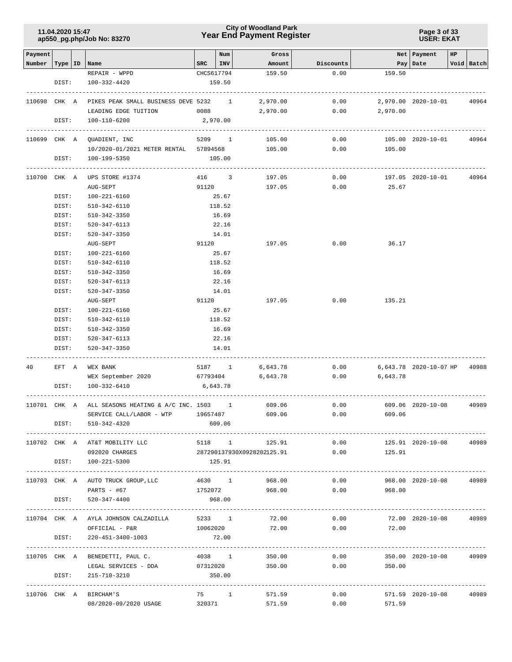### **Year End Payment Register City of Woodland Park 11.04.2020 15:47**

**Page 3 of 33 USER: EKAT**

| Payment            |       |                                                   |                | Num    | Gross                      |              |                | Net   Payment                               | HP |            |
|--------------------|-------|---------------------------------------------------|----------------|--------|----------------------------|--------------|----------------|---------------------------------------------|----|------------|
| Number   Type   ID |       | Name                                              | $_{\rm SRC}$   | INV    | Amount                     | Discounts    |                | Pay Date                                    |    | Void Batch |
|                    |       | REPAIR - WPPD                                     | CHCS617794     |        | 159.50                     | 0.00         | 159.50         |                                             |    |            |
|                    | DIST: | 100-332-4420                                      |                | 159.50 |                            |              |                |                                             |    |            |
| 110698 CHK A       |       | PIKES PEAK SMALL BUSINESS DEVE 5232 1             |                |        | 2,970.00                   | 0.00         |                | 2,970.00 2020-10-01                         |    | 40964      |
|                    |       | LEADING EDGE TUITION                              | 0088 000       |        | 2,970.00                   | 0.00         | 2,970.00       |                                             |    |            |
|                    | DIST: | 100-110-6200                                      | 2,970.00       |        |                            |              |                |                                             |    |            |
|                    |       |                                                   |                |        |                            |              |                |                                             |    |            |
|                    |       | 110699 CHK A QUADIENT, INC                        | 5209 1         |        | 105.00                     | 0.00         |                | 105.00 2020-10-01                           |    | 40964      |
|                    |       | 10/2020-01/2021 METER RENTAL 57894568 105.00      |                |        |                            | 0.00         | 105.00         |                                             |    |            |
|                    | DIST: | 100-199-5350                                      |                | 105.00 |                            |              |                |                                             |    |            |
|                    |       |                                                   |                |        |                            |              |                | 197.05 2020-10-01                           |    |            |
| 110700 CHK A       |       | UPS STORE #1374<br>AUG-SEPT                       | 416 3<br>91120 |        | 197.05<br>197.05           | 0.00<br>0.00 | 25.67          |                                             |    | 40964      |
|                    | DIST: | 100-221-6160                                      |                | 25.67  |                            |              |                |                                             |    |            |
|                    | DIST: | 510-342-6110                                      |                | 118.52 |                            |              |                |                                             |    |            |
|                    | DIST: | 510-342-3350                                      |                | 16.69  |                            |              |                |                                             |    |            |
|                    | DIST: | 520-347-6113                                      |                | 22.16  |                            |              |                |                                             |    |            |
|                    | DIST: | 520-347-3350                                      |                | 14.01  |                            |              |                |                                             |    |            |
|                    |       | AUG-SEPT                                          | 91120          |        | 197.05                     | 0.00         | 36.17          |                                             |    |            |
|                    | DIST: | 100-221-6160                                      |                | 25.67  |                            |              |                |                                             |    |            |
|                    | DIST: |                                                   |                | 118.52 |                            |              |                |                                             |    |            |
|                    |       | 510-342-6110                                      |                |        |                            |              |                |                                             |    |            |
|                    | DIST: | 510-342-3350                                      |                | 16.69  |                            |              |                |                                             |    |            |
|                    | DIST: | 520-347-6113                                      |                | 22.16  |                            |              |                |                                             |    |            |
|                    | DIST: | 520-347-3350                                      |                | 14.01  |                            |              |                |                                             |    |            |
|                    |       | AUG-SEPT                                          | 91120          |        | 197.05                     | 0.00         | 135.21         |                                             |    |            |
|                    | DIST: | 100-221-6160                                      |                | 25.67  |                            |              |                |                                             |    |            |
|                    | DIST: | 510-342-6110                                      |                | 118.52 |                            |              |                |                                             |    |            |
|                    | DIST: | 510-342-3350                                      |                | 16.69  |                            |              |                |                                             |    |            |
|                    | DIST: | 520-347-6113                                      |                | 22.16  |                            |              |                |                                             |    |            |
|                    | DIST: | 520-347-3350                                      |                | 14.01  |                            |              |                |                                             |    |            |
| 40                 | EFT A | WEX BANK                                          | 5187 1         |        | 6,643.78                   | 0.00         |                | 6,643.78 2020-10-07 HP                      |    | 40988      |
|                    |       | WEX September 2020                                | 67793404       |        | 6,643.78                   | 0.00         | 6,643.78       |                                             |    |            |
|                    | DIST: | 100-332-6410                                      | 6,643.78       |        |                            |              |                |                                             |    |            |
| 110701 CHK A       |       | ALL SEASONS HEATING & A/C INC. 1503 1             |                |        | 609.06                     | 0.00         |                | 609.06 2020-10-08                           |    | 40989      |
|                    |       | SERVICE CALL/LABOR - WTP                          | 19657487       |        | 609.06                     | 0.00         | 609.06         |                                             |    |            |
|                    | DIST: | 510-342-4320                                      |                | 609.06 |                            |              |                |                                             |    |            |
|                    |       |                                                   |                |        |                            |              |                |                                             |    |            |
|                    |       | 110702 CHK A AT&T MOBILITY LLC                    |                |        | 5118 1<br>125.91           | 0.00         |                | 125.91 2020-10-08                           |    | 40989      |
|                    |       | 092020 CHARGES                                    |                |        | 287290137930X0928202125.91 | 0.00         | 125.91         |                                             |    |            |
|                    |       | DIST: 100-221-5300                                |                | 125.91 |                            |              |                |                                             |    |            |
|                    |       |                                                   |                |        | 4630 1                     | 0.00         |                | 968.00 2020-10-08                           |    | 40989      |
|                    |       | 110703 CHK A AUTO TRUCK GROUP, LLC<br>PARTS - #67 | 1752072        |        | 968.00<br>968.00           |              | 0.00<br>968.00 |                                             |    |            |
|                    | DIST: | 520-347-4400                                      |                | 968.00 |                            |              |                |                                             |    |            |
|                    |       |                                                   |                |        |                            |              |                | ----------------------                      |    |            |
|                    |       | 110704 CHK A AYLA JOHNSON CALZADILLA 5233 1       |                |        | 72.00                      | 0.00         |                | 72.00 2020-10-08                            |    | 40989      |
|                    |       | 10062020<br>OFFICIAL - P&R                        |                |        | 72.00                      | 0.00         | 72.00          |                                             |    |            |
|                    | DIST: | 220-451-3400-1003                                 |                | 72.00  |                            |              |                |                                             |    |            |
|                    |       | 110705 CHK A BENEDETTI, PAUL C.                   | 4038 1         |        | 350.00                     | 0.00         |                | ----------------------<br>350.00 2020-10-08 |    | 40989      |
|                    |       | LEGAL SERVICES - DDA                              |                |        | 07312020 350.00            |              | 0.00<br>350.00 |                                             |    |            |
|                    | DIST: | 215-710-3210                                      |                | 350.00 |                            |              |                |                                             |    |            |
|                    |       |                                                   |                |        |                            |              |                |                                             |    |            |
|                    |       | 110706 CHK A BIRCHAM'S                            | 75 1           |        | 571.59                     | 0.00         |                | 571.59 2020-10-08                           |    | 40989      |
|                    |       | 08/2020-09/2020 USAGE                             | 320371         |        | 571.59                     | 0.00         | 571.59         |                                             |    |            |
|                    |       |                                                   |                |        |                            |              |                |                                             |    |            |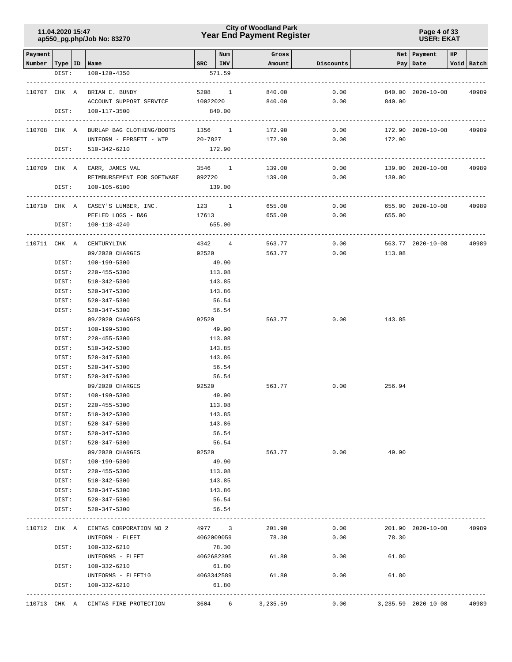### **Year End Payment Register City of Woodland Park 11.04.2020 15:47**

**Page 4 of 33 USER: EKAT**

| Payment                   |                |                                                                      |                       | Num                    | Gross    |           |        | Net   Payment       | HP |            |
|---------------------------|----------------|----------------------------------------------------------------------|-----------------------|------------------------|----------|-----------|--------|---------------------|----|------------|
| Number   Type   ID   Name |                |                                                                      |                       | $SRC$   INV            | Amount   | Discounts |        | Pay   Date          |    | Void Batch |
|                           | DIST:          | 100-120-4350                                                         |                       | 571.59                 |          |           |        |                     |    |            |
| 110707 CHK A              |                | BRIAN E. BUNDY                                                       |                       | 5208 1                 | 840.00   | 0.00      |        | 840.00 2020-10-08   |    | 40989      |
|                           |                | ACCOUNT SUPPORT SERVICE 10022020                                     |                       |                        | 840.00   | 0.00      | 840.00 |                     |    |            |
|                           | DIST:          | 100-117-3500                                                         |                       | 840.00                 |          |           |        |                     |    |            |
|                           | ---------      | -----------<br>110708 CHK A BURLAP BAG CLOTHING/BOOTS                | -----------           | 1356 1                 | 172.90   | 0.00      |        | 172.90 2020-10-08   |    | 40989      |
|                           |                | UNIFORM - FPRSETT - WTP                                              |                       | 20-7827                | 172.90   | 0.00      | 172.90 |                     |    |            |
|                           | DIST:          | 510-342-6210                                                         |                       | 172.90                 |          |           |        |                     |    |            |
|                           |                | 110709 CHK A CARR, JAMES VAL                                         | 3546 1                |                        | 139.00   | 0.00      |        | 139.00 2020-10-08   |    | 40989      |
|                           |                | REIMBURSEMENT FOR SOFTWARE 092720 139.00                             |                       |                        |          | 0.00      | 139.00 |                     |    |            |
|                           | DIST:          | 100-105-6100                                                         |                       | 139.00                 |          |           |        |                     |    |            |
|                           |                | 110710 CHK A CASEY'S LUMBER, INC.                                    |                       | 123 1                  | 655.00   | 0.00      |        | 655.00 2020-10-08   |    | 40989      |
|                           |                | PEELED LOGS - B&G                                                    | 17613                 |                        | 655.00   | 0.00      | 655.00 |                     |    |            |
|                           | DIST:          | 100-118-4240                                                         |                       | 655.00<br>------------ |          |           |        |                     |    |            |
| 110711 CHK A              |                | CENTURYLINK                                                          |                       | 4342 4                 | 563.77   | 0.00      |        | 563.77 2020-10-08   |    | 40989      |
|                           |                | 09/2020 CHARGES                                                      |                       | 92520                  | 563.77   | 0.00      | 113.08 |                     |    |            |
|                           | DIST:          | 100-199-5300                                                         |                       | 49.90                  |          |           |        |                     |    |            |
|                           | DIST:          | 220-455-5300                                                         |                       | 113.08                 |          |           |        |                     |    |            |
|                           | DIST:          | 510-342-5300                                                         |                       | 143.85                 |          |           |        |                     |    |            |
|                           | DIST:          | 520-347-5300                                                         |                       | 143.86                 |          |           |        |                     |    |            |
|                           | DIST:          | 520-347-5300                                                         |                       | 56.54                  |          |           |        |                     |    |            |
|                           | DIST:          | 520-347-5300                                                         |                       | 56.54                  |          |           |        |                     |    |            |
|                           |                | 09/2020 CHARGES                                                      | 92520                 |                        | 563.77   | 0.00      | 143.85 |                     |    |            |
|                           | DIST:          | 100-199-5300                                                         |                       | 49.90                  |          |           |        |                     |    |            |
|                           | DIST:          | 220-455-5300                                                         |                       | 113.08                 |          |           |        |                     |    |            |
|                           | DIST:          | 510-342-5300                                                         |                       | 143.85                 |          |           |        |                     |    |            |
|                           | DIST:          | 520-347-5300                                                         |                       | 143.86                 |          |           |        |                     |    |            |
|                           | DIST:<br>DIST: | 520-347-5300<br>520-347-5300                                         |                       | 56.54<br>56.54         |          |           |        |                     |    |            |
|                           |                | 09/2020 CHARGES                                                      |                       | 92520                  | 563.77   | 0.00      | 256.94 |                     |    |            |
|                           | DIST:          | 100-199-5300                                                         |                       | 49.90                  |          |           |        |                     |    |            |
|                           | DIST:          | $220 - 455 - 5300$                                                   |                       | 113.08                 |          |           |        |                     |    |            |
|                           | DIST:          | 510-342-5300                                                         |                       | 143.85                 |          |           |        |                     |    |            |
|                           | DIST:          | 520-347-5300                                                         |                       | 143.86                 |          |           |        |                     |    |            |
|                           | DIST:          | 520-347-5300                                                         |                       | 56.54                  |          |           |        |                     |    |            |
|                           | DIST:          | 520-347-5300                                                         |                       | 56.54                  |          |           |        |                     |    |            |
|                           |                | 09/2020 CHARGES                                                      |                       | 92520                  | 563.77   | 0.00      | 49.90  |                     |    |            |
|                           | DIST:          | 100-199-5300                                                         |                       | 49.90                  |          |           |        |                     |    |            |
|                           | DIST:          | 220-455-5300                                                         |                       | 113.08                 |          |           |        |                     |    |            |
|                           | DIST:          | 510-342-5300                                                         |                       | 143.85                 |          |           |        |                     |    |            |
|                           | DIST:          | 520-347-5300                                                         |                       | 143.86                 |          |           |        |                     |    |            |
|                           | DIST:          | 520-347-5300                                                         |                       | 56.54                  |          |           |        |                     |    |            |
|                           | DIST:          | 520-347-5300                                                         |                       | 56.54                  |          |           |        |                     |    |            |
|                           |                | ----------------------------<br>110712 CHK A CINTAS CORPORATION NO 2 | --------------------- | 4977 3                 | 201.90   | 0.00      |        | 201.90 2020-10-08   |    | 40989      |
|                           |                | UNIFORM - FLEET                                                      |                       | 4062009059             | 78.30    | 0.00      | 78.30  |                     |    |            |
|                           | DIST:          | 100-332-6210                                                         |                       | 78.30                  |          |           |        |                     |    |            |
|                           |                | UNIFORMS - FLEET                                                     |                       | 4062682395             | 61.80    | 0.00      | 61.80  |                     |    |            |
|                           | DIST:          | 100-332-6210                                                         |                       | 61.80                  |          |           |        |                     |    |            |
|                           |                | UNIFORMS - FLEET10                                                   |                       | 4063342589             | 61.80    | 0.00      | 61.80  |                     |    |            |
|                           | DIST:          | 100-332-6210                                                         |                       | 61.80                  |          |           |        |                     |    |            |
|                           |                | 110713 CHK A CINTAS FIRE PROTECTION                                  |                       | 3604 6                 | 3,235.59 | 0.00      |        | 3,235.59 2020-10-08 |    | 40989      |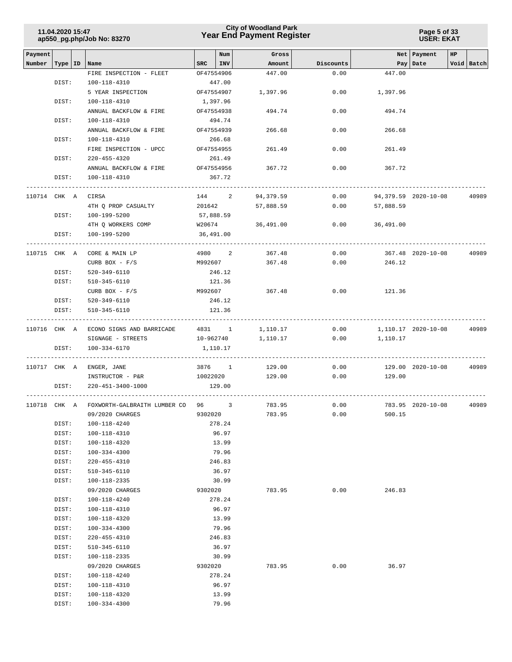| 11.04.2020 15:47           |  |
|----------------------------|--|
| ap550_pg.php/Job No: 83270 |  |

### **Year End Payment Register City of Woodland Park 11.04.2020 15:47**

**Page 5 of 33 USER: EKAT**

|                   |                  |                                              |            |            |                 |           | Net Payment<br>HP |                      |  |            |  |
|-------------------|------------------|----------------------------------------------|------------|------------|-----------------|-----------|-------------------|----------------------|--|------------|--|
| Payment<br>Number |                  |                                              | SRC        | Num<br>INV | Gross<br>Amount | Discounts |                   | Pay Date             |  | Void Batch |  |
|                   | Type   ID   Name | FIRE INSPECTION - FLEET                      | OF47554906 |            | 447.00          | 0.00      | 447.00            |                      |  |            |  |
|                   | DIST:            | 100-118-4310                                 |            | 447.00     |                 |           |                   |                      |  |            |  |
|                   |                  | 5 YEAR INSPECTION                            | OF47554907 |            | 1,397.96        | 0.00      | 1,397.96          |                      |  |            |  |
|                   | DIST:            | 100-118-4310                                 | 1,397.96   |            |                 |           |                   |                      |  |            |  |
|                   |                  | ANNUAL BACKFLOW & FIRE                       | OF47554938 |            | 494.74          | 0.00      | 494.74            |                      |  |            |  |
|                   | DIST:            | 100-118-4310                                 |            | 494.74     |                 |           |                   |                      |  |            |  |
|                   |                  | ANNUAL BACKFLOW & FIRE                       | OF47554939 |            | 266.68          | 0.00      | 266.68            |                      |  |            |  |
|                   | DIST:            | $100 - 118 - 4310$                           |            | 266.68     |                 |           |                   |                      |  |            |  |
|                   |                  | FIRE INSPECTION - UPCC                       | OF47554955 |            | 261.49          | 0.00      | 261.49            |                      |  |            |  |
|                   | DIST:            | $220 - 455 - 4320$                           |            | 261.49     |                 |           |                   |                      |  |            |  |
|                   |                  | ANNUAL BACKFLOW & FIRE                       | OF47554956 |            | 367.72          | 0.00      | 367.72            |                      |  |            |  |
|                   | DIST:            | 100-118-4310                                 |            | 367.72     |                 |           |                   |                      |  |            |  |
|                   |                  |                                              |            |            |                 |           |                   |                      |  |            |  |
|                   | 110714 CHK A     | CIRSA                                        | 144 2      |            | 94,379.59       | 0.00      |                   | 94,379.59 2020-10-08 |  | 40989      |  |
|                   |                  | 4TH Q PROP CASUALTY                          | 201642     |            | 57,888.59       | 0.00      | 57,888.59         |                      |  |            |  |
|                   | DIST:            | 100-199-5200                                 | 57,888.59  |            |                 |           |                   |                      |  |            |  |
|                   |                  | 4TH O WORKERS COMP                           | W20674     |            | 36,491.00       | 0.00      | 36,491.00         |                      |  |            |  |
|                   | DIST:            | 100-199-5200                                 | 36,491.00  |            |                 |           |                   |                      |  |            |  |
|                   | 110715 CHK A     | CORE & MAIN LP                               | 4980 2     |            | 367.48          | 0.00      |                   | 367.48 2020-10-08    |  | 40989      |  |
|                   |                  | CURB BOX $-$ F/S                             | M992607    |            | 367.48          | 0.00      | 246.12            |                      |  |            |  |
|                   | DIST:            | 520-349-6110                                 |            | 246.12     |                 |           |                   |                      |  |            |  |
|                   | DIST:            | 510-345-6110                                 |            | 121.36     |                 |           |                   |                      |  |            |  |
|                   |                  | CURB BOX - $F/S$                             | M992607    |            | 367.48          | 0.00      | 121.36            |                      |  |            |  |
|                   | DIST:            | 520-349-6110                                 |            | 246.12     |                 |           |                   |                      |  |            |  |
|                   | DIST:            | 510-345-6110                                 |            | 121.36     |                 |           |                   |                      |  |            |  |
|                   |                  |                                              |            |            |                 |           |                   |                      |  |            |  |
|                   |                  | 110716 CHK A ECONO SIGNS AND BARRICADE       | 4831 1     |            | 1,110.17        | 0.00      |                   | 1,110.17 2020-10-08  |  | 40989      |  |
|                   |                  | SIGNAGE - STREETS                            | 10-962740  |            | 1,110.17        | 0.00      | 1,110.17          |                      |  |            |  |
|                   | DIST:            | 100-334-6170                                 | 1,110.17   |            |                 |           |                   |                      |  |            |  |
|                   |                  |                                              | 3876 1     |            | 129.00          | 0.00      |                   |                      |  | 40989      |  |
|                   |                  | 110717 CHK A ENGER, JANE<br>INSTRUCTOR - P&R | 10022020   |            | 129.00          | 0.00      | 129.00            | 129.00 2020-10-08    |  |            |  |
|                   | DIST:            | 220-451-3400-1000                            |            | 129.00     |                 |           |                   |                      |  |            |  |
|                   |                  |                                              |            |            |                 |           |                   |                      |  |            |  |
|                   | 110718 CHK A     | FOXWORTH-GALBRAITH LUMBER CO 96 3            |            |            | 783.95          | 0.00      |                   | 783.95 2020-10-08    |  | 40989      |  |
|                   |                  | 09/2020 CHARGES                              | 9302020    |            | 783.95          | 0.00      | 500.15            |                      |  |            |  |
|                   | DIST:            | 100-118-4240                                 |            | 278.24     |                 |           |                   |                      |  |            |  |
|                   | DIST:            | 100-118-4310                                 |            | 96.97      |                 |           |                   |                      |  |            |  |
|                   | DIST:            | 100-118-4320                                 |            | 13.99      |                 |           |                   |                      |  |            |  |
|                   | DIST:            | 100-334-4300                                 |            | 79.96      |                 |           |                   |                      |  |            |  |
|                   | DIST:            | 220-455-4310                                 |            | 246.83     |                 |           |                   |                      |  |            |  |
|                   | DIST:            | $510 - 345 - 6110$                           |            | 36.97      |                 |           |                   |                      |  |            |  |
|                   | DIST:            | 100-118-2335                                 |            | 30.99      |                 |           |                   |                      |  |            |  |
|                   |                  | 09/2020 CHARGES                              | 9302020    |            | 783.95          | 0.00      | 246.83            |                      |  |            |  |
|                   | DIST:            | 100-118-4240                                 |            | 278.24     |                 |           |                   |                      |  |            |  |
|                   | DIST:            | 100-118-4310                                 |            | 96.97      |                 |           |                   |                      |  |            |  |
|                   | DIST:            | 100-118-4320                                 |            | 13.99      |                 |           |                   |                      |  |            |  |
|                   | DIST:            | 100-334-4300                                 |            | 79.96      |                 |           |                   |                      |  |            |  |
|                   | DIST:            | 220-455-4310                                 |            | 246.83     |                 |           |                   |                      |  |            |  |
|                   | DIST:            | 510-345-6110                                 |            | 36.97      |                 |           |                   |                      |  |            |  |
|                   | DIST:            | 100-118-2335                                 |            | 30.99      |                 |           |                   |                      |  |            |  |
|                   | DIST:            | 09/2020 CHARGES<br>100-118-4240              | 9302020    | 278.24     | 783.95          | 0.00      | 36.97             |                      |  |            |  |
|                   | DIST:            | 100-118-4310                                 |            | 96.97      |                 |           |                   |                      |  |            |  |
|                   | DIST:            | 100-118-4320                                 |            | 13.99      |                 |           |                   |                      |  |            |  |
|                   | DIST:            | 100-334-4300                                 |            | 79.96      |                 |           |                   |                      |  |            |  |
|                   |                  |                                              |            |            |                 |           |                   |                      |  |            |  |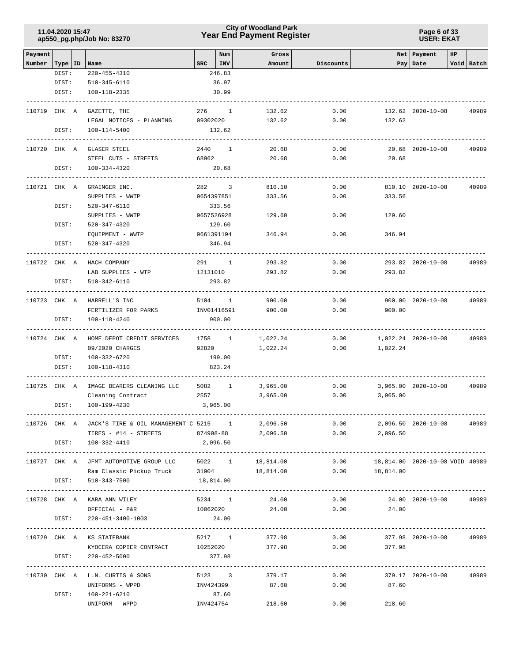### **Year End Payment Register City of Woodland Park 11.04.2020 15:47**

**Page 6 of 33 USER: EKAT**

|                   |                  |                                                         | Num                  |              |                 | Net   Payment<br>HP |                  |                                      |            |
|-------------------|------------------|---------------------------------------------------------|----------------------|--------------|-----------------|---------------------|------------------|--------------------------------------|------------|
| Payment<br>Number | Type   ID   Name |                                                         | SRC<br>INV           |              | Gross<br>Amount | Discounts           |                  | Pay Date                             | Void Batch |
|                   | DIST:            | 220-455-4310                                            | 246.83               |              |                 |                     |                  |                                      |            |
|                   | DIST:            | 510-345-6110                                            | 36.97                |              |                 |                     |                  |                                      |            |
|                   | DIST:            | 100-118-2335                                            | 30.99                |              |                 |                     |                  |                                      |            |
|                   | 110719 CHK A     | ---------------<br>GAZETTE, THE                         | 276 1                |              | 132.62          | 0.00                |                  | 132.62 2020-10-08                    | 40989      |
|                   |                  | LEGAL NOTICES - PLANNING 09302020                       |                      |              | 132.62          | 0.00                | 132.62           |                                      |            |
|                   | DIST:            | 100-114-5400                                            | 132.62               |              |                 |                     |                  |                                      |            |
|                   | 110720 CHK A     | GLASER STEEL                                            | 2440 1               |              | 20.68           | 0.00                |                  | 20.68 2020-10-08                     | 40989      |
|                   |                  | STEEL CUTS - STREETS                                    | 68962                |              | 20.68           | 0.00                | 20.68            |                                      |            |
|                   | DIST:            | 100-334-4320                                            | 20.68                |              |                 |                     |                  |                                      |            |
|                   | 110721 CHK A     | GRAINGER INC.                                           | 282 3                |              | 810.10          | 0.00                |                  | 810.10 2020-10-08                    | 40989      |
|                   |                  | SUPPLIES - WWTP                                         | 9654397851           |              | 333.56          | 0.00                | 333.56           |                                      |            |
|                   | DIST:            | 520-347-6110                                            | 333.56               |              |                 |                     |                  |                                      |            |
|                   |                  | SUPPLIES - WWTP                                         | 9657526928           |              | 129.60          | 0.00                | 129.60           |                                      |            |
|                   | DIST:            | 520-347-4320                                            | 129.60               |              |                 |                     |                  |                                      |            |
|                   |                  | EQUIPMENT - WWTP                                        | 9661391194           |              | 346.94          | 0.00                | 346.94           |                                      |            |
|                   | DIST:            | 520-347-4320                                            | 346.94               |              |                 |                     |                  |                                      |            |
|                   | 110722 CHK A     | HACH COMPANY                                            | 291 1                |              | 293.82          | 0.00                |                  | 293.82 2020-10-08                    | 40989      |
|                   |                  | LAB SUPPLIES - WTP                                      | 12131010             |              | 293.82          | 0.00                | 293.82           |                                      |            |
|                   | DIST:            | 510-342-6110                                            | 293.82<br>---------- |              |                 |                     |                  |                                      |            |
|                   | 110723 CHK A     | HARRELL'S INC                                           | 5104                 | $\mathbf{1}$ | 900.00          | 0.00                |                  | 900.00 2020-10-08                    | 40989      |
|                   |                  | FERTILIZER FOR PARKS                                    | INV01416591          |              | 900.00          | 0.00                | 900.00           |                                      |            |
|                   | DIST:            | 100-118-4240                                            | 900.00               |              |                 |                     |                  |                                      |            |
|                   | 110724 CHK A     | HOME DEPOT CREDIT SERVICES                              | 1758 1               |              | 1,022.24        | 0.00                |                  | 1,022.24 2020-10-08                  | 40989      |
|                   |                  | 09/2020 CHARGES                                         | 92820                |              | 1,022.24        | 0.00                | 1,022.24         |                                      |            |
|                   | DIST:            | 100-332-6720                                            | 199.00               |              |                 |                     |                  |                                      |            |
|                   | DIST:            | 100-118-4310                                            | 823.24               |              |                 |                     |                  |                                      |            |
|                   | 110725 CHK A     | IMAGE BEARERS CLEANING LLC                              | 5082 1               |              | 3,965.00        | 0.00                |                  | 3,965.00 2020-10-08                  | 40989      |
|                   |                  | Cleaning Contract                                       | 2557 30              |              | 3,965.00        | 0.00                | 3,965.00         |                                      |            |
|                   | DIST:            | 100-199-4230                                            | 3,965.00             |              |                 |                     |                  |                                      |            |
|                   |                  | 110726 CHK A JACK'S TIRE & OIL MANAGEMENT C 5215 1      |                      |              | 2,096.50        | 0.00                |                  | 2,096.50 2020-10-08                  | 40989      |
|                   |                  | TIRES - #14 - STREETS 874908-88                         |                      |              | 2,096.50        | 0.00                | 2,096.50         |                                      |            |
|                   |                  | DIST: 100-332-4410                                      | 2,096.50             |              |                 |                     |                  |                                      |            |
|                   |                  | 110727 CHK A JFMT AUTOMOTIVE GROUP LLC 5022 1 18,814.00 |                      |              |                 |                     |                  | 0.00 18,814.00 2020-10-08 VOID 40989 |            |
|                   |                  | Ram Classic Pickup Truck 31904 18,814.00                |                      |              |                 |                     | $0.00$ 18,814.00 |                                      |            |
|                   | DIST:            | 510-343-7500                                            | 18,814.00            |              |                 |                     |                  |                                      |            |
|                   |                  | 110728 CHK A KARA ANN WILEY                             | 5234 1               |              | 24.00           | 0.00                |                  | 24.00 2020-10-08                     | 40989      |
|                   |                  | OFFICIAL - P&R                                          | 10062020             |              | 24.00           | 0.00                | 24.00            |                                      |            |
|                   | DIST:            | 220-451-3400-1003                                       | 24.00                |              |                 |                     |                  |                                      |            |
|                   |                  | 110729 CHK A KS STATEBANK                               |                      |              | 5217 1 377.98   | 0.00                |                  | 377.98 2020-10-08                    | 40989      |
|                   |                  | KYOCERA COPIER CONTRACT 10252020 377.98                 |                      |              |                 |                     | 0.00<br>377.98   |                                      |            |
|                   | DIST:            | 220-452-5000                                            | 377.98               |              |                 |                     |                  | ---------------                      |            |
|                   |                  | 110730 CHK A L.N. CURTIS & SONS                         | 5123 3               |              | 379.17          | 0.00                |                  | 379.17 2020-10-08 40989              |            |
|                   |                  | UNIFORMS - WPPD                                         | INV424399            |              | 87.60           | 0.00                | 87.60            |                                      |            |
|                   | DIST:            | 100-221-6210                                            | 87.60                |              |                 |                     |                  |                                      |            |
|                   |                  | UNIFORM - WPPD                                          | INV424754            |              | 218.60          | 0.00                | 218.60           |                                      |            |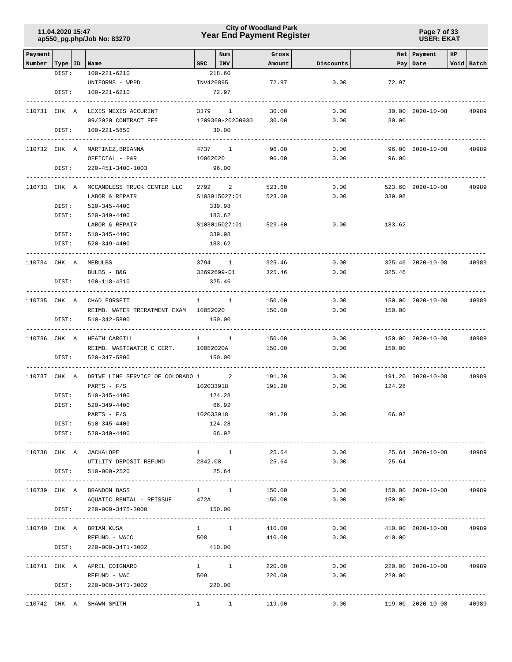### **Year End Payment Register City of Woodland Park 11.04.2020 15:47**

**Page 7 of 33 USER: EKAT**

| Payment      |           |                                                       |           | Num                     | Gross                      |               |                | Net   Payment     | HP |            |
|--------------|-----------|-------------------------------------------------------|-----------|-------------------------|----------------------------|---------------|----------------|-------------------|----|------------|
| Number       |           | Type   ID   Name                                      |           | $SRC$   INV             | Amount                     | Discounts     |                | Pay Date          |    | Void Batch |
|              | DIST:     | 100-221-6210                                          |           | 218.60                  |                            |               |                |                   |    |            |
|              | DIST:     | UNIFORMS - WPPD<br>100-221-6210                       | INV426895 | 72.97                   | 72.97                      | 0.00          | 72.97          |                   |    |            |
|              |           |                                                       |           |                         |                            |               |                |                   |    |            |
| 110731 CHK A |           | LEXIS NEXIS ACCURINT                                  |           | 3379 1                  | 30.00                      | 0.00          |                | 30.00 2020-10-08  |    | 40989      |
|              |           | 09/2020 CONTRACT FEE                                  |           | 1209360-20200930        | 30.00                      | 0.00          | 30.00          |                   |    |            |
|              | DIST:     | 100-221-5850                                          |           | 30.00                   |                            |               |                |                   |    |            |
|              |           |                                                       |           |                         |                            |               |                |                   |    |            |
| 110732 CHK A |           | MARTINEZ, BRIANNA                                     |           | 4737 1                  | 96.00                      | 0.00          |                | 96.00 2020-10-08  |    | 40989      |
|              |           | OFFICIAL - P&R                                        |           | 10062020                | 96.00                      | 0.00          | 96.00          |                   |    |            |
|              | DIST:     | 220-451-3400-1003                                     |           | 96.00                   |                            |               |                |                   |    |            |
|              |           |                                                       |           |                         |                            |               |                |                   |    |            |
| 110733 CHK A |           | MCCANDLESS TRUCK CENTER LLC                           |           | 2792 2                  | 523.60                     | 0.00          |                | 523.60 2020-10-08 |    | 40989      |
|              | DIST:     | LABOR & REPAIR<br>510-345-4400                        |           | S103015027:01<br>339.98 | 523.60                     | 0.00          | 339.98         |                   |    |            |
|              | DIST:     | 520-349-4400                                          |           | 183.62                  |                            |               |                |                   |    |            |
|              |           | LABOR & REPAIR                                        |           | S103015027:01           | 523.60                     | 0.00          | 183.62         |                   |    |            |
|              | DIST:     | 510-345-4400                                          |           | 339.98                  |                            |               |                |                   |    |            |
|              | DIST:     | 520-349-4400                                          |           | 183.62                  |                            |               |                |                   |    |            |
|              |           |                                                       |           |                         |                            |               |                |                   |    |            |
| 110734 CHK A |           | MEBULBS                                               |           | 3794 1                  | 325.46                     | 0.00          |                | 325.46 2020-10-08 |    | 40989      |
|              |           | BULBS - B&G                                           |           | 32692699-01             | 325.46                     | 0.00          | 325.46         |                   |    |            |
|              | DIST:     | 100-118-4310                                          |           | 325.46                  |                            |               |                |                   |    |            |
|              |           |                                                       |           |                         |                            | 0.00          |                | 150.00 2020-10-08 |    |            |
| 110735 CHK A |           | CHAD FORSETT<br>REIMB. WATER TRERATMENT EXAM 10052020 |           | $1 \quad 1$             | 150.00<br>150.00           | 0.00          | 150.00         |                   |    | 40989      |
|              | DIST:     | 510-342-5800                                          |           | 150.00                  |                            |               |                |                   |    |            |
|              |           |                                                       |           |                         |                            |               |                |                   |    |            |
| 110736 CHK A |           | HEATH CARGILL                                         |           | $1 \quad 1$             | 150.00                     | 0.00          |                | 150.00 2020-10-08 |    | 40989      |
|              |           | REIMB. WASTEWATER C CERT.                             | 10052020A |                         | 150.00                     | 0.00          | 150.00         |                   |    |            |
|              | DIST:     | 520-347-5800                                          |           | 150.00                  |                            |               |                |                   |    |            |
|              |           |                                                       |           |                         |                            |               |                |                   |    |            |
| 110737 CHK A |           | DRIVE LINE SERVICE OF COLORADO 1 2                    |           |                         | 191.20                     | 0.00          |                | 191.20 2020-10-08 |    | 40989      |
|              | DIST:     | PARTS - $F/S$<br>510-345-4400                         |           | 102033918<br>124.28     | 191.20                     | 0.00          | 124.28         |                   |    |            |
|              | DIST:     | 520-349-4400                                          |           | 66.92                   |                            |               |                |                   |    |            |
|              |           | PARTS - $F/S$                                         | 102033918 |                         | 191.20                     | 0.00          | 66.92          |                   |    |            |
|              | DIST:     | 510-345-4400                                          |           | 124.28                  |                            |               |                |                   |    |            |
|              | DIST:     | 520-349-4400                                          |           | 66.92                   |                            |               |                |                   |    |            |
|              |           |                                                       |           |                         |                            |               |                |                   |    |            |
| 110738 CHK A |           | JACKALOPE                                             |           | $1 \quad 1$             | 25.64                      | 0.00          |                | 25.64 2020-10-08  |    | 40989      |
|              |           | UTILITY DEPOSIT REFUND 2842.08                        |           |                         |                            | 25.64<br>0.00 | 25.64          |                   |    |            |
|              | DIST:     | 510-000-2520                                          |           | 25.64                   |                            |               |                |                   |    |            |
| 110739 CHK A |           | BRANDON BASS                                          |           | $1 \quad 1$             | 150.00                     | 0.00          |                | 150.00 2020-10-08 |    | 40989      |
|              |           | AQUATIC RENTAL - REISSUE 472A                         |           |                         | 150.00                     | 0.00          | 150.00         |                   |    |            |
|              | DIST:     | 220-000-3475-3000                                     |           | 150.00                  |                            |               |                |                   |    |            |
|              |           |                                                       |           |                         | -------------------------- |               |                |                   |    |            |
| 110740 CHK A |           | BRIAN KUSA                                            |           | $1 \quad 1 \quad 1$     | 410.00                     | 0.00          |                | 410.00 2020-10-08 |    | 40989      |
|              |           | REFUND - WACC                                         |           | 508 700                 | 410.00                     |               | 0.00<br>410.00 |                   |    |            |
|              | DIST:     | 220-000-3471-3002                                     |           | 410.00                  |                            |               |                |                   |    |            |
|              | --------- |                                                       |           |                         |                            |               |                |                   |    |            |
|              |           | 110741 CHK A APRIL COIGNARD                           |           | $1 \quad 1$             | 220.00                     | 0.00          |                | 220.00 2020-10-08 |    | 40989      |
|              | DIST:     | REFUND - WAC<br>220-000-3471-3002                     | 509       | 220.00                  | 220.00                     | 0.00          | 220.00         |                   |    |            |
|              |           |                                                       |           |                         |                            |               |                |                   |    |            |
|              |           | 110742 CHK A SHAWN SMITH                              |           | $1 \quad 1 \quad$       | 119.00                     | 0.00          |                | 119.00 2020-10-08 |    | 40989      |
|              |           |                                                       |           |                         |                            |               |                |                   |    |            |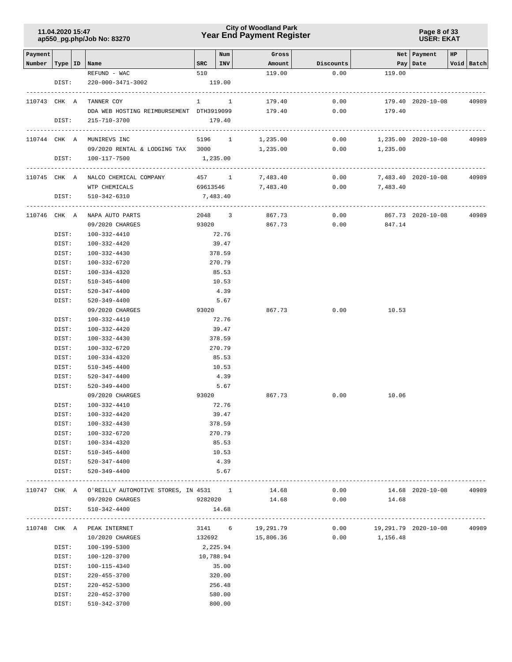### **Year End Payment Register City of Woodland Park 11.04.2020 15:47**

**Page 8 of 33 USER: EKAT**

| Payment      |                |                                                    |     | Num                               | Gross             |               |                      | Net   Payment     | HP |              |
|--------------|----------------|----------------------------------------------------|-----|-----------------------------------|-------------------|---------------|----------------------|-------------------|----|--------------|
| Number       |                | Type   ID   Name                                   | SRC | INV                               | Amount            | Discounts     |                      | Pay Date          |    | Void   Batch |
|              |                | REFUND - WAC                                       | 510 |                                   | 119.00            | 0.00          | 119.00               |                   |    |              |
|              | DIST:          | 220-000-3471-3002                                  |     | 119.00                            |                   |               |                      |                   |    |              |
| 110743 CHK A |                | TANNER COY                                         |     | ------------------<br>$1 \quad 1$ | 179.40            | 0.00          |                      | 179.40 2020-10-08 |    | 40989        |
|              |                | DDA WEB HOSTING REIMBURSEMENT DTH3919099 179.40    |     |                                   |                   | 0.00          | 179.40               |                   |    |              |
|              | DIST:          | 215-710-3700                                       |     | 179.40                            |                   |               |                      |                   |    |              |
|              |                |                                                    |     |                                   |                   |               |                      |                   |    |              |
|              |                | 110744 CHK A MUNIREVS INC                          |     |                                   | 5196 1 1,235.00   | 0.00          | 1,235.00 2020-10-08  |                   |    | 40989        |
|              |                | 09/2020 RENTAL & LODGING TAX 3000                  |     |                                   |                   | 1,235.00 0.00 | 1,235.00             |                   |    |              |
|              | DIST:          | 100-117-7500<br>-------------------------------    |     | 1,235.00                          |                   |               |                      |                   |    |              |
|              |                | 110745 CHK A NALCO CHEMICAL COMPANY 457 1 7,483.40 |     |                                   |                   | 0.00          | 7,483.40 2020-10-08  |                   |    | 40989        |
|              |                | WTP CHEMICALS                                      |     |                                   | 69613546 7,483.40 | 0.00          | 7,483.40             |                   |    |              |
|              | DIST:          | 510-342-6310                                       |     | 7,483.40                          |                   |               |                      |                   |    |              |
|              |                | 110746 CHK A NAPA AUTO PARTS                       |     |                                   | 2048 3 867.73     | 0.00          |                      | 867.73 2020-10-08 |    | 40989        |
|              |                | 09/2020 CHARGES                                    |     | 93020                             | 867.73            |               | $0.00$ 847.14        |                   |    |              |
|              | DIST:          | 100-332-4410                                       |     | 72.76                             |                   |               |                      |                   |    |              |
|              | DIST:          | 100-332-4420                                       |     | 39.47                             |                   |               |                      |                   |    |              |
|              | DIST:          | 100-332-4430                                       |     | 378.59                            |                   |               |                      |                   |    |              |
|              |                |                                                    |     | 270.79                            |                   |               |                      |                   |    |              |
|              | DIST:          | 100-332-6720                                       |     |                                   |                   |               |                      |                   |    |              |
|              | DIST:          | 100-334-4320<br>510-345-4400                       |     | 85.53                             |                   |               |                      |                   |    |              |
|              | DIST:<br>DIST: |                                                    |     | 10.53                             |                   |               |                      |                   |    |              |
|              |                | 520-347-4400                                       |     | 4.39                              |                   |               |                      |                   |    |              |
|              | DIST:          | 520-349-4400<br>09/2020 CHARGES                    |     | 5.67<br>93020                     | 867.73            | 0.00          | 10.53                |                   |    |              |
|              | DIST:          | 100-332-4410                                       |     | 72.76                             |                   |               |                      |                   |    |              |
|              | DIST:          | 100-332-4420                                       |     | 39.47                             |                   |               |                      |                   |    |              |
|              | DIST:          | 100-332-4430                                       |     | 378.59                            |                   |               |                      |                   |    |              |
|              | DIST:          | 100-332-6720                                       |     | 270.79                            |                   |               |                      |                   |    |              |
|              | DIST:          | 100-334-4320                                       |     | 85.53                             |                   |               |                      |                   |    |              |
|              | DIST:          | 510-345-4400                                       |     | 10.53                             |                   |               |                      |                   |    |              |
|              | DIST:          | 520-347-4400                                       |     | 4.39                              |                   |               |                      |                   |    |              |
|              | DIST:          | 520-349-4400                                       |     | 5.67                              |                   |               |                      |                   |    |              |
|              |                | 09/2020 CHARGES                                    |     | 93020                             | 867.73            | 0.00          | 10.06                |                   |    |              |
|              | DIST:          | 100-332-4410                                       |     | 72.76                             |                   |               |                      |                   |    |              |
|              | DIST:          | 100-332-4420                                       |     | 39.47                             |                   |               |                      |                   |    |              |
|              | DIST:          | 100-332-4430                                       |     | 378.59                            |                   |               |                      |                   |    |              |
|              | DIST:          | 100-332-6720                                       |     | 270.79                            |                   |               |                      |                   |    |              |
|              | DIST:          | 100-334-4320                                       |     | 85.53                             |                   |               |                      |                   |    |              |
|              | DIST:          | 510-345-4400                                       |     | 10.53                             |                   |               |                      |                   |    |              |
|              |                | DIST: 520-347-4400                                 |     | 4.39                              |                   |               |                      |                   |    |              |
|              | DIST:          | 520-349-4400                                       |     | 5.67                              |                   |               |                      |                   |    |              |
|              |                |                                                    |     |                                   |                   |               |                      |                   |    |              |
|              |                | 110747 CHK A O'REILLY AUTOMOTIVE STORES, IN 4531 1 |     |                                   | 14.68             | 0.00          |                      | 14.68 2020-10-08  |    | 40989        |
|              |                | 09/2020 CHARGES                                    |     | 9282020                           | 14.68             | 0.00          | 14.68                |                   |    |              |
|              | DIST:          | 510-342-4400                                       |     | 14.68                             |                   |               |                      |                   |    |              |
| 110748 CHK A |                | PEAK INTERNET                                      |     |                                   | 3141 6 19,291.79  | 0.00          | 19,291.79 2020-10-08 |                   |    | 40989        |
|              |                | 10/2020 CHARGES                                    |     |                                   | 132692 15,806.36  |               | $0.00$ 1,156.48      |                   |    |              |
|              | DIST:          | 100-199-5300                                       |     | 2,225.94                          |                   |               |                      |                   |    |              |
|              | DIST:          | 100-120-3700                                       |     | 10,788.94                         |                   |               |                      |                   |    |              |
|              | DIST:          | 100-115-4340                                       |     | 35.00                             |                   |               |                      |                   |    |              |
|              | DIST:          | 220-455-3700                                       |     | 320.00                            |                   |               |                      |                   |    |              |
|              | DIST:          | 220-452-5300                                       |     | 256.48                            |                   |               |                      |                   |    |              |
|              | DIST:          | 220-452-3700                                       |     | 580.00                            |                   |               |                      |                   |    |              |
|              | DIST:          | 510-342-3700                                       |     | 800.00                            |                   |               |                      |                   |    |              |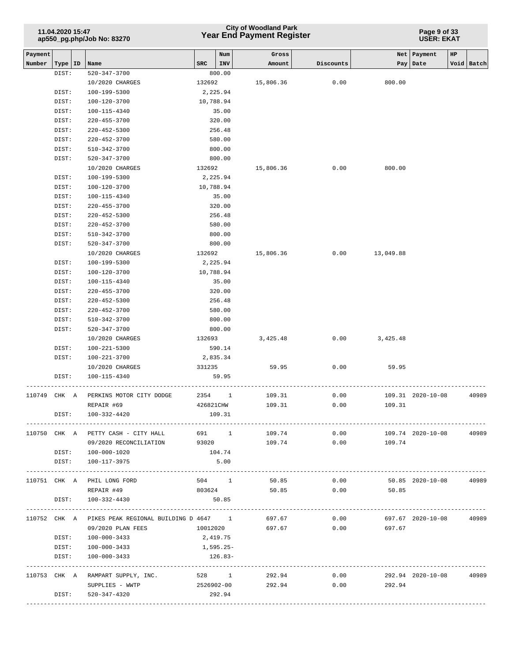### **Year End Payment Register City of Woodland Park 11.04.2020 15:47**

**Page 9 of 33 USER: EKAT**

| Payment |                    |                                                           |           | Num              | Gross             |           |                  | Net   Payment     | HP |            |
|---------|--------------------|-----------------------------------------------------------|-----------|------------------|-------------------|-----------|------------------|-------------------|----|------------|
| Number  | Type   ID<br>DIST: | Name<br>520-347-3700                                      | SRC       | INV<br>800.00    | Amount            | Discounts |                  | Pay   Date        |    | Void Batch |
|         |                    | 10/2020 CHARGES                                           | 132692    |                  | 15,806.36         | 0.00      | 800.00           |                   |    |            |
|         | DIST:              | 100-199-5300                                              | 2,225.94  |                  |                   |           |                  |                   |    |            |
|         | DIST:              | 100-120-3700                                              | 10,788.94 |                  |                   |           |                  |                   |    |            |
|         | DIST:              | 100-115-4340                                              |           | 35.00            |                   |           |                  |                   |    |            |
|         | DIST:              | 220-455-3700                                              |           | 320.00           |                   |           |                  |                   |    |            |
|         | DIST:              | $220 - 452 - 5300$                                        |           | 256.48           |                   |           |                  |                   |    |            |
|         | DIST:              | 220-452-3700                                              |           | 580.00           |                   |           |                  |                   |    |            |
|         | DIST:              | 510-342-3700                                              |           | 800.00           |                   |           |                  |                   |    |            |
|         | DIST:              | 520-347-3700                                              |           | 800.00           |                   |           |                  |                   |    |            |
|         |                    | 10/2020 CHARGES                                           | 132692    |                  | 15,806.36         | 0.00      | 800.00           |                   |    |            |
|         | DIST:              | 100-199-5300                                              | 2,225.94  |                  |                   |           |                  |                   |    |            |
|         | DIST:              | 100-120-3700                                              | 10,788.94 |                  |                   |           |                  |                   |    |            |
|         | DIST:              | 100-115-4340                                              |           | 35.00            |                   |           |                  |                   |    |            |
|         | DIST:              | 220-455-3700                                              |           | 320.00           |                   |           |                  |                   |    |            |
|         | DIST:              | 220-452-5300                                              |           | 256.48           |                   |           |                  |                   |    |            |
|         | DIST:              | 220-452-3700                                              |           | 580.00           |                   |           |                  |                   |    |            |
|         | DIST:              | 510-342-3700                                              |           | 800.00           |                   |           |                  |                   |    |            |
|         | DIST:              | 520-347-3700                                              |           | 800.00           |                   |           |                  |                   |    |            |
|         |                    | 10/2020 CHARGES                                           | 132692    |                  | 15,806.36         |           | $0.00$ 13,049.88 |                   |    |            |
|         | DIST:              | 100-199-5300                                              | 2,225.94  |                  |                   |           |                  |                   |    |            |
|         | DIST:              | 100-120-3700                                              | 10,788.94 |                  |                   |           |                  |                   |    |            |
|         | DIST:              | 100-115-4340                                              |           | 35.00            |                   |           |                  |                   |    |            |
|         | DIST:              | 220-455-3700<br>$220 - 452 - 5300$                        |           | 320.00<br>256.48 |                   |           |                  |                   |    |            |
|         | DIST:<br>DIST:     | 220-452-3700                                              |           | 580.00           |                   |           |                  |                   |    |            |
|         | DIST:              | 510-342-3700                                              |           | 800.00           |                   |           |                  |                   |    |            |
|         | DIST:              | 520-347-3700                                              |           | 800.00           |                   |           |                  |                   |    |            |
|         |                    | 10/2020 CHARGES                                           | 132693    |                  | 3,425.48          | 0.00      | 3,425.48         |                   |    |            |
|         | DIST:              | 100-221-5300                                              |           | 590.14           |                   |           |                  |                   |    |            |
|         | DIST:              | 100-221-3700                                              | 2,835.34  |                  |                   |           |                  |                   |    |            |
|         |                    | 10/2020 CHARGES                                           | 331235    |                  | 59.95             | 0.00      | 59.95            |                   |    |            |
|         | DIST:              | 100-115-4340                                              |           | 59.95            |                   |           |                  |                   |    |            |
|         |                    |                                                           |           |                  |                   |           |                  |                   |    |            |
| 110749  | CHK A              | PERKINS MOTOR CITY DODGE                                  | 2354 1    |                  | 109.31            | 0.00      |                  | 109.31 2020-10-08 |    | 40989      |
|         |                    | REPAIR #69                                                | 426821CHW |                  | 109.31            | 0.00      | 109.31           |                   |    |            |
|         | DIST:              | 100-332-4420                                              |           | 109.31           |                   |           |                  |                   |    |            |
|         |                    | 110750 CHK A PETTY CASH - CITY HALL                       |           |                  | 691 1 109.74      |           | 0.00             | 109.74 2020-10-08 |    | 40989      |
|         |                    | 09/2020 RECONCILIATION 93020                              |           |                  | 109.74            |           | $0.00$ 109.74    |                   |    |            |
|         |                    | DIST: 100-000-1020                                        |           | 104.74           |                   |           |                  |                   |    |            |
|         |                    | DIST: 100-117-3975                                        |           | 5.00             |                   |           |                  |                   |    |            |
|         |                    |                                                           |           |                  |                   |           |                  |                   |    |            |
|         |                    | 110751 CHK A PHIL LONG FORD                               | 504 1     |                  | 50.85             | 0.00      |                  | 50.85 2020-10-08  |    | 40989      |
|         |                    | REPAIR #49                                                | 803624    |                  | 50.85             | 0.00      | 50.85            |                   |    |            |
|         | DIST:              | 100-332-4430                                              |           | 50.85            |                   |           |                  |                   |    |            |
|         |                    | 110752 CHK A PIKES PEAK REGIONAL BUILDING D 4647 1 697.67 |           |                  |                   | 0.00      |                  | 697.67 2020-10-08 |    | 40989      |
|         |                    | 09/2020 PLAN FEES                                         |           |                  | 10012020 697.67   | 0.00      | 697.67           |                   |    |            |
|         |                    | DIST: 100-000-3433                                        | 2,419.75  |                  |                   |           |                  |                   |    |            |
|         |                    | DIST: 100-000-3433                                        | 1,595.25- |                  |                   |           |                  |                   |    |            |
|         | DIST:              | 100-000-3433                                              |           | 126.83-          |                   |           |                  |                   |    |            |
|         |                    |                                                           |           |                  |                   |           |                  |                   |    |            |
|         |                    | 110753 CHK A RAMPART SUPPLY, INC.                         |           |                  | 528 1 292.94      | 0.00      |                  | 292.94 2020-10-08 |    | 40989      |
|         |                    | SUPPLIES - WWTP                                           |           |                  | 2526902-00 292.94 |           | 0.00<br>292.94   |                   |    |            |
|         | DIST:              | 520-347-4320                                              |           | 292.94           |                   |           |                  |                   |    |            |
|         |                    |                                                           |           |                  |                   |           |                  |                   |    |            |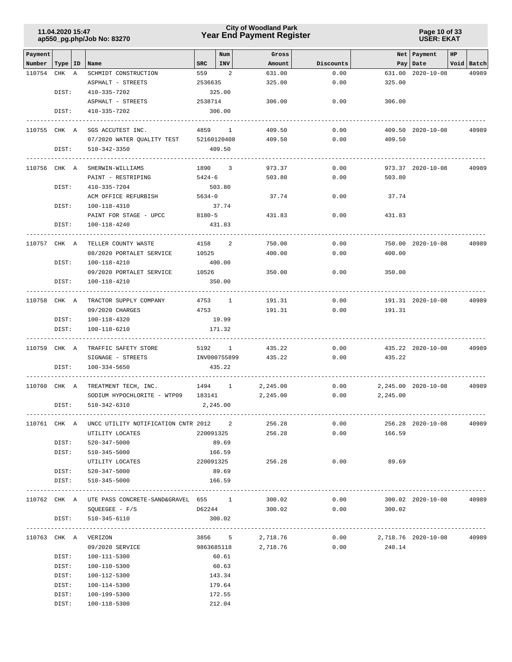### **Year End Payment Register City of Woodland Park 11.04.2020 15:47**

#### **Page 10 of 33 USER: EKAT**

| Payment            |       |                                                    |            | Num       | Gross                  |           |                            | Net Payment         | HP |            |
|--------------------|-------|----------------------------------------------------|------------|-----------|------------------------|-----------|----------------------------|---------------------|----|------------|
| Number   Type   ID |       | Name                                               | SRC        | INV       | Amount                 | Discounts |                            | Pay Date            |    | Void Batch |
| 110754 CHK A       |       | SCHMIDT CONSTRUCTION                               | 559        | 2         | 631.00                 | 0.00      |                            | 631.00 2020-10-08   |    | 40989      |
|                    |       | ASPHALT - STREETS                                  | 2536635    |           | 325.00                 | 0.00      | 325.00                     |                     |    |            |
|                    | DIST: | 410-335-7202                                       |            | 325.00    |                        |           |                            |                     |    |            |
|                    |       | ASPHALT - STREETS                                  | 2538714    |           | 306.00                 | 0.00      | 306.00                     |                     |    |            |
|                    | DIST: | 410-335-7202                                       |            | 306.00    |                        |           |                            |                     |    |            |
|                    |       |                                                    |            |           |                        |           |                            |                     |    |            |
| 110755 CHK A       |       | SGS ACCUTEST INC.                                  |            | 4859 1    | 409.50                 | 0.00      |                            | 409.50 2020-10-08   |    | 40989      |
|                    |       | 07/2020 WATER QUALITY TEST 52160120408             |            |           | 409.50                 | 0.00      | 409.50                     |                     |    |            |
|                    | DIST: | 510-342-3350                                       |            | 409.50    |                        |           |                            |                     |    |            |
| 110756 CHK A       |       | SHERWIN-WILLIAMS                                   |            | 1890 3    | 973.37                 | 0.00      |                            | 973.37 2020-10-08   |    | 40989      |
|                    |       | PAINT - RESTRIPING                                 | 5424-6     |           | 503.80                 | 0.00      | 503.80                     |                     |    |            |
|                    | DIST: | 410-335-7204                                       |            | 503.80    |                        |           |                            |                     |    |            |
|                    |       | ACM OFFICE REFURBISH                               | $5634 - 0$ |           | 37.74                  | 0.00      | 37.74                      |                     |    |            |
|                    | DIST: | 100-118-4310                                       |            | 37.74     |                        |           |                            |                     |    |            |
|                    |       | PAINT FOR STAGE - UPCC                             | $8180 - 5$ |           | 431.83                 | 0.00      | 431.83                     |                     |    |            |
|                    | DIST: | 100-118-4240                                       |            | 431.83    |                        |           |                            |                     |    |            |
|                    |       |                                                    |            |           |                        |           |                            |                     |    |            |
| 110757 CHK A       |       | TELLER COUNTY WASTE                                | 4158       | 2         | 750.00                 | 0.00      |                            | 750.00 2020-10-08   |    | 40989      |
|                    |       | 08/2020 PORTALET SERVICE                           | 10525      |           | 400.00                 | 0.00      | 400.00                     |                     |    |            |
|                    | DIST: | 100-118-4210                                       |            | 400.00    |                        |           |                            |                     |    |            |
|                    |       | 09/2020 PORTALET SERVICE                           | 10526      |           | 350.00                 | 0.00      | 350.00                     |                     |    |            |
|                    | DIST: | 100-118-4210                                       |            | 350.00    |                        |           |                            |                     |    |            |
|                    |       | -------------                                      |            |           |                        |           |                            |                     |    |            |
| 110758 CHK A       |       | TRACTOR SUPPLY COMPANY                             |            | 4753 1    | 191.31                 | 0.00      |                            | 191.31 2020-10-08   |    | 40989      |
|                    |       | 09/2020 CHARGES                                    | 4753       |           | 191.31                 | 0.00      | 191.31                     |                     |    |            |
|                    | DIST: | 100-118-4320                                       |            | 19.99     |                        |           |                            |                     |    |            |
|                    | DIST: | 100-118-6210                                       |            | 171.32    |                        |           |                            |                     |    |            |
|                    |       |                                                    |            |           |                        |           |                            |                     |    |            |
| 110759 CHK A       |       | TRAFFIC SAFETY STORE                               |            | 5192 1    | 435.22                 | 0.00      |                            | 435.22 2020-10-08   |    | 40989      |
|                    |       | SIGNAGE - STREETS                                  |            |           | INV000755899<br>435.22 | 0.00      | 435.22                     |                     |    |            |
|                    | DIST: | 100-334-5650                                       |            | 435.22    |                        |           |                            |                     |    |            |
|                    |       |                                                    |            |           |                        |           |                            |                     |    |            |
| 110760 CHK A       |       | TREATMENT TECH, INC.                               |            | 1494 1    | 2,245.00               | 0.00      |                            | 2,245.00 2020-10-08 |    | 40989      |
|                    |       | SODIUM HYPOCHLORITE - WTP09 183141                 |            |           | 2,245.00               | 0.00      | 2,245.00                   |                     |    |            |
|                    | DIST: | 510-342-6310                                       | 2,245.00   |           |                        |           |                            |                     |    |            |
|                    |       |                                                    |            |           |                        |           |                            |                     |    |            |
|                    |       | 110761 CHK A UNCC UTILITY NOTIFICATION CNTR 2012 2 |            |           | 256.28                 | 0.00      |                            | 256.28 2020-10-08   |    | 40989      |
|                    |       | UTILITY LOCATES                                    |            | 220091325 | 256.28                 | 0.00      | 166.59                     |                     |    |            |
|                    | DIST: | 520-347-5000                                       |            | 89.69     |                        |           |                            |                     |    |            |
|                    | DIST: | 510-345-5000                                       |            | 166.59    |                        |           |                            |                     |    |            |
|                    |       | UTILITY LOCATES                                    |            |           | 220091325 256.28       | 0.00      | 89.69                      |                     |    |            |
|                    |       | DIST: 520-347-5000                                 |            | 89.69     |                        |           |                            |                     |    |            |
|                    | DIST: | 510-345-5000                                       |            | 166.59    |                        |           |                            |                     |    |            |
|                    |       |                                                    |            |           |                        |           |                            |                     |    |            |
|                    |       | 110762 CHK A UTE PASS CONCRETE-SAND&GRAVEL 655 1   |            |           | 300.02                 | 0.00      |                            | 300.02 2020-10-08   |    | 40989      |
|                    |       | $SQUEEGEE - F/S$                                   | D62244     |           | 300.02                 | 0.00      | 300.02                     |                     |    |            |
|                    | DIST: | 510-345-6110                                       |            | 300.02    |                        |           |                            |                     |    |            |
|                    |       |                                                    |            |           |                        |           |                            |                     |    |            |
|                    |       | 110763 CHK A VERIZON                               |            |           | 3856 5 2,718.76        |           | $0.00$ 2,718.76 2020-10-08 |                     |    | 40989      |
|                    |       | 09/2020 SERVICE                                    |            |           | 9863685118 2,718.76    |           | $0.00$ 240.14              |                     |    |            |
|                    | DIST: | 100-111-5300                                       |            | 60.61     |                        |           |                            |                     |    |            |
|                    | DIST: | 100-110-5300                                       |            | 60.63     |                        |           |                            |                     |    |            |
|                    | DIST: | 100-112-5300                                       |            | 143.34    |                        |           |                            |                     |    |            |
|                    | DIST: | 100-114-5300                                       |            | 179.64    |                        |           |                            |                     |    |            |
|                    | DIST: | 100-199-5300                                       |            | 172.55    |                        |           |                            |                     |    |            |
|                    | DIST: | 100-118-5300                                       |            | 212.04    |                        |           |                            |                     |    |            |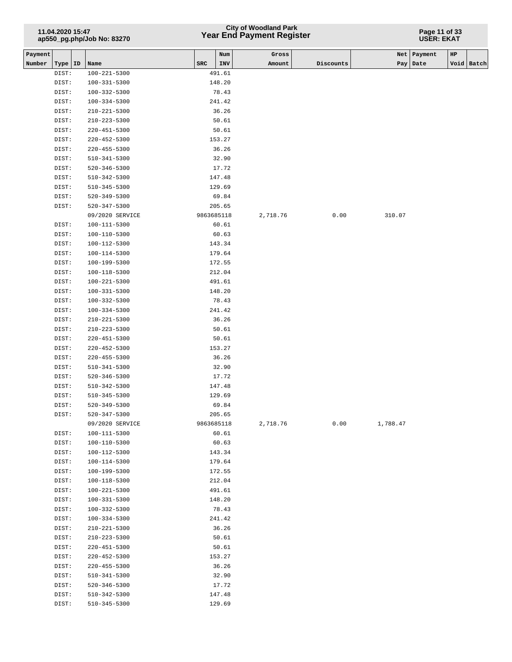## **Year End Payment Register City of Woodland Park 11.04.2020 15:47**

#### **Page 11 of 33 USER: EKAT**

| Payment |                |                                    |            | Num            | Gross    |           |          | Net   Payment | HP |              |
|---------|----------------|------------------------------------|------------|----------------|----------|-----------|----------|---------------|----|--------------|
| Number  | Type   ID      | Name                               | SRC        | INV            | Amount   | Discounts |          | Pay Date      |    | Void   Batch |
|         | DIST:          | $100 - 221 - 5300$                 |            | 491.61         |          |           |          |               |    |              |
|         | DIST:          | 100-331-5300                       |            | 148.20         |          |           |          |               |    |              |
|         | DIST:          | $100 - 332 - 5300$                 |            | 78.43          |          |           |          |               |    |              |
|         | DIST:          | 100-334-5300                       |            | 241.42         |          |           |          |               |    |              |
|         | DIST:          | $210 - 221 - 5300$                 |            | 36.26          |          |           |          |               |    |              |
|         | DIST:          | $210 - 223 - 5300$                 |            | 50.61          |          |           |          |               |    |              |
|         | DIST:          | $220 - 451 - 5300$                 |            | 50.61          |          |           |          |               |    |              |
|         | DIST:          | $220 - 452 - 5300$                 |            | 153.27         |          |           |          |               |    |              |
|         | DIST:          | $220 - 455 - 5300$                 |            | 36.26          |          |           |          |               |    |              |
|         | DIST:          | 510-341-5300                       |            | 32.90          |          |           |          |               |    |              |
|         | DIST:          | 520-346-5300                       |            | 17.72          |          |           |          |               |    |              |
|         | DIST:          | 510-342-5300                       |            | 147.48         |          |           |          |               |    |              |
|         | DIST:          | 510-345-5300                       |            | 129.69         |          |           |          |               |    |              |
|         | DIST:          | 520-349-5300                       |            | 69.84          |          |           |          |               |    |              |
|         | DIST:          | 520-347-5300                       |            | 205.65         |          |           |          |               |    |              |
|         |                | 09/2020 SERVICE                    | 9863685118 |                | 2,718.76 | 0.00      | 310.07   |               |    |              |
|         | DIST:          | 100-111-5300                       |            | 60.61          |          |           |          |               |    |              |
|         | DIST:          | $100 - 110 - 5300$                 |            | 60.63          |          |           |          |               |    |              |
|         | DIST:          | 100-112-5300                       |            | 143.34         |          |           |          |               |    |              |
|         | DIST:          | 100-114-5300                       |            | 179.64         |          |           |          |               |    |              |
|         | DIST:          | 100-199-5300                       |            | 172.55         |          |           |          |               |    |              |
|         | DIST:          | 100-118-5300                       |            | 212.04         |          |           |          |               |    |              |
|         | DIST:          | 100-221-5300                       |            | 491.61         |          |           |          |               |    |              |
|         | DIST:          | 100-331-5300                       |            | 148.20         |          |           |          |               |    |              |
|         | DIST:          | 100-332-5300                       |            | 78.43          |          |           |          |               |    |              |
|         | DIST:          | 100-334-5300                       |            | 241.42         |          |           |          |               |    |              |
|         | DIST:          | $210 - 221 - 5300$                 |            | 36.26          |          |           |          |               |    |              |
|         | DIST:          | 210-223-5300                       |            | 50.61          |          |           |          |               |    |              |
|         | DIST:          | 220-451-5300                       |            | 50.61          |          |           |          |               |    |              |
|         | DIST:          | $220 - 452 - 5300$                 |            | 153.27         |          |           |          |               |    |              |
|         | DIST:          | 220-455-5300                       |            | 36.26          |          |           |          |               |    |              |
|         | DIST:          | 510-341-5300<br>$520 - 346 - 5300$ |            | 32.90<br>17.72 |          |           |          |               |    |              |
|         | DIST:<br>DIST: | 510-342-5300                       |            | 147.48         |          |           |          |               |    |              |
|         | DIST:          | $510 - 345 - 5300$                 |            | 129.69         |          |           |          |               |    |              |
|         | DIST:          | 520-349-5300                       |            | 69.84          |          |           |          |               |    |              |
|         | DIST:          | 520-347-5300                       |            | 205.65         |          |           |          |               |    |              |
|         |                | 09/2020 SERVICE                    | 9863685118 |                | 2,718.76 | 0.00      | 1,788.47 |               |    |              |
|         | DIST:          | 100-111-5300                       |            | 60.61          |          |           |          |               |    |              |
|         | DIST:          | 100-110-5300                       |            | 60.63          |          |           |          |               |    |              |
|         | DIST:          | 100-112-5300                       |            | 143.34         |          |           |          |               |    |              |
|         | DIST:          | 100-114-5300                       |            | 179.64         |          |           |          |               |    |              |
|         | DIST:          | 100-199-5300                       |            | 172.55         |          |           |          |               |    |              |
|         | DIST:          | 100-118-5300                       |            | 212.04         |          |           |          |               |    |              |
|         | DIST:          | 100-221-5300                       |            | 491.61         |          |           |          |               |    |              |
|         | DIST:          | $100 - 331 - 5300$                 |            | 148.20         |          |           |          |               |    |              |
|         | DIST:          | 100-332-5300                       |            | 78.43          |          |           |          |               |    |              |
|         | DIST:          | $100 - 334 - 5300$                 |            | 241.42         |          |           |          |               |    |              |
|         | DIST:          | 210-221-5300                       |            | 36.26          |          |           |          |               |    |              |
|         | DIST:          | 210-223-5300                       |            | 50.61          |          |           |          |               |    |              |
|         | DIST:          | $220 - 451 - 5300$                 |            | 50.61          |          |           |          |               |    |              |
|         | DIST:          | 220-452-5300                       |            | 153.27         |          |           |          |               |    |              |
|         | DIST:          | 220-455-5300                       |            | 36.26          |          |           |          |               |    |              |
|         | DIST:          | 510-341-5300                       |            | 32.90          |          |           |          |               |    |              |
|         | DIST:          | $520 - 346 - 5300$                 |            | 17.72          |          |           |          |               |    |              |
|         | DIST:          | 510-342-5300                       |            | 147.48         |          |           |          |               |    |              |
|         | DIST:          | 510-345-5300                       |            | 129.69         |          |           |          |               |    |              |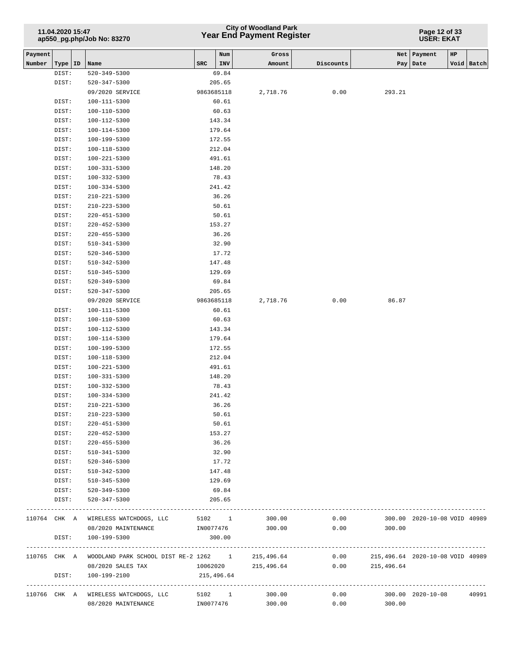## **Year End Payment Register City of Woodland Park 11.04.2020 15:47**

**Page 12 of 33 USER: EKAT**

| Payment |           |                                                    |            | Num    | Gross               |              |            | $_{\rm HP}$<br>Net   Payment     |            |
|---------|-----------|----------------------------------------------------|------------|--------|---------------------|--------------|------------|----------------------------------|------------|
| Number  | Type   ID | Name                                               | SRC        | INV    | Amount              | Discounts    | Pay        | Date                             | Void Batch |
|         | DIST:     | $520 - 349 - 5300$                                 |            | 69.84  |                     |              |            |                                  |            |
|         | DIST:     | $520 - 347 - 5300$                                 |            | 205.65 |                     |              |            |                                  |            |
|         |           | 09/2020 SERVICE                                    | 9863685118 |        | 2,718.76            | 0.00         | 293.21     |                                  |            |
|         | DIST:     | 100-111-5300                                       |            | 60.61  |                     |              |            |                                  |            |
|         | DIST:     | 100-110-5300                                       |            | 60.63  |                     |              |            |                                  |            |
|         | DIST:     | 100-112-5300                                       |            | 143.34 |                     |              |            |                                  |            |
|         | DIST:     | $100 - 114 - 5300$                                 |            | 179.64 |                     |              |            |                                  |            |
|         | DIST:     | 100-199-5300                                       |            | 172.55 |                     |              |            |                                  |            |
|         | DIST:     | 100-118-5300                                       |            | 212.04 |                     |              |            |                                  |            |
|         | DIST:     | 100-221-5300                                       |            | 491.61 |                     |              |            |                                  |            |
|         | DIST:     | $100 - 331 - 5300$                                 |            | 148.20 |                     |              |            |                                  |            |
|         | DIST:     | 100-332-5300                                       |            | 78.43  |                     |              |            |                                  |            |
|         | DIST:     | $100 - 334 - 5300$                                 |            | 241.42 |                     |              |            |                                  |            |
|         | DIST:     | $210 - 221 - 5300$                                 |            | 36.26  |                     |              |            |                                  |            |
|         | DIST:     | 210-223-5300                                       |            | 50.61  |                     |              |            |                                  |            |
|         | DIST:     | $220 - 451 - 5300$                                 |            | 50.61  |                     |              |            |                                  |            |
|         | DIST:     | $220 - 452 - 5300$                                 |            | 153.27 |                     |              |            |                                  |            |
|         | DIST:     | $220 - 455 - 5300$                                 |            | 36.26  |                     |              |            |                                  |            |
|         | DIST:     | $510 - 341 - 5300$                                 |            | 32.90  |                     |              |            |                                  |            |
|         | DIST:     | $520 - 346 - 5300$                                 |            | 17.72  |                     |              |            |                                  |            |
|         | DIST:     | $510 - 342 - 5300$                                 |            | 147.48 |                     |              |            |                                  |            |
|         | DIST:     | $510 - 345 - 5300$                                 |            | 129.69 |                     |              |            |                                  |            |
|         | DIST:     | $520 - 349 - 5300$                                 |            | 69.84  |                     |              |            |                                  |            |
|         | DIST:     | 520-347-5300                                       |            | 205.65 |                     |              |            |                                  |            |
|         |           | 09/2020 SERVICE                                    | 9863685118 |        | 2,718.76            | 0.00         | 86.87      |                                  |            |
|         | DIST:     | 100-111-5300                                       |            | 60.61  |                     |              |            |                                  |            |
|         | DIST:     | 100-110-5300                                       |            | 60.63  |                     |              |            |                                  |            |
|         | DIST:     | 100-112-5300                                       |            | 143.34 |                     |              |            |                                  |            |
|         | DIST:     | 100-114-5300                                       |            | 179.64 |                     |              |            |                                  |            |
|         | DIST:     | 100-199-5300                                       |            | 172.55 |                     |              |            |                                  |            |
|         | DIST:     | $100 - 118 - 5300$                                 |            | 212.04 |                     |              |            |                                  |            |
|         | DIST:     | 100-221-5300                                       |            | 491.61 |                     |              |            |                                  |            |
|         | DIST:     | $100 - 331 - 5300$                                 |            | 148.20 |                     |              |            |                                  |            |
|         | DIST:     | 100-332-5300                                       |            | 78.43  |                     |              |            |                                  |            |
|         | DIST:     | 100-334-5300                                       |            | 241.42 |                     |              |            |                                  |            |
|         | DIST:     | 210-221-5300                                       |            | 36.26  |                     |              |            |                                  |            |
|         | DIST:     | $210 - 223 - 5300$                                 |            | 50.61  |                     |              |            |                                  |            |
|         | DIST:     | 220-451-5300                                       |            | 50.61  |                     |              |            |                                  |            |
|         | DIST:     | $220 - 452 - 5300$                                 |            | 153.27 |                     |              |            |                                  |            |
|         | DIST:     | 220-455-5300                                       |            | 36.26  |                     |              |            |                                  |            |
|         | DIST:     | 510-341-5300                                       |            | 32.90  |                     |              |            |                                  |            |
|         | DIST:     | 520-346-5300                                       |            | 17.72  |                     |              |            |                                  |            |
|         | DIST:     | 510-342-5300                                       |            | 147.48 |                     |              |            |                                  |            |
|         | DIST:     | 510-345-5300                                       |            | 129.69 |                     |              |            |                                  |            |
|         | DIST:     | 520-349-5300                                       |            | 69.84  |                     |              |            |                                  |            |
|         | DIST:     | 520-347-5300                                       |            | 205.65 |                     |              |            |                                  |            |
|         |           |                                                    |            |        |                     | ------------ |            |                                  |            |
|         |           | 110764 CHK A WIRELESS WATCHDOGS, LLC               | 5102 1     |        | 300.00<br>300.00    | 0.00         |            | 300.00 2020-10-08 VOID 40989     |            |
|         |           | 08/2020 MAINTENANCE                                | IN0077476  |        |                     | 0.00         | 300.00     |                                  |            |
|         | DIST:     | 100-199-5300                                       |            | 300.00 |                     |              |            |                                  |            |
|         |           | 110765 CHK A WOODLAND PARK SCHOOL DIST RE-2 1262 1 |            |        | 215,496.64          | 0.00         |            | 215,496.64 2020-10-08 VOID 40989 |            |
|         |           | 08/2020 SALES TAX                                  |            |        | 10062020 215,496.64 | 0.00         | 215,496.64 |                                  |            |
|         | DIST:     | 100-199-2100                                       | 215,496.64 |        |                     |              |            |                                  |            |
|         |           |                                                    |            |        |                     |              |            |                                  |            |
|         |           | 110766 CHK A WIRELESS WATCHDOGS, LLC               |            |        | 5102 1 300.00       | 0.00         |            | 300.00 2020-10-08                | 40991      |
|         |           | 08/2020 MAINTENANCE                                | IN0077476  |        | 300.00              | 0.00         | 300.00     |                                  |            |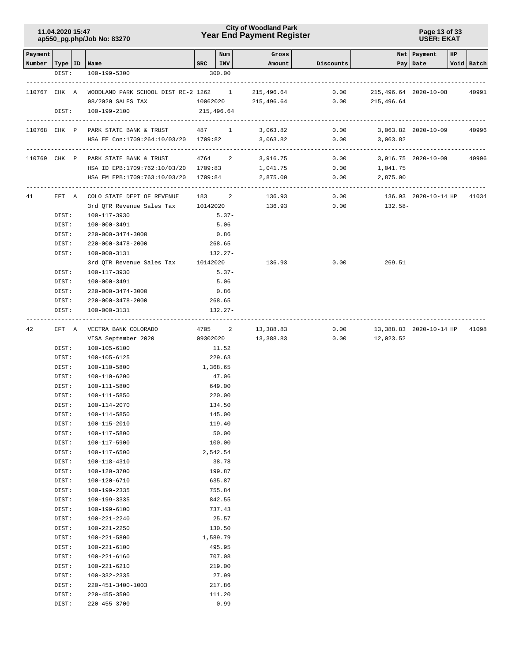### **Year End Payment Register City of Woodland Park 11.04.2020 15:47**

**Page 13 of 33 USER: EKAT**

| Payment                   |                |                                                     |               | Num              | Gross              |                                |                                     | Net   Payment              | HP |            |
|---------------------------|----------------|-----------------------------------------------------|---------------|------------------|--------------------|--------------------------------|-------------------------------------|----------------------------|----|------------|
| Number   Type   ID   Name |                |                                                     | $SRC$   $INV$ |                  | Amount             | Discounts                      |                                     | Pay Date                   |    | Void Batch |
|                           | DIST:          | 100-199-5300                                        |               | 300.00           |                    |                                |                                     |                            |    |            |
|                           |                |                                                     |               |                  |                    |                                |                                     |                            |    |            |
|                           |                | 110767 CHK A WOODLAND PARK SCHOOL DIST RE-2 1262 1  |               |                  | 215,496.64         | 0.00                           | 215,496.64 2020-10-08               |                            |    | 40991      |
|                           |                | 08/2020 SALES TAX                                   |               |                  |                    |                                | 10062020 215,496.64 0.00 215,496.64 |                            |    |            |
|                           | DIST:          | 100-199-2100                                        |               | 215,496.64       |                    |                                |                                     |                            |    |            |
|                           |                | 110768 CHK P PARK STATE BANK & TRUST 487 1 3,063.82 |               |                  |                    | 0.00                           | 3,063.82 2020-10-09                 |                            |    | 40996      |
|                           |                | HSA EE Con:1709:264:10/03/20 1709:82                |               |                  | 3,063.82           | 0.00                           | 3,063.82                            |                            |    |            |
|                           |                |                                                     |               |                  |                    | ------------------------------ | --------------------------------    |                            |    |            |
|                           |                | 110769 CHK P PARK STATE BANK & TRUST                |               | 4764 2           | 3,916.75           |                                | $0.00$ 3,916.75 2020-10-09          |                            |    | 40996      |
|                           |                | HSA ID EPB:1709:762:10/03/20  1709:83  1,041.75     |               |                  |                    |                                | $0.00$ 1,041.75                     |                            |    |            |
|                           |                | HSA FM EPB:1709:763:10/03/20 1709:84                |               |                  | 2,875.00           | 0.00                           | 2,875.00                            |                            |    |            |
| 41                        |                | EFT A COLO STATE DEPT OF REVENUE 183 2              |               |                  | 136.93             | 0.00                           |                                     | 136.93 2020-10-14 HP 41034 |    |            |
|                           |                | 3rd QTR Revenue Sales Tax 10142020                  |               |                  | 136.93             | 0.00                           | 132.58-                             |                            |    |            |
|                           | DIST:          | 100-117-3930                                        |               | $5.37-$          |                    |                                |                                     |                            |    |            |
|                           | DIST:          | 100-000-3491                                        |               | 5.06             |                    |                                |                                     |                            |    |            |
|                           | DIST:          | 220-000-3474-3000                                   |               | 0.86             |                    |                                |                                     |                            |    |            |
|                           | DIST:          | 220-000-3478-2000                                   |               | 268.65           |                    |                                |                                     |                            |    |            |
|                           | DIST:          | 100-000-3131                                        |               | $132.27-$        |                    |                                |                                     |                            |    |            |
|                           |                | 3rd QTR Revenue Sales Tax 10142020                  |               |                  | 136.93             | 0.00                           | 269.51                              |                            |    |            |
|                           | DIST:          | 100-117-3930                                        |               | $5.37-$          |                    |                                |                                     |                            |    |            |
|                           | DIST:          | 100-000-3491                                        |               | 5.06             |                    |                                |                                     |                            |    |            |
|                           | DIST:          | 220-000-3474-3000                                   |               | 0.86             |                    |                                |                                     |                            |    |            |
|                           | DIST:          | 220-000-3478-2000                                   |               | 268.65           |                    |                                |                                     |                            |    |            |
|                           | DIST:          | 100-000-3131                                        |               | $132.27-$        |                    |                                |                                     |                            |    |            |
| 42                        | EFT A          | VECTRA BANK COLORADO                                |               |                  | 4705 2 13,388.83   |                                | $0.00$ 13,388.83 2020-10-14 HP      |                            |    | 41098      |
|                           |                | VISA September 2020                                 |               |                  | 09302020 13,388.83 |                                | $0.00$ 12,023.52                    |                            |    |            |
|                           | DIST:          | 100-105-6100                                        |               | 11.52            |                    |                                |                                     |                            |    |            |
|                           | DIST:          | 100-105-6125                                        |               | 229.63           |                    |                                |                                     |                            |    |            |
|                           | DIST:          | 100-110-5800                                        | 1,368.65      |                  |                    |                                |                                     |                            |    |            |
|                           | DIST:          | 100-110-6200                                        |               | 47.06            |                    |                                |                                     |                            |    |            |
|                           | DIST:          | 100-111-5800                                        |               | 649.00           |                    |                                |                                     |                            |    |            |
|                           | DIST:          | 100-111-5850                                        |               | 220.00           |                    |                                |                                     |                            |    |            |
|                           | DIST:          | 100-114-2070                                        |               | 134.50           |                    |                                |                                     |                            |    |            |
|                           | DIST:          | 100-114-5850                                        |               | 145.00           |                    |                                |                                     |                            |    |            |
|                           | DIST:          | 100-115-2010                                        |               | 119.40           |                    |                                |                                     |                            |    |            |
|                           | DIST:          | 100-117-5800                                        |               | 50.00            |                    |                                |                                     |                            |    |            |
|                           | DIST:          | 100-117-5900                                        |               | 100.00           |                    |                                |                                     |                            |    |            |
|                           | DIST:          | 100-117-6500                                        |               | 2,542.54         |                    |                                |                                     |                            |    |            |
|                           | DIST:          | 100-118-4310                                        |               | 38.78            |                    |                                |                                     |                            |    |            |
|                           | DIST:          | 100-120-3700                                        |               | 199.87           |                    |                                |                                     |                            |    |            |
|                           | DIST:          | 100-120-6710                                        |               | 635.87           |                    |                                |                                     |                            |    |            |
|                           | DIST:          | 100-199-2335                                        |               | 755.84           |                    |                                |                                     |                            |    |            |
|                           | DIST:          | 100-199-3335                                        |               | 842.55           |                    |                                |                                     |                            |    |            |
|                           | DIST:          | 100-199-6100                                        |               | 737.43           |                    |                                |                                     |                            |    |            |
|                           | DIST:          | 100-221-2240                                        |               | 25.57            |                    |                                |                                     |                            |    |            |
|                           | DIST:          | 100-221-2250                                        |               | 130.50           |                    |                                |                                     |                            |    |            |
|                           | DIST:          | 100-221-5800                                        |               | 1,589.79         |                    |                                |                                     |                            |    |            |
|                           | DIST:          | $100 - 221 - 6100$<br>100-221-6160                  |               | 495.95<br>707.08 |                    |                                |                                     |                            |    |            |
|                           | DIST:<br>DIST: | 100-221-6210                                        |               | 219.00           |                    |                                |                                     |                            |    |            |
|                           | DIST:          | 100-332-2335                                        |               | 27.99            |                    |                                |                                     |                            |    |            |
|                           | DIST:          | 220-451-3400-1003                                   |               | 217.86           |                    |                                |                                     |                            |    |            |
|                           | DIST:          | $220 - 455 - 3500$                                  |               | 111.20           |                    |                                |                                     |                            |    |            |
|                           | DIST:          | 220-455-3700                                        |               | 0.99             |                    |                                |                                     |                            |    |            |
|                           |                |                                                     |               |                  |                    |                                |                                     |                            |    |            |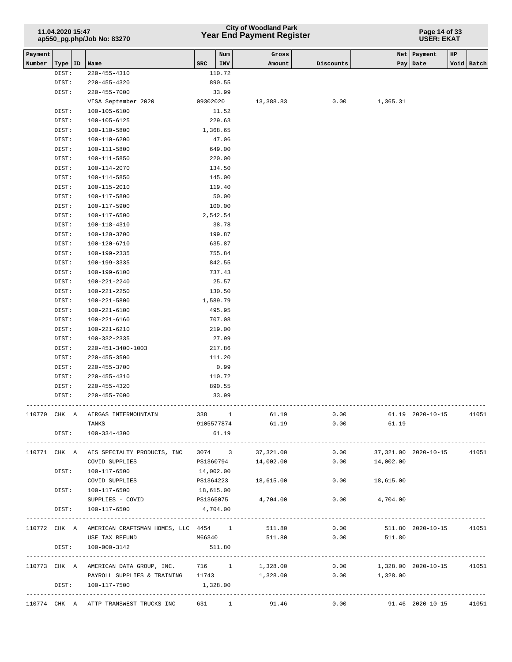## **Year End Payment Register City of Woodland Park 11.04.2020 15:47**

**Page 14 of 33 USER: EKAT**

| Payment      |           |                                                       |            | Num      | Gross     |             | Net                           | Payment           | HP |            |
|--------------|-----------|-------------------------------------------------------|------------|----------|-----------|-------------|-------------------------------|-------------------|----|------------|
| Number       | Type   ID | Name                                                  | <b>SRC</b> | INV      | Amount    | Discounts   | Pay                           | Date              |    | Void Batch |
|              | DIST:     | 220-455-4310                                          |            | 110.72   |           |             |                               |                   |    |            |
|              | DIST:     | 220-455-4320                                          |            | 890.55   |           |             |                               |                   |    |            |
|              | DIST:     | 220-455-7000                                          |            | 33.99    |           |             |                               |                   |    |            |
|              |           | VISA September 2020                                   | 09302020   |          | 13,388.83 | 0.00        | 1,365.31                      |                   |    |            |
|              | DIST:     | $100 - 105 - 6100$                                    |            | 11.52    |           |             |                               |                   |    |            |
|              | DIST:     | 100-105-6125                                          |            | 229.63   |           |             |                               |                   |    |            |
|              | DIST:     | 100-110-5800                                          |            | 1,368.65 |           |             |                               |                   |    |            |
|              | DIST:     | 100-110-6200                                          |            | 47.06    |           |             |                               |                   |    |            |
|              | DIST:     | 100-111-5800                                          |            | 649.00   |           |             |                               |                   |    |            |
|              | DIST:     | 100-111-5850                                          |            | 220.00   |           |             |                               |                   |    |            |
|              | DIST:     | 100-114-2070                                          |            | 134.50   |           |             |                               |                   |    |            |
|              | DIST:     | 100-114-5850                                          |            | 145.00   |           |             |                               |                   |    |            |
|              | DIST:     | 100-115-2010                                          |            | 119.40   |           |             |                               |                   |    |            |
|              | DIST:     | 100-117-5800                                          |            | 50.00    |           |             |                               |                   |    |            |
|              | DIST:     | 100-117-5900                                          |            | 100.00   |           |             |                               |                   |    |            |
|              | DIST:     | 100-117-6500                                          |            | 2,542.54 |           |             |                               |                   |    |            |
|              | DIST:     | 100-118-4310                                          |            | 38.78    |           |             |                               |                   |    |            |
|              | DIST:     | 100-120-3700                                          |            | 199.87   |           |             |                               |                   |    |            |
|              | DIST:     | 100-120-6710                                          |            | 635.87   |           |             |                               |                   |    |            |
|              | DIST:     | 100-199-2335                                          |            | 755.84   |           |             |                               |                   |    |            |
|              | DIST:     | 100-199-3335                                          |            | 842.55   |           |             |                               |                   |    |            |
|              | DIST:     | 100-199-6100                                          |            | 737.43   |           |             |                               |                   |    |            |
|              | DIST:     | 100-221-2240                                          |            | 25.57    |           |             |                               |                   |    |            |
|              | DIST:     | 100-221-2250                                          |            | 130.50   |           |             |                               |                   |    |            |
|              | DIST:     | 100-221-5800                                          |            | 1,589.79 |           |             |                               |                   |    |            |
|              | DIST:     | 100-221-6100                                          |            | 495.95   |           |             |                               |                   |    |            |
|              | DIST:     | $100 - 221 - 6160$                                    |            | 707.08   |           |             |                               |                   |    |            |
|              | DIST:     | 100-221-6210                                          |            | 219.00   |           |             |                               |                   |    |            |
|              | DIST:     | 100-332-2335                                          |            | 27.99    |           |             |                               |                   |    |            |
|              | DIST:     | 220-451-3400-1003                                     |            | 217.86   |           |             |                               |                   |    |            |
|              | DIST:     | $220 - 455 - 3500$                                    |            | 111.20   |           |             |                               |                   |    |            |
|              | DIST:     | $220 - 455 - 3700$                                    |            | 0.99     |           |             |                               |                   |    |            |
|              | DIST:     | 220-455-4310                                          |            | 110.72   |           |             |                               |                   |    |            |
|              | DIST:     | $220 - 455 - 4320$                                    |            | 890.55   |           |             |                               |                   |    |            |
|              | DIST:     | 220-455-7000                                          |            | 33.99    |           |             |                               |                   |    |            |
| 110770 CHK A |           | AIRGAS INTERMOUNTAIN                                  | 338        | 1        | 61.19     | 0.00        |                               | 61.19 2020-10-15  |    | 41051      |
|              |           | TANKS                                                 | 9105577874 |          | 61.19     | 0.00        | 61.19                         |                   |    |            |
|              |           | DIST: 100-334-4300                                    |            | 61.19    |           |             |                               |                   |    |            |
|              |           |                                                       |            |          |           |             |                               |                   |    |            |
|              |           | 110771 CHK A AIS SPECIALTY PRODUCTS, INC 3074 3       |            |          | 37,321.00 | 0.00        | 37,321.00 2020-10-15          |                   |    | 41051      |
|              |           | COVID SUPPLIES                                        | PS1360794  |          | 14,002.00 | 0.00        | 14,002.00                     |                   |    |            |
|              | DIST:     | 100-117-6500                                          | 14,002.00  |          |           |             |                               |                   |    |            |
|              |           | COVID SUPPLIES                                        | PS1364223  |          | 18,615.00 | 0.00        | 18,615.00                     |                   |    |            |
|              | DIST:     | 100-117-6500                                          | 18,615.00  |          |           |             |                               |                   |    |            |
|              |           | SUPPLIES - COVID PS1365075                            |            |          | 4,704.00  |             | $0.00$ $4,704.00$             |                   |    |            |
|              | DIST:     | 100-117-6500                                          | 4,704.00   |          |           |             |                               |                   |    |            |
|              |           |                                                       |            |          |           |             |                               |                   |    |            |
|              |           | 110772 CHK A AMERICAN CRAFTSMAN HOMES, LLC 4454 1     |            |          | 511.80    | 0.00        |                               | 511.80 2020-10-15 |    | 41051      |
|              |           | USE TAX REFUND                                        | M66340     |          |           | 511.80 0.00 | 511.80                        |                   |    |            |
|              | DIST:     | 100-000-3142                                          |            | 511.80   |           |             |                               |                   |    |            |
|              |           |                                                       |            |          |           |             |                               |                   |    |            |
|              |           | 110773 CHK A AMERICAN DATA GROUP, INC. 716 1 1,328.00 |            |          |           |             | $0.00$ 1,328.00 2020-10-15    |                   |    | 41051      |
|              |           | PAYROLL SUPPLIES & TRAINING 11743 1,328.00            |            |          |           |             | $0.00$ 1,328.00               |                   |    |            |
|              |           | DIST: 100-117-7500                                    | 1,328.00   |          |           |             |                               |                   |    |            |
|              |           |                                                       |            |          |           |             |                               |                   |    |            |
|              |           | 110774 CHK A ATTP TRANSWEST TRUCKS INC 631 1 91.46    |            |          |           |             | $0.00$ 91.46 2020-10-15 41051 |                   |    |            |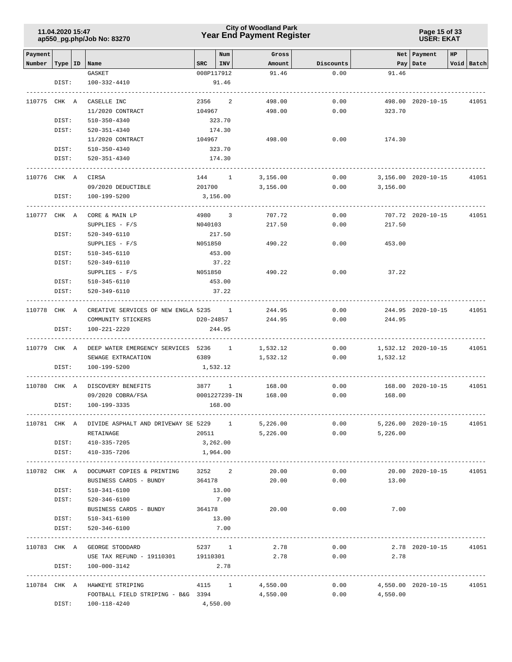### **Year End Payment Register City of Woodland Park 11.04.2020 15:47**

**Page 15 of 33 USER: EKAT**

| Payment      |       |                                                      |               | Num  | Gross           |           |          | Net   Payment          | HP |            |
|--------------|-------|------------------------------------------------------|---------------|------|-----------------|-----------|----------|------------------------|----|------------|
| Number       |       | Type   ID   Name                                     | SRC           | INV  | Amount          | Discounts |          | Pay   Date             |    | Void Batch |
|              |       | GASKET                                               | 008P117912    |      | 91.46           | 0.00      | 91.46    |                        |    |            |
|              | DIST: | 100-332-4410                                         | 91.46         |      |                 |           |          |                        |    |            |
| 110775 CHK A |       | CASELLE INC                                          | 2356          | 2    | 498.00          | 0.00      |          | 498.00 2020-10-15      |    | 41051      |
|              |       | 11/2020 CONTRACT                                     | 104967        |      | 498.00          | 0.00      | 323.70   |                        |    |            |
|              | DIST: | 510-350-4340                                         | 323.70        |      |                 |           |          |                        |    |            |
|              | DIST: | 520-351-4340                                         | 174.30        |      |                 |           |          |                        |    |            |
|              |       |                                                      |               |      |                 |           |          |                        |    |            |
|              |       | 11/2020 CONTRACT                                     | 104967        |      | 498.00          | 0.00      | 174.30   |                        |    |            |
|              | DIST: | 510-350-4340                                         | 323.70        |      |                 |           |          |                        |    |            |
|              | DIST: | 520-351-4340                                         | 174.30        |      |                 |           |          |                        |    |            |
| 110776 CHK A |       | CIRSA                                                | 144 1         |      | 3,156.00        | 0.00      |          | 3,156.00 2020-10-15    |    | 41051      |
|              |       | 09/2020 DEDUCTIBLE                                   | 201700        |      | 3,156.00        | 0.00      | 3,156.00 |                        |    |            |
|              | DIST: | 100-199-5200                                         | 3,156.00      |      |                 |           |          |                        |    |            |
|              |       |                                                      |               |      |                 |           |          |                        |    |            |
| 110777 CHK A |       | CORE & MAIN LP                                       | 4980 3        |      | 707.72          | 0.00      |          | 707.72 2020-10-15      |    | 41051      |
|              |       | $SUPPLIES - F/S$                                     | N040103       |      | 217.50          | 0.00      | 217.50   |                        |    |            |
|              | DIST: | 520-349-6110                                         | 217.50        |      |                 |           |          |                        |    |            |
|              |       | $SUPPLIES - F/S$                                     | N051850       |      | 490.22          | 0.00      | 453.00   |                        |    |            |
|              | DIST: | 510-345-6110                                         | 453.00        |      |                 |           |          |                        |    |            |
|              | DIST: | 520-349-6110                                         | 37.22         |      |                 |           |          |                        |    |            |
|              |       | $SUPPLIES - F/S$                                     | N051850       |      | 490.22          | 0.00      | 37.22    |                        |    |            |
|              | DIST: | 510-345-6110                                         | 453.00        |      |                 |           |          |                        |    |            |
|              | DIST: | 520-349-6110                                         | 37.22         |      |                 |           |          |                        |    |            |
|              |       |                                                      |               |      |                 |           |          |                        |    |            |
| 110778 CHK A |       | CREATIVE SERVICES OF NEW ENGLA 5235 1                |               |      | 244.95          | 0.00      |          | 244.95 2020-10-15      |    | 41051      |
|              |       | COMMUNITY STICKERS                                   | D20-24857     |      | 244.95          | 0.00      | 244.95   |                        |    |            |
|              | DIST: | 100-221-2220                                         | 244.95        |      |                 |           |          |                        |    |            |
| 110779 CHK A |       | DEEP WATER EMERGENCY SERVICES 5236 1                 |               |      | 1,532.12        | 0.00      |          | 1,532.12 2020-10-15    |    | 41051      |
|              |       | SEWAGE EXTRACATION                                   | 6389          |      | 1,532.12        | 0.00      | 1,532.12 |                        |    |            |
|              | DIST: | 100-199-5200                                         | 1,532.12      |      |                 |           |          |                        |    |            |
|              |       |                                                      |               |      |                 |           |          |                        |    |            |
|              |       | 110780 CHK A DISCOVERY BENEFITS                      | 3877 1        |      | 168.00          | 0.00      |          | 168.00 2020-10-15      |    | 41051      |
|              |       | 09/2020 COBRA/FSA                                    | 0001227239-IN |      | 168.00          | 0.00      | 168.00   |                        |    |            |
|              | DIST: | 100-199-3335                                         | 168.00        |      |                 |           |          |                        |    |            |
|              |       | 110781 CHK A DIVIDE ASPHALT AND DRIVEWAY SE 5229 $1$ |               |      | 5,226.00        | 0.00      |          | 5,226.00 2020-10-15    |    | 41051      |
|              |       | RETAINAGE                                            | 20511         |      | 5,226.00        | 0.00      | 5,226.00 |                        |    |            |
|              |       | DIST: 410-335-7205                                   | 3,262.00      |      |                 |           |          |                        |    |            |
|              | DIST: | 410-335-7206                                         | 1,964.00      |      |                 |           |          |                        |    |            |
|              |       |                                                      |               |      |                 |           |          |                        |    |            |
|              |       | 110782 CHK A DOCUMART COPIES & PRINTING              | 3252 2        |      | 20.00           | 0.00      |          | 20.00 2020-10-15 41051 |    |            |
|              |       | BUSINESS CARDS - BUNDY                               | 364178        |      | 20.00           | 0.00      | 13.00    |                        |    |            |
|              | DIST: | 510-341-6100                                         | 13.00         |      |                 |           |          |                        |    |            |
|              | DIST: | 520-346-6100                                         | 7.00          |      |                 |           |          |                        |    |            |
|              |       | BUSINESS CARDS - BUNDY 364178                        |               |      | 20.00           | 0.00      | 7.00     |                        |    |            |
|              | DIST: | 510-341-6100                                         | 13.00         |      |                 |           |          |                        |    |            |
|              | DIST: | 520-346-6100                                         | 7.00          |      |                 |           |          |                        |    |            |
|              |       |                                                      |               |      |                 |           |          |                        |    |            |
|              |       | 110783 CHK A GEORGE STODDARD                         | 5237 1        |      | 2.78            | 0.00      |          | 2.78 2020-10-15        |    | 41051      |
|              |       | USE TAX REFUND - 19110301 19110301                   |               |      | 2.78            | 0.00      | 2.78     |                        |    |            |
|              | DIST: | 100-000-3142                                         |               | 2.78 |                 |           |          |                        |    |            |
|              |       | 110784 CHK A HAWKEYE STRIPING                        |               |      | 4115 1 4,550.00 | 0.00      |          | 4,550.00 2020-10-15    |    | 41051      |
|              |       | FOOTBALL FIELD STRIPING - B&G 3394                   |               |      | 4,550.00        | 0.00      | 4,550.00 |                        |    |            |
|              | DIST: | 100-118-4240                                         | 4,550.00      |      |                 |           |          |                        |    |            |
|              |       |                                                      |               |      |                 |           |          |                        |    |            |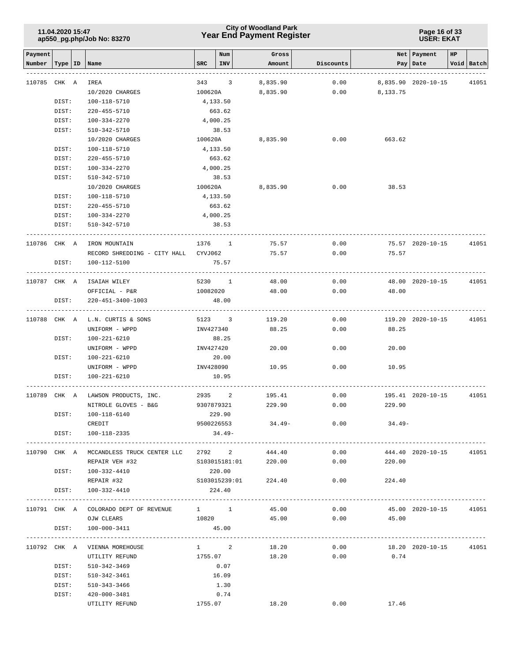### **Year End Payment Register City of Woodland Park 11.04.2020 15:47**

#### **Page 16 of 33 USER: EKAT**

| Payment      |       |    |                                           |           | Num                    | Gross                |              |                | Net   Payment          | HP |            |
|--------------|-------|----|-------------------------------------------|-----------|------------------------|----------------------|--------------|----------------|------------------------|----|------------|
| Number       | Type  | ID | Name                                      | SRC       | <b>INV</b>             | Amount               | Discounts    | Pay            | Date                   |    | Void Batch |
|              |       |    |                                           |           |                        |                      |              |                |                        |    |            |
| 110785       | CHK A |    | IREA<br>10/2020 CHARGES                   | 100620A   | 343 3                  | 8,835.90<br>8,835.90 | 0.00<br>0.00 | 8,133.75       | 8,835.90 2020-10-15    |    | 41051      |
|              | DIST: |    | 100-118-5710                              | 4,133.50  |                        |                      |              |                |                        |    |            |
|              | DIST: |    | 220-455-5710                              |           | 663.62                 |                      |              |                |                        |    |            |
|              | DIST: |    | 100-334-2270                              |           | 4,000.25               |                      |              |                |                        |    |            |
|              | DIST: |    | 510-342-5710                              |           | 38.53                  |                      |              |                |                        |    |            |
|              |       |    | 10/2020 CHARGES                           | 100620A   |                        | 8,835.90             | 0.00         | 663.62         |                        |    |            |
|              | DIST: |    | 100-118-5710                              |           | 4,133.50               |                      |              |                |                        |    |            |
|              | DIST: |    | 220-455-5710                              |           | 663.62                 |                      |              |                |                        |    |            |
|              | DIST: |    | 100-334-2270                              |           | 4,000.25               |                      |              |                |                        |    |            |
|              | DIST: |    | 510-342-5710                              |           | 38.53                  |                      |              |                |                        |    |            |
|              |       |    | 10/2020 CHARGES                           |           | 100620A                | 8,835.90             | 0.00         | 38.53          |                        |    |            |
|              | DIST: |    | 100-118-5710                              | 4,133.50  |                        |                      |              |                |                        |    |            |
|              | DIST: |    | 220-455-5710                              |           | 663.62                 |                      |              |                |                        |    |            |
|              | DIST: |    | 100-334-2270                              |           | 4,000.25               |                      |              |                |                        |    |            |
|              | DIST: |    | 510-342-5710                              |           | 38.53                  |                      |              |                |                        |    |            |
| 110786 CHK A |       |    | IRON MOUNTAIN                             |           | 1376 1                 | 75.57                | 0.00         |                | 75.57 2020-10-15       |    | 41051      |
|              |       |    | RECORD SHREDDING - CITY HALL CYVJ062      |           |                        | 75.57                | 0.00         | 75.57          |                        |    |            |
|              | DIST: |    | 100-112-5100                              |           | 75.57                  |                      |              |                |                        |    |            |
|              |       |    |                                           |           |                        |                      |              |                |                        |    |            |
| 110787 CHK A |       |    | ISAIAH WILEY                              |           | 5230 1                 | 48.00                | 0.00         |                | 48.00 2020-10-15       |    | 41051      |
|              |       |    | OFFICIAL - P&R                            | 10082020  |                        | 48.00                | 0.00         | 48.00          |                        |    |            |
|              | DIST: |    | 220-451-3400-1003                         |           | 48.00                  |                      |              |                |                        |    |            |
|              |       |    | 110788 CHK A L.N. CURTIS & SONS           |           | 5123 3                 | 119.20               | 0.00         |                | 119.20 2020-10-15      |    | 41051      |
|              |       |    | UNIFORM - WPPD                            | INV427340 |                        | 88.25                | 0.00         | 88.25          |                        |    |            |
|              | DIST: |    | 100-221-6210                              |           | 88.25                  |                      |              |                |                        |    |            |
|              |       |    | UNIFORM - WPPD                            | INV427420 |                        | 20.00                | 0.00         | 20.00          |                        |    |            |
|              | DIST: |    | 100-221-6210                              |           | 20.00                  |                      |              |                |                        |    |            |
|              |       |    | UNIFORM - WPPD                            |           | INV428090              | 10.95                | 0.00         | 10.95          |                        |    |            |
|              | DIST: |    | 100-221-6210                              |           | 10.95                  |                      |              |                |                        |    |            |
|              |       |    |                                           |           |                        |                      |              |                |                        |    |            |
| 110789       | CHK A |    | LAWSON PRODUCTS, INC.                     |           | 2935 2                 | 195.41               | 0.00         |                | 195.41 2020-10-15      |    | 41051      |
|              |       |    | NITROLE GLOVES - B&G                      |           | 9307879321             | 229.90               | 0.00         | 229.90         |                        |    |            |
|              | DIST: |    | 100-118-6140<br>CREDIT                    |           | 229.90                 |                      |              |                |                        |    |            |
|              |       |    | DIST: 100-118-2335                        |           | 9500226553<br>$34.49-$ | 34.49-               | 0.00         | 34.49-         |                        |    |            |
|              |       |    |                                           |           |                        |                      |              |                |                        |    |            |
|              |       |    | 110790 CHK A MCCANDLESS TRUCK CENTER LLC  |           | 2792 2                 | 444.40               | 0.00         |                | 444.40 2020-10-15      |    | 41051      |
|              |       |    | REPAIR VEH #32                            |           |                        | S103015181:01 220.00 |              | 0.00<br>220.00 |                        |    |            |
|              |       |    | DIST: 100-332-4410                        |           | 220.00                 |                      |              |                |                        |    |            |
|              |       |    | REPAIR #32                                |           |                        | S103015239:01 224.40 |              | 0.00<br>224.40 |                        |    |            |
|              | DIST: |    | 100-332-4410                              |           | 224.40                 |                      |              |                |                        |    |            |
|              |       |    | 110791 CHK A COLORADO DEPT OF REVENUE 1 1 |           |                        | 45.00                | 0.00         |                | 45.00 2020-10-15 41051 |    |            |
|              |       |    | OJW CLEARS                                | 10820     |                        | 45.00                |              | $0.00$ 45.00   |                        |    |            |
|              | DIST: |    | 100-000-3411                              |           | 45.00                  |                      |              |                |                        |    |            |
|              |       |    |                                           |           |                        |                      |              |                |                        |    |            |
|              |       |    | 110792 CHK A VIENNA MOREHOUSE             |           | $1 \qquad \qquad 2$    | 18.20                | 0.00         |                | 18.20 2020-10-15 41051 |    |            |
|              |       |    | UTILITY REFUND                            | 1755.07   |                        | 18.20                | 0.00         | 0.74           |                        |    |            |
|              | DIST: |    | 510-342-3469                              |           | 0.07                   |                      |              |                |                        |    |            |
|              | DIST: |    | 510-342-3461                              |           | 16.09                  |                      |              |                |                        |    |            |
|              | DIST: |    | 510-343-3466                              |           | 1.30                   |                      |              |                |                        |    |            |
|              | DIST: |    | 420-000-3481                              |           | 0.74                   |                      |              |                |                        |    |            |
|              |       |    | UTILITY REFUND                            | 1755.07   |                        | 18.20                | 0.00         | 17.46          |                        |    |            |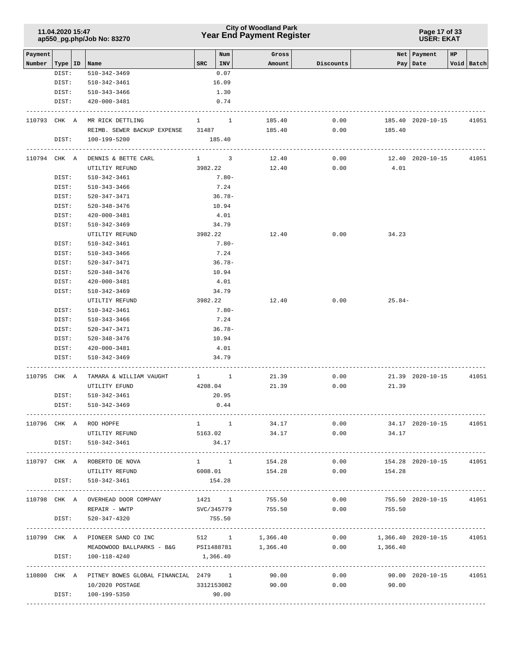### **Year End Payment Register City of Woodland Park 11.04.2020 15:47**

#### **Page 17 of 33 USER: EKAT**

| Payment |                    |                                                              |                     | Num         | Gross               |           |                                  | Net   Payment           | HP |                 |
|---------|--------------------|--------------------------------------------------------------|---------------------|-------------|---------------------|-----------|----------------------------------|-------------------------|----|-----------------|
| Number  | Type   ID<br>DIST: | Name<br>510-342-3469                                         | <b>SRC</b>          | INV<br>0.07 | Amount              | Discounts |                                  | Pay   Date              |    | Void Batch      |
|         | DIST:              | 510-342-3461                                                 |                     | 16.09       |                     |           |                                  |                         |    |                 |
|         | DIST:              | 510-343-3466                                                 |                     | 1.30        |                     |           |                                  |                         |    |                 |
|         | DIST:              | 420-000-3481                                                 |                     | 0.74        |                     |           |                                  |                         |    |                 |
|         |                    |                                                              |                     |             |                     |           |                                  |                         |    |                 |
|         | 110793 CHK A       | MR RICK DETTLING                                             | $1 \quad$           | $\sim$ 1    | 185.40              | 0.00      |                                  | 185.40 2020-10-15       |    | 41051           |
|         |                    | REIMB. SEWER BACKUP EXPENSE 31487                            |                     |             | 185.40              | 0.00      | 185.40                           |                         |    |                 |
|         | DIST:              | 100-199-5200                                                 |                     | 185.40      |                     |           |                                  |                         |    |                 |
|         | 110794 CHK A       | DENNIS & BETTE CARL                                          | $1 \qquad \qquad 3$ |             | 12.40               | 0.00      |                                  | 12.40 2020-10-15        |    | 41051           |
|         |                    | UTILTIY REFUND                                               | 3982.22             |             | 12.40               | 0.00      | 4.01                             |                         |    |                 |
|         | DIST:              | 510-342-3461                                                 |                     | $7.80 -$    |                     |           |                                  |                         |    |                 |
|         | DIST:              | 510-343-3466                                                 |                     | 7.24        |                     |           |                                  |                         |    |                 |
|         | DIST:              | 520-347-3471                                                 |                     | $36.78-$    |                     |           |                                  |                         |    |                 |
|         | DIST:              | 520-348-3476                                                 |                     | 10.94       |                     |           |                                  |                         |    |                 |
|         | DIST:              | 420-000-3481                                                 |                     | 4.01        |                     |           |                                  |                         |    |                 |
|         | DIST:              | 510-342-3469                                                 |                     | 34.79       |                     |           |                                  |                         |    |                 |
|         |                    | UTILTIY REFUND                                               | 3982.22             |             | 12.40               | 0.00      | 34.23                            |                         |    |                 |
|         | DIST:              | 510-342-3461                                                 |                     | $7.80 -$    |                     |           |                                  |                         |    |                 |
|         | DIST:              | 510-343-3466                                                 |                     | 7.24        |                     |           |                                  |                         |    |                 |
|         | DIST:              | 520-347-3471                                                 |                     | $36.78-$    |                     |           |                                  |                         |    |                 |
|         | DIST:              | 520-348-3476                                                 |                     | 10.94       |                     |           |                                  |                         |    |                 |
|         | DIST:              | 420-000-3481                                                 |                     | 4.01        |                     |           |                                  |                         |    |                 |
|         | DIST:              | 510-342-3469                                                 |                     | 34.79       |                     |           |                                  |                         |    |                 |
|         |                    | UTILTIY REFUND                                               | 3982.22             |             | 12.40               | 0.00      | $25.84-$                         |                         |    |                 |
|         | DIST:              | 510-342-3461                                                 |                     | $7.80 -$    |                     |           |                                  |                         |    |                 |
|         | DIST:              | 510-343-3466                                                 |                     | 7.24        |                     |           |                                  |                         |    |                 |
|         | DIST:              | 520-347-3471                                                 |                     | $36.78-$    |                     |           |                                  |                         |    |                 |
|         | DIST:              | 520-348-3476                                                 |                     | 10.94       |                     |           |                                  |                         |    |                 |
|         | DIST:              | 420-000-3481                                                 |                     | 4.01        |                     |           |                                  |                         |    |                 |
|         | DIST:              | 510-342-3469                                                 |                     | 34.79       |                     |           |                                  |                         |    |                 |
| 110795  | CHK A              | TAMARA & WILLIAM VAUGHT                                      | $1 \quad 1$         |             | 21.39               | 0.00      |                                  | 21.39 2020-10-15        |    | 41051           |
|         |                    | UTILITY EFUND                                                | 4208.04             |             | 21.39               | 0.00      | 21.39                            |                         |    |                 |
|         | DIST:              | 510-342-3461                                                 |                     | 20.95       |                     |           |                                  |                         |    |                 |
|         | DIST:              | $510 - 342 - 3469$                                           |                     | 0.44        |                     |           |                                  |                         |    |                 |
|         |                    |                                                              |                     |             |                     |           |                                  |                         |    |                 |
|         |                    | 110796 CHK A ROD HOPFE                                       |                     | $1 \quad 1$ | 34.17               | 0.00      |                                  | 34.17 2020-10-15        |    | 41051           |
|         |                    | UTILTIY REFUND                                               |                     | 5163.02     | 34.17               | 0.00      | 34.17                            |                         |    |                 |
|         |                    | DIST: 510-342-3461                                           |                     | 34.17       |                     |           |                                  |                         |    |                 |
|         |                    | 110797 CHK A ROBERTO DE NOVA                                 |                     |             | 1 1 1 1 154.28      | 0.00      |                                  | 154.28 2020-10-15 41051 |    |                 |
|         |                    | UTILITY REFUND                                               |                     |             | 6008.01 154.28 0.00 |           | 154.28                           |                         |    |                 |
|         | DIST:              | 510-342-3461                                                 | 154.28              |             |                     |           |                                  |                         |    |                 |
|         |                    | 110798 CHK A OVERHEAD DOOR COMPANY 1421 1 755.50             |                     |             |                     | 0.00      |                                  | 755.50 2020-10-15 41051 |    |                 |
|         |                    | REPAIR - WWTP                                                |                     |             |                     |           | SVC/345779 755.50 0.00 755.50    |                         |    |                 |
|         | DIST:              | 520-347-4320                                                 |                     | 755.50      |                     |           |                                  |                         |    |                 |
|         |                    |                                                              |                     |             |                     |           |                                  |                         |    |                 |
|         |                    | 110799 CHK A PIONEER SAND CO INC 512 1 1,366.40              |                     |             |                     |           | $0.00$ 1,366.40 2020-10-15 41051 |                         |    |                 |
|         |                    | MEADOWOOD BALLPARKS - B&G PSI1488781 1,366.40                |                     |             |                     |           | $0.00$ 1,366.40                  |                         |    |                 |
|         |                    | DIST: 100-118-4240                                           | 1,366.40            |             |                     |           |                                  |                         |    | --------------- |
|         |                    | 110800 CHK A PITNEY BOWES GLOBAL FINANCIAL 2479 1 90.00 0.00 |                     |             |                     |           | 90.00  2020-10-15  41051         |                         |    |                 |
|         |                    | 10/2020 POSTAGE                                              |                     |             |                     |           | 3312153082 90.00 0.00 90.00      |                         |    |                 |
|         |                    |                                                              |                     |             |                     |           |                                  |                         |    |                 |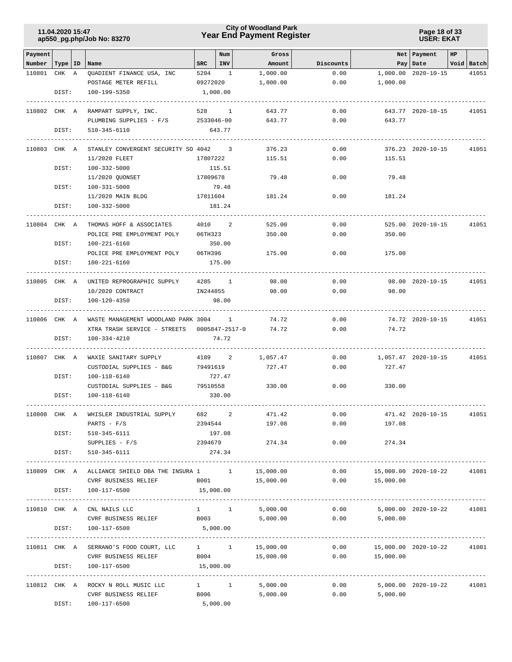### **Year End Payment Register City of Woodland Park 11.04.2020 15:47**

**Page 18 of 33 USER: EKAT**

| Payment                   |       |                                                        |                      | Num                                                                                                             | Gross            |                                     |                              | Net   Payment          | HP |            |
|---------------------------|-------|--------------------------------------------------------|----------------------|-----------------------------------------------------------------------------------------------------------------|------------------|-------------------------------------|------------------------------|------------------------|----|------------|
| Number   Type   ID   Name |       |                                                        | $_{\rm SRC}$         | INV                                                                                                             | Amount           | Discounts                           |                              | Pay   Date             |    | Void Batch |
| 110801                    | CHK A | QUADIENT FINANCE USA, INC                              | 5204                 | $\overline{\phantom{1}}$                                                                                        | 1,000.00         | 0.00                                |                              | 1,000.00 2020-10-15    |    | 41051      |
|                           | DIST: | POSTAGE METER REFILL<br>100-199-5350                   | 09272020<br>1,000.00 |                                                                                                                 | 1,000.00         | 0.00                                | 1,000.00                     |                        |    |            |
|                           |       |                                                        |                      |                                                                                                                 |                  |                                     |                              |                        |    |            |
| 110802 CHK A              |       | RAMPART SUPPLY, INC.                                   |                      | 528 1                                                                                                           | 643.77           | 0.00                                |                              | 643.77 2020-10-15      |    | 41051      |
|                           |       | PLUMBING SUPPLIES - F/S                                | 2533046-00           |                                                                                                                 | 643.77           | 0.00                                | 643.77                       |                        |    |            |
|                           | DIST: | 510-345-6110                                           |                      | 643.77                                                                                                          |                  |                                     |                              |                        |    |            |
|                           |       |                                                        |                      |                                                                                                                 |                  |                                     |                              |                        |    |            |
| 110803 CHK A              |       | STANLEY CONVERGENT SECURITY SO 4042 3<br>11/2020 FLEET |                      | 17807222                                                                                                        | 376.23<br>115.51 | 0.00<br>0.00                        | 115.51                       | 376.23 2020-10-15      |    | 41051      |
|                           | DIST: | 100-332-5000                                           |                      | 115.51                                                                                                          |                  |                                     |                              |                        |    |            |
|                           |       | 11/2020 QUONSET                                        | 17809678             |                                                                                                                 | 79.48            | 0.00                                | 79.48                        |                        |    |            |
|                           | DIST: | 100-331-5000                                           |                      | 79.48                                                                                                           |                  |                                     |                              |                        |    |            |
|                           |       | 11/2020 MAIN BLDG                                      | 17811604             |                                                                                                                 | 181.24           | 0.00                                | 181.24                       |                        |    |            |
|                           | DIST: | 100-332-5000                                           |                      | 181.24                                                                                                          |                  |                                     |                              |                        |    |            |
|                           |       |                                                        |                      | ______________                                                                                                  |                  |                                     |                              |                        |    |            |
| 110804 CHK A              |       | THOMAS HOFF & ASSOCIATES                               |                      | 4010 2                                                                                                          | 525.00           | 0.00                                |                              | 525.00 2020-10-15      |    | 41051      |
|                           | DIST: | POLICE PRE EMPLOYMENT POLY<br>100-221-6160             | 06TH323              | 350.00                                                                                                          | 350.00           | 0.00                                | 350.00                       |                        |    |            |
|                           |       | POLICE PRE EMPLOYMENT POLY                             | 06TH396              |                                                                                                                 | 175.00           | 0.00                                | 175.00                       |                        |    |            |
|                           | DIST: | 100-221-6160                                           |                      | 175.00                                                                                                          |                  |                                     |                              |                        |    |            |
|                           |       |                                                        |                      |                                                                                                                 |                  |                                     |                              |                        |    |            |
| 110805 CHK A              |       | UNITED REPROGRAPHIC SUPPLY                             |                      | 4285 1                                                                                                          | 98.00            | 0.00                                |                              | 98.00 2020-10-15       |    | 41051      |
|                           |       | 10/2020 CONTRACT                                       | IN244855             |                                                                                                                 | 98.00            | 0.00                                | 98.00                        |                        |    |            |
|                           | DIST: | 100-120-4350                                           |                      | 98.00                                                                                                           |                  |                                     |                              |                        |    |            |
| 110806 CHK A              |       | WASTE MANAGEMENT WOODLAND PARK 3004 1                  |                      |                                                                                                                 | 74.72            | 0.00                                |                              | 74.72 2020-10-15       |    | 41051      |
|                           |       | XTRA TRASH SERVICE - STREETS 0005847-2517-0            |                      |                                                                                                                 | 74.72            | 0.00                                | 74.72                        |                        |    |            |
|                           | DIST: | $100 - 334 - 4210$                                     |                      | 74.72                                                                                                           |                  |                                     |                              |                        |    |            |
| 110807 CHK A              |       | WAXIE SANITARY SUPPLY                                  |                      | 4189 2                                                                                                          | 1,057.47         | 0.00                                |                              | 1,057.47 2020-10-15    |    | 41051      |
|                           |       | CUSTODIAL SUPPLIES - B&G                               |                      | 79491619                                                                                                        | 727.47           | 0.00                                | 727.47                       |                        |    |            |
|                           | DIST: | 100-118-6140                                           |                      | 727.47                                                                                                          |                  |                                     |                              |                        |    |            |
|                           |       | CUSTODIAL SUPPLIES - B&G                               | 79510558             |                                                                                                                 | 330.00           | 0.00                                | 330.00                       |                        |    |            |
|                           | DIST: | 100-118-6140                                           |                      | 330.00                                                                                                          |                  |                                     |                              |                        |    |            |
|                           |       |                                                        |                      |                                                                                                                 |                  |                                     |                              |                        |    |            |
| 110808 CHK A              |       | WHISLER INDUSTRIAL SUPPLY                              | 682 7                | 2                                                                                                               | 471.42           | 0.00                                |                              | 471.42 2020-10-15      |    | 41051      |
|                           |       | $PARTS - F/S$                                          | 2394544              | 197.08                                                                                                          | 197.08           | 0.00                                | 197.08                       |                        |    |            |
|                           | DIST: | 510-345-6111<br>$SUPPLIES - F/S$                       |                      | 2394679                                                                                                         | 274.34           | 0.00                                | 274.34                       |                        |    |            |
|                           | DIST: | 510-345-6111                                           |                      | 274.34                                                                                                          |                  |                                     |                              |                        |    |            |
|                           |       |                                                        |                      |                                                                                                                 |                  |                                     |                              |                        |    |            |
|                           |       | 110809 CHK A ALLIANCE SHIELD DBA THE INSURA 1 1        |                      |                                                                                                                 | 15,000.00        | 0.00                                | 15,000.00 2020-10-22         |                        |    | 41081      |
|                           |       | CVRF BUSINESS RELIEF                                   | B001                 |                                                                                                                 | 15,000.00        | 0.00                                | 15,000.00                    |                        |    |            |
|                           | DIST: | 100-117-6500                                           | 15,000.00            |                                                                                                                 |                  |                                     |                              |                        |    |            |
|                           |       | 110810 CHK A CNL NAILS LLC                             |                      |                                                                                                                 | 1 1 5,000.00     |                                     | 0.00                         | 5,000.00 2020-10-22    |    | 41081      |
|                           |       | CVRF BUSINESS RELIEF B003                              |                      |                                                                                                                 |                  | 5,000.00                            | 0.00<br>5,000.00             |                        |    |            |
|                           | DIST: | 100-117-6500                                           | 5,000.00             |                                                                                                                 |                  |                                     |                              |                        |    |            |
|                           |       |                                                        |                      |                                                                                                                 |                  |                                     |                              | ---------------------- |    |            |
|                           |       | 110811 CHK A SERRANO'S FOOD COURT, LLC                 |                      |                                                                                                                 | 1 1 15,000.00    | 0.00                                | 15,000.00  2020-10-22  41081 |                        |    |            |
|                           |       | CVRF BUSINESS RELIEF                                   | B004                 |                                                                                                                 | 15,000.00        | 0.00                                | 15,000.00                    |                        |    |            |
|                           | DIST: | 100-117-6500                                           | 15,000.00            |                                                                                                                 |                  | ----------------------------------- |                              |                        |    |            |
| 110812 CHK A              |       | ROCKY N ROLL MUSIC LLC 1 1 1                           |                      |                                                                                                                 | 5,000.00         |                                     | 0.00                         | 5,000.00 2020-10-22    |    | 41081      |
|                           |       | CVRF BUSINESS RELIEF                                   |                      | B006 and the state of the state of the state of the state of the state of the state of the state of the state o | 5,000.00         |                                     | 0.00<br>5,000.00             |                        |    |            |
|                           | DIST: | 100-117-6500                                           | 5,000.00             |                                                                                                                 |                  |                                     |                              |                        |    |            |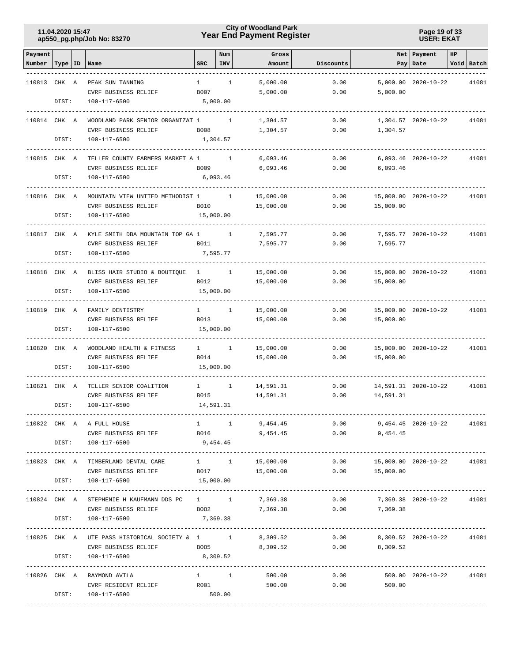### **Year End Payment Register City of Woodland Park 11.04.2020 15:47**

**Page 19 of 33 USER: EKAT**

| Payment            |       |                                                |                                                                                                                | Num          | Gross                                                                                                                    |                                   |                            | Net   Payment         | HP |            |
|--------------------|-------|------------------------------------------------|----------------------------------------------------------------------------------------------------------------|--------------|--------------------------------------------------------------------------------------------------------------------------|-----------------------------------|----------------------------|-----------------------|----|------------|
| Number   Type   ID |       | Name                                           | <b>SRC</b>                                                                                                     | INV          | Amount                                                                                                                   | Discounts                         |                            | Pay   Date            |    | Void Batch |
|                    |       |                                                |                                                                                                                |              |                                                                                                                          |                                   |                            |                       |    |            |
| 110813 CHK A       |       | PEAK SUN TANNING                               | $\mathbf{1}$                                                                                                   | $\mathbf{1}$ | 5,000.00                                                                                                                 | 0.00                              |                            | 5,000.00 2020-10-22   |    | 41081      |
|                    |       | CVRF BUSINESS RELIEF                           | B007                                                                                                           |              | 5,000.00                                                                                                                 | 0.00                              | 5,000.00                   |                       |    |            |
|                    | DIST: | 100-117-6500                                   |                                                                                                                | 5,000.00     |                                                                                                                          |                                   |                            |                       |    |            |
|                    |       |                                                |                                                                                                                |              |                                                                                                                          |                                   |                            |                       |    |            |
| 110814 CHK A       |       | WOODLAND PARK SENIOR ORGANIZAT 1               |                                                                                                                | $\mathbf{1}$ | 1,304.57                                                                                                                 | 0.00                              |                            | 1,304.57 2020-10-22   |    | 41081      |
|                    |       | CVRF BUSINESS RELIEF                           | <b>B008</b>                                                                                                    |              | 1,304.57                                                                                                                 | 0.00                              | 1,304.57                   |                       |    |            |
|                    | DIST: | 100-117-6500                                   | 1,304.57                                                                                                       |              |                                                                                                                          |                                   |                            |                       |    |            |
|                    |       |                                                |                                                                                                                |              |                                                                                                                          |                                   |                            |                       |    |            |
| 110815 CHK A       |       | TELLER COUNTY FARMERS MARKET A 1               |                                                                                                                | $\mathbf{1}$ | 6,093.46                                                                                                                 | 0.00                              |                            | $6,093.46$ 2020-10-22 |    | 41081      |
|                    |       | CVRF BUSINESS RELIEF                           | B009                                                                                                           |              | 6,093.46                                                                                                                 | 0.00                              | 6,093.46                   |                       |    |            |
|                    | DIST: | 100-117-6500                                   |                                                                                                                | 6,093.46     |                                                                                                                          |                                   |                            |                       |    |            |
|                    |       |                                                |                                                                                                                |              |                                                                                                                          |                                   |                            |                       |    |            |
| 110816 CHK A       |       | MOUNTAIN VIEW UNITED METHODIST 1               |                                                                                                                | $\mathbf{1}$ | 15,000.00                                                                                                                | 0.00                              |                            | 15,000.00 2020-10-22  |    | 41081      |
|                    |       | CVRF BUSINESS RELIEF                           | B010                                                                                                           |              | 15,000.00                                                                                                                | 0.00                              | 15,000.00                  |                       |    |            |
|                    | DIST: | 100-117-6500                                   | 15,000.00                                                                                                      |              |                                                                                                                          |                                   |                            |                       |    |            |
|                    |       |                                                |                                                                                                                |              |                                                                                                                          |                                   |                            |                       |    |            |
| 110817 CHK A       |       | KYLE SMITH DBA MOUNTAIN TOP GA 1               |                                                                                                                | $\mathbf{1}$ | 7,595.77                                                                                                                 | 0.00                              |                            | 7,595.77 2020-10-22   |    | 41081      |
|                    |       | CVRF BUSINESS RELIEF                           | B011                                                                                                           |              | 7,595.77                                                                                                                 | 0.00                              | 7,595.77                   |                       |    |            |
|                    | DIST: | 100-117-6500                                   |                                                                                                                | 7,595.77     |                                                                                                                          |                                   |                            |                       |    |            |
|                    |       |                                                |                                                                                                                |              |                                                                                                                          |                                   |                            |                       |    |            |
| 110818 CHK A       |       | BLISS HAIR STUDIO & BOUTIQUE 1 1               |                                                                                                                |              | 15,000.00                                                                                                                | 0.00                              |                            | 15,000.00 2020-10-22  |    | 41081      |
|                    |       | CVRF BUSINESS RELIEF                           | B012                                                                                                           |              | 15,000.00                                                                                                                | 0.00                              | 15,000.00                  |                       |    |            |
|                    | DIST: | 100-117-6500                                   | 15,000.00                                                                                                      |              |                                                                                                                          |                                   |                            |                       |    |            |
|                    |       |                                                |                                                                                                                |              |                                                                                                                          |                                   |                            |                       |    |            |
|                    |       | FAMILY DENTISTRY                               |                                                                                                                | $\mathbf{1}$ |                                                                                                                          | 0.00                              |                            | 15,000.00 2020-10-22  |    | 41081      |
| 110819 CHK A       |       | <b>CVRF BUSINESS RELIEF</b>                    | $1 \quad \blacksquare$<br>B013                                                                                 |              | 15,000.00                                                                                                                |                                   |                            |                       |    |            |
|                    | DIST: |                                                |                                                                                                                |              | 15,000.00                                                                                                                | 0.00                              | 15,000.00                  |                       |    |            |
|                    |       | 100-117-6500                                   | 15,000.00                                                                                                      |              |                                                                                                                          |                                   |                            |                       |    |            |
| 110820             | CHK A | WOODLAND HEALTH & FITNESS                      |                                                                                                                | $\mathbf{1}$ | 15,000.00                                                                                                                | 0.00                              |                            | 15,000.00 2020-10-22  |    |            |
|                    |       | <b>CVRF BUSINESS RELIEF</b>                    | $1 \qquad \qquad$<br>B014                                                                                      |              |                                                                                                                          |                                   |                            |                       |    | 41081      |
|                    | DIST: |                                                |                                                                                                                |              | 15,000.00                                                                                                                | 0.00                              | 15,000.00                  |                       |    |            |
|                    |       | 100-117-6500                                   | 15,000.00                                                                                                      |              |                                                                                                                          |                                   |                            |                       |    |            |
| 110821 CHK A       |       |                                                | 1                                                                                                              | $\mathbf{1}$ |                                                                                                                          | 0.00                              |                            |                       |    | 41081      |
|                    |       | TELLER SENIOR COALITION                        |                                                                                                                |              | 14,591.31                                                                                                                |                                   |                            | 14,591.31 2020-10-22  |    |            |
|                    |       | CVRF BUSINESS RELIEF                           | B015                                                                                                           |              | 14,591.31                                                                                                                | 0.00                              | 14,591.31                  |                       |    |            |
|                    | DIST: | 100-117-6500                                   | 14,591.31                                                                                                      |              |                                                                                                                          |                                   |                            |                       |    |            |
|                    |       |                                                |                                                                                                                |              |                                                                                                                          |                                   |                            |                       |    |            |
|                    |       | 110822 CHK A A FULL HOUSE                      | $1 \quad 1$                                                                                                    |              |                                                                                                                          | 9,454.45 0.00                     |                            |                       |    |            |
|                    |       | CVRF BUSINESS RELIEF                           | B016 and the set of the set of the set of the set of the set of the set of the set of the set of the set of th |              | 9,454.45                                                                                                                 |                                   | 0.00<br>9,454.45           |                       |    |            |
|                    | DIST: | 100-117-6500                                   | 9,454.45                                                                                                       |              |                                                                                                                          |                                   |                            |                       |    |            |
|                    |       |                                                |                                                                                                                |              |                                                                                                                          |                                   |                            |                       |    |            |
|                    |       | 110823 CHK A TIMBERLAND DENTAL CARE            | $1 \quad 1$                                                                                                    |              | 15,000.00                                                                                                                | 0.00                              | 15,000.00 2020-10-22       |                       |    | 41081      |
|                    | DIST: | CVRF BUSINESS RELIEF                           | B017                                                                                                           |              | 15,000.00                                                                                                                | 0.00                              | 15,000.00                  |                       |    |            |
|                    |       | 100-117-6500                                   | 15,000.00                                                                                                      |              |                                                                                                                          | --------------------------------- |                            |                       |    |            |
|                    |       |                                                |                                                                                                                |              |                                                                                                                          |                                   |                            |                       |    |            |
| 110824 CHK A       |       | STEPHENIE H KAUFMANN DDS PC 1 1 7,369.38       |                                                                                                                |              |                                                                                                                          |                                   | $0.00$ 7,369.38 2020-10-22 |                       |    | 41081      |
|                    |       | CVRF BUSINESS RELIEF                           |                                                                                                                |              | BOO2 7,369.38                                                                                                            |                                   | $0.00$ 7,369.38            |                       |    |            |
|                    | DIST: | 100-117-6500                                   | 7,369.38                                                                                                       |              |                                                                                                                          |                                   |                            |                       |    |            |
|                    |       |                                                |                                                                                                                |              |                                                                                                                          |                                   |                            |                       |    |            |
|                    |       | 110825 CHK A UTE PASS HISTORICAL SOCIETY & 1 1 |                                                                                                                |              | 8,309.52                                                                                                                 | 0.00                              | 8,309.52 2020-10-22        |                       |    | 41081      |
|                    |       | CVRF BUSINESS RELIEF BOO5                      |                                                                                                                |              | 8,309.52                                                                                                                 | 0.00                              | 8,309.52                   |                       |    |            |
|                    | DIST: | 100-117-6500                                   | 8,309.52                                                                                                       |              |                                                                                                                          |                                   |                            |                       |    |            |
|                    |       |                                                |                                                                                                                |              |                                                                                                                          |                                   |                            |                       |    |            |
|                    |       | 110826 CHK A RAYMOND AVILA                     | $1 \qquad \qquad 1$                                                                                            |              | 500.00                                                                                                                   | 0.00                              |                            | 500.00 2020-10-22     |    | 41081      |
|                    |       | CVRF RESIDENT RELIEF                           |                                                                                                                |              | R001 and the set of the set of the set of the set of the set of the set of the set of the set of the set of th<br>500.00 |                                   | 0.00<br>500.00             |                       |    |            |
|                    |       | DIST: 100-117-6500                             |                                                                                                                | 500.00       |                                                                                                                          |                                   |                            |                       |    |            |
|                    |       |                                                |                                                                                                                |              |                                                                                                                          |                                   |                            |                       |    |            |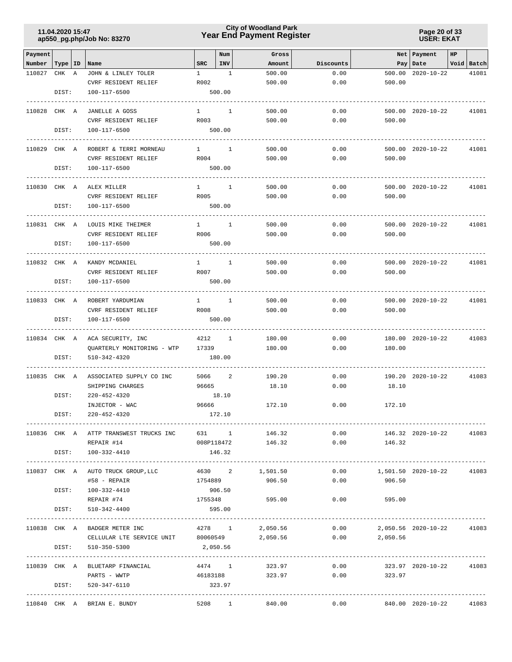### **Year End Payment Register City of Woodland Park 11.04.2020 15:47**

**Page 20 of 33 USER: EKAT**

| Payment      |           |                                                             |                        | Num                      | Gross             |           |                                         | Net   Payment           | HP |            |
|--------------|-----------|-------------------------------------------------------------|------------------------|--------------------------|-------------------|-----------|-----------------------------------------|-------------------------|----|------------|
| Number       | Type   ID | Name                                                        | SRC                    | INV                      | Amount            | Discounts |                                         | Pay Date                |    | Void Batch |
| 110827       | CHK A     | JOHN & LINLEY TOLER                                         | $\mathbf{1}$           | $\overline{1}$           | 500.00            | 0.00      | 500.00                                  | $2020 - 10 - 22$        |    | 41081      |
|              | DIST:     | CVRF RESIDENT RELIEF<br>100-117-6500                        | R002                   | 500.00                   | 500.00            | 0.00      | 500.00                                  |                         |    |            |
| 110828 CHK A |           | JANELLE A GOSS                                              | $1 \quad \cdots$       | $\overline{1}$           | 500.00            | 0.00      |                                         | 500.00 2020-10-22       |    | 41081      |
|              |           | CVRF RESIDENT RELIEF                                        | R003                   |                          | 500.00            | 0.00      | 500.00                                  |                         |    |            |
|              | DIST:     | 100-117-6500                                                |                        | 500.00                   |                   |           |                                         |                         |    |            |
| 110829 CHK A |           | ROBERT & TERRI MORNEAU                                      | $1 \quad \cdots$       | $\mathbf{1}$             | 500.00            | 0.00      |                                         | 500.00 2020-10-22       |    | 41081      |
|              |           | CVRF RESIDENT RELIEF                                        | R004                   |                          | 500.00            | 0.00      | 500.00                                  |                         |    |            |
|              | DIST:     | 100-117-6500                                                |                        | 500.00                   |                   |           |                                         |                         |    |            |
| 110830 CHK A |           | ALEX MILLER                                                 | $1 \quad \Box$         | 1                        | 500.00            | 0.00      |                                         | 500.00 2020-10-22       |    | 41081      |
|              |           | CVRF RESIDENT RELIEF                                        | R005                   |                          | 500.00            | 0.00      | 500.00                                  |                         |    |            |
|              | DIST:     | 100-117-6500                                                |                        | 500.00                   |                   |           |                                         |                         |    |            |
| 110831 CHK A |           | LOUIS MIKE THEIMER                                          | $1 \quad \blacksquare$ | $\mathbf{1}$             | 500.00            | 0.00      |                                         | 500.00 2020-10-22       |    | 41081      |
|              |           | CVRF RESIDENT RELIEF                                        | R006                   |                          | 500.00            | 0.00      | 500.00                                  |                         |    |            |
|              | DIST:     | 100-117-6500<br>--------------                              |                        | 500.00                   |                   |           |                                         |                         |    |            |
| 110832 CHK A |           | KANDY MCDANIEL                                              | $1 \quad \cdots$       | $\overline{1}$           | 500.00            | 0.00      |                                         | 500.00 2020-10-22       |    | 41081      |
|              |           | CVRF RESIDENT RELIEF                                        | R007                   |                          | 500.00            | 0.00      | 500.00                                  |                         |    |            |
|              | DIST:     | 100-117-6500                                                |                        | 500.00                   |                   |           |                                         |                         |    |            |
| 110833 CHK A |           | ROBERT YARDUMIAN                                            | $1 \qquad \qquad$      | $\overline{1}$           | 500.00            | 0.00      |                                         | 500.00 2020-10-22       |    | 41081      |
|              |           | CVRF RESIDENT RELIEF                                        | R008                   |                          | 500.00            | 0.00      | 500.00                                  |                         |    |            |
|              | DIST:     | 100-117-6500                                                |                        | 500.00                   |                   |           |                                         |                         |    |            |
| 110834 CHK A |           | ACA SECURITY, INC                                           | 4212                   | $\overline{\phantom{0}}$ | 180.00            | 0.00      |                                         | 180.00 2020-10-22       |    | 41083      |
|              |           | QUARTERLY MONITORING - WTP                                  | 17339                  |                          | 180.00            | 0.00      | 180.00                                  |                         |    |            |
|              | DIST:     | 510-342-4320                                                |                        | 180.00                   |                   |           |                                         |                         |    |            |
| 110835 CHK A |           | ASSOCIATED SUPPLY CO INC                                    | 5066                   | 2                        | 190.20            | 0.00      |                                         | 190.20 2020-10-22       |    | 41083      |
|              |           | SHIPPING CHARGES                                            | 96665                  |                          | 18.10             | 0.00      | 18.10                                   |                         |    |            |
|              | DIST:     | $220 - 452 - 4320$                                          |                        | 18.10                    |                   |           |                                         |                         |    |            |
|              |           | INJECTOR - WAC                                              | 96666                  |                          | 172.10            | 0.00      | 172.10                                  |                         |    |            |
|              | DIST:     | $220 - 452 - 4320$                                          |                        | 172.10                   |                   |           |                                         |                         |    |            |
|              |           | 110836 CHK A ATTP TRANSWEST TRUCKS INC 631 1 146.32         |                        |                          |                   |           | 0.00                                    | 146.32 2020-10-22       |    | 41083      |
|              |           | REPAIR #14                                                  |                        |                          | 008P118472 146.32 |           | $0.00$ 146.32                           |                         |    |            |
|              |           | DIST: 100-332-4410                                          |                        | 146.32                   |                   |           |                                         |                         |    |            |
|              |           | 110837 CHK A AUTO TRUCK GROUP, LLC                          |                        |                          | 4630 2 1,501.50   | 0.00      | 1,501.50  2020-10-22  41083             |                         |    |            |
|              |           | #58 - REPAIR                                                | 1754889                |                          | 906.50            | 0.00      | 906.50                                  |                         |    |            |
|              |           | DIST: 100-332-4410                                          |                        | 906.50                   |                   |           |                                         |                         |    |            |
|              | DIST:     | REPAIR #74<br>510-342-4400                                  | 1755348                | 595.00                   | 595.00            |           | $0.00$ 595.00                           |                         |    |            |
|              |           |                                                             |                        |                          |                   |           |                                         |                         |    |            |
|              |           | 110838 CHK A BADGER METER INC                               | 4278 1                 |                          |                   |           | 2,050.56   0.00   2,050.56   2020-10-22 |                         |    | 41083      |
|              |           | CELLULAR LTE SERVICE UNIT $80060549$ 2,050.56 0.00 2,050.56 |                        |                          |                   |           |                                         |                         |    |            |
|              | DIST:     | 510-350-5300                                                | 2,050.56               |                          |                   |           |                                         |                         |    |            |
|              |           | 110839 CHK A BLUETARP FINANCIAL                             |                        |                          | 4474 1 323.97     | 0.00      |                                         | 323.97 2020-10-22 41083 |    |            |
|              |           | PARTS - WWTP                                                |                        |                          | 46183188 323.97   |           | $0.00$ 323.97                           |                         |    |            |
|              | DIST:     | 520-347-6110                                                | 323.97                 |                          |                   |           |                                         |                         |    |            |
|              |           | 110840 CHK A BRIAN E. BUNDY                                 |                        |                          | 5208 1 840.00     |           | $0.00$ $840.00$ $2020-10-22$            |                         |    | 41083      |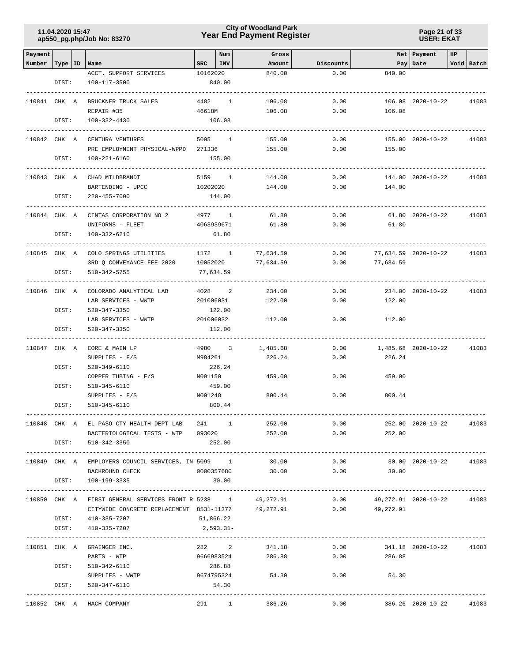## **Year End Payment Register City of Woodland Park 11.04.2020 15:47**

**Page 21 of 33 USER: EKAT**

| Payment      |       |                                                                                      |            | Num       | Gross                |              |                             | Net Payment             | HP |              |
|--------------|-------|--------------------------------------------------------------------------------------|------------|-----------|----------------------|--------------|-----------------------------|-------------------------|----|--------------|
| Number       |       | Type   ID   Name                                                                     | SRC        | INV       | Amount               | Discounts    |                             | Pay Date                |    | Void Batch   |
|              |       | ACCT. SUPPORT SERVICES                                                               | 10162020   |           | 840.00               | 0.00         | 840.00                      |                         |    |              |
|              | DIST: | 100-117-3500                                                                         |            | 840.00    |                      |              |                             |                         |    |              |
|              |       |                                                                                      |            |           |                      |              |                             |                         |    |              |
| 110841 CHK A |       | BRUCKNER TRUCK SALES                                                                 |            | 4482 1    | 106.08               | 0.00         |                             | 106.08 2020-10-22       |    | 41083        |
|              |       | REPAIR #35                                                                           | 46618M     |           | 106.08               | 0.00         | 106.08                      |                         |    |              |
|              | DIST: | 100-332-4430                                                                         |            | 106.08    |                      |              |                             |                         |    |              |
|              |       |                                                                                      |            |           |                      |              |                             |                         |    |              |
| 110842 CHK A |       | CENTURA VENTURES                                                                     |            | 5095 1    | 155.00               | 0.00         |                             | 155.00 2020-10-22       |    | 41083        |
|              |       | PRE EMPLOYMENT PHYSICAL-WPPD 271336                                                  |            |           | 155.00               | 0.00         | 155.00                      |                         |    |              |
|              | DIST: | 100-221-6160                                                                         |            | 155.00    |                      |              |                             |                         |    |              |
| 110843 CHK A |       | CHAD MILDBRANDT                                                                      |            | 5159 1    | 144.00               | 0.00         |                             | 144.00 2020-10-22       |    | 41083        |
|              |       | BARTENDING - UPCC                                                                    | 10202020   |           | 144.00               | 0.00         | 144.00                      |                         |    |              |
|              | DIST: | 220-455-7000                                                                         |            | 144.00    |                      |              |                             |                         |    |              |
|              |       |                                                                                      |            |           | -------------------- |              |                             |                         |    |              |
| 110844 CHK A |       | CINTAS CORPORATION NO 2                                                              |            | 4977 1    | 61.80                | 0.00         |                             | 61.80 2020-10-22        |    | 41083        |
|              |       | UNIFORMS - FLEET                                                                     | 4063939671 |           | 61.80                | 0.00         | 61.80                       |                         |    |              |
|              | DIST: | 100-332-6210                                                                         |            | 61.80     |                      |              |                             |                         |    |              |
|              |       |                                                                                      |            |           |                      |              |                             |                         |    |              |
|              |       | 110845 CHK A COLO SPRINGS UTILITIES                                                  | 1172 1     |           | 77,634.59            | 0.00         | 77,634.59 2020-10-22        |                         |    | 41083        |
|              |       | 3RD Q CONVEYANCE FEE 2020                                                            | 10052020   |           | 77,634.59            | 0.00         | 77,634.59                   |                         |    |              |
|              | DIST: | 510-342-5755                                                                         | 77,634.59  |           |                      |              |                             |                         |    |              |
| 110846 CHK A |       | COLORADO ANALYTICAL LAB                                                              |            | 4028 2    | 234.00               | 0.00         |                             | 234.00 2020-10-22       |    | 41083        |
|              |       | LAB SERVICES - WWTP                                                                  | 201006031  |           | 122.00               | 0.00         | 122.00                      |                         |    |              |
|              | DIST: | 520-347-3350                                                                         |            | 122.00    |                      |              |                             |                         |    |              |
|              |       | LAB SERVICES - WWTP                                                                  | 201006032  |           | 112.00               | 0.00         | 112.00                      |                         |    |              |
|              | DIST: | 520-347-3350                                                                         |            | 112.00    |                      |              |                             |                         |    |              |
|              |       |                                                                                      |            |           |                      |              |                             |                         |    |              |
| 110847 CHK A |       | CORE & MAIN LP                                                                       |            | 4980 3    | 1,485.68             | 0.00         |                             | 1,485.68 2020-10-22     |    | 41083        |
|              |       | SUPPLIES $- F/S$                                                                     | M984261    |           | 226.24               | 0.00         | 226.24                      |                         |    |              |
|              | DIST: | 520-349-6110                                                                         |            | 226.24    |                      |              |                             |                         |    |              |
|              |       | COPPER TUBING - F/S                                                                  | N091150    |           | 459.00               | 0.00         | 459.00                      |                         |    |              |
|              | DIST: | 510-345-6110                                                                         |            | 459.00    |                      |              |                             |                         |    |              |
|              |       | $SUPPLIES - F/S$                                                                     | N091248    |           | 800.44               | 0.00         | 800.44                      |                         |    |              |
|              | DIST: | 510-345-6110                                                                         |            | 800.44    |                      |              |                             |                         |    |              |
|              |       |                                                                                      |            |           |                      |              |                             |                         |    |              |
|              |       | 110848 CHK A EL PASO CTY HEALTH DEPT LAB 241 1<br>BACTERIOLOGICAL TESTS - WTP 093020 |            |           | 252.00<br>252.00     | 0.00<br>0.00 | 252.00                      | 252.00 2020-10-22 41083 |    |              |
|              | DIST: | 510-342-3350                                                                         |            | 252.00    |                      |              |                             |                         |    |              |
|              |       |                                                                                      |            |           |                      |              |                             |                         |    |              |
|              |       | 110849 CHK A EMPLOYERS COUNCIL SERVICES, IN 5099 1 30.00                             |            |           |                      | 0.00         |                             | 30.00 2020-10-22        |    | 41083        |
|              |       | BACKROUND CHECK                                                                      |            |           | 0000357680 30.00     |              | $0.00$ 30.00                |                         |    |              |
|              | DIST: | 100-199-3335                                                                         |            | 30.00     |                      |              |                             |                         |    |              |
|              |       |                                                                                      |            |           |                      |              |                             |                         |    | . <u>.</u> . |
|              |       | 110850 CHK A FIRST GENERAL SERVICES FRONT R 5238 1 49,272.91                         |            |           |                      |              | $0.00$ 49,272.91 2020-10-22 |                         |    | 41083        |
|              |       | CITYWIDE CONCRETE REPLACEMENT 8531-11377 49,272.91                                   |            |           |                      |              | $0.00$ 49,272.91            |                         |    |              |
|              |       | DIST: 410-335-7207                                                                   | 51,866.22  |           |                      |              |                             |                         |    |              |
|              | DIST: | 410-335-7207                                                                         |            | 2,593.31- |                      |              |                             |                         |    |              |
|              |       | 110851 CHK A GRAINGER INC.                                                           |            |           | 282 2 341.18         |              | 0.00                        | 341.18 2020-10-22       |    | 41083        |
|              |       | PARTS - WTP                                                                          |            |           | 9666983524 286.88    |              | 0.00<br>286.88              |                         |    |              |
|              |       | DIST: 510-342-6110                                                                   | 286.88     |           |                      |              |                             |                         |    |              |
|              |       | SUPPLIES - WWTP 9674795324 54.30                                                     |            |           |                      |              | $0.00$ 54.30                |                         |    |              |
|              |       | DIST: 520-347-6110                                                                   |            | 54.30     |                      |              |                             |                         |    |              |
|              |       |                                                                                      |            |           |                      |              |                             |                         |    |              |
|              |       | 110852 CHK A HACH COMPANY                                                            |            |           | 291 1<br>386.26      | 0.00         |                             | 386.26 2020-10-22       |    | 41083        |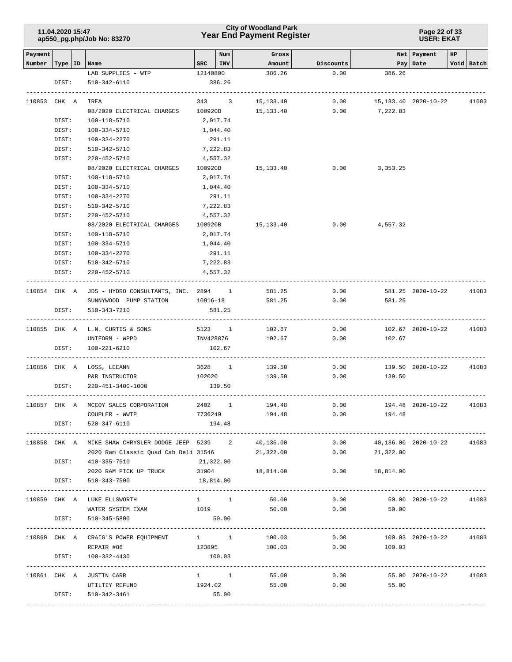### **Year End Payment Register City of Woodland Park 11.04.2020 15:47**

#### **Page 22 of 33 USER: EKAT**

| Payment      |              |                                                   |                                                            | Num      | Gross            |           |                      | Net Payment       | HP |            |
|--------------|--------------|---------------------------------------------------|------------------------------------------------------------|----------|------------------|-----------|----------------------|-------------------|----|------------|
| Number       |              | Type   ID   Name                                  | $SRC$ $ INV $                                              |          | Amount           | Discounts |                      | Pay   Date        |    | Void Batch |
|              |              | LAB SUPPLIES - WTP                                | 12140800                                                   |          | 386.26           | 0.00      | 386.26               |                   |    |            |
|              | DIST:        | 510-342-6110                                      |                                                            | 386.26   |                  |           |                      |                   |    |            |
|              |              |                                                   |                                                            |          |                  |           |                      |                   |    |            |
| 110853 CHK A |              | IREA                                              | 343 3                                                      |          | 15,133.40        | 0.00      | 15,133.40 2020-10-22 |                   |    | 41083      |
|              |              | 08/2020 ELECTRICAL CHARGES                        | 100920B                                                    |          | 15,133.40        | 0.00      | 7,222.83             |                   |    |            |
|              | DIST:        | 100-118-5710                                      | 2,017.74                                                   |          |                  |           |                      |                   |    |            |
|              | DIST:        | 100-334-5710                                      | 1,044.40                                                   |          |                  |           |                      |                   |    |            |
|              | DIST:        | 100-334-2270                                      |                                                            | 291.11   |                  |           |                      |                   |    |            |
|              | DIST:        | 510-342-5710                                      | 7,222.83                                                   |          |                  |           |                      |                   |    |            |
|              | DIST:        | 220-452-5710                                      | 4,557.32                                                   |          |                  |           |                      |                   |    |            |
|              |              | 08/2020 ELECTRICAL CHARGES 100920B 15,133.40      |                                                            |          |                  |           | $0.00$ 3,353.25      |                   |    |            |
|              | DIST:        | 100-118-5710                                      | 2,017.74                                                   |          |                  |           |                      |                   |    |            |
|              | DIST:        | 100-334-5710                                      | 1,044.40                                                   |          |                  |           |                      |                   |    |            |
|              | DIST:        | 100-334-2270                                      |                                                            | 291.11   |                  |           |                      |                   |    |            |
|              | DIST:        | 510-342-5710                                      | 7,222.83                                                   |          |                  |           |                      |                   |    |            |
|              | DIST:        | 220-452-5710                                      | 4,557.32                                                   |          |                  |           |                      |                   |    |            |
|              |              | 08/2020 ELECTRICAL CHARGES                        | 100920B                                                    |          | 15,133.40        | 0.00      | 4,557.32             |                   |    |            |
|              | DIST:        | 100-118-5710                                      | 2,017.74                                                   |          |                  |           |                      |                   |    |            |
|              | DIST:        | 100-334-5710                                      | 1,044.40                                                   |          |                  |           |                      |                   |    |            |
|              | DIST:        | 100-334-2270                                      |                                                            | 291.11   |                  |           |                      |                   |    |            |
|              | DIST:        | 510-342-5710                                      | 7,222.83                                                   |          |                  |           |                      |                   |    |            |
|              | DIST:        | 220-452-5710                                      |                                                            | 4,557.32 |                  |           |                      |                   |    |            |
|              |              |                                                   |                                                            |          |                  |           |                      |                   |    |            |
|              |              | 110854 CHK A JDS - HYDRO CONSULTANTS, INC. 2894 1 |                                                            |          | 581.25           | 0.00      |                      | 581.25 2020-10-22 |    | 41083      |
|              |              | SUNNYWOOD PUMP STATION 10916-18                   |                                                            |          | 581.25           | 0.00      | 581.25               |                   |    |            |
|              | DIST:        | 510-343-7210                                      |                                                            | 581.25   |                  |           |                      |                   |    |            |
|              |              |                                                   |                                                            |          |                  |           |                      |                   |    |            |
|              |              | 110855 CHK A L.N. CURTIS & SONS                   |                                                            |          | 5123 1 102.67    | 0.00      |                      | 102.67 2020-10-22 |    | 41083      |
|              |              | UNIFORM - WPPD                                    |                                                            |          | INV428876 102.67 |           | 0.00<br>102.67       |                   |    |            |
|              | DIST:        | 100-221-6210                                      |                                                            | 102.67   |                  |           |                      |                   |    |            |
|              |              | 110856 CHK A LOSS, LEEANN                         | 3628 1                                                     |          | 139.50           | 0.00      |                      | 139.50 2020-10-22 |    | 41083      |
|              |              | P&R INSTRUCTOR                                    | 102020                                                     |          | 139.50           | 0.00      | 139.50               |                   |    |            |
|              | DIST:        | 220-451-3400-1000                                 |                                                            | 139.50   |                  |           |                      |                   |    |            |
|              |              |                                                   |                                                            |          |                  |           |                      |                   |    |            |
|              |              | 110857 CHK A MCCOY SALES CORPORATION              | 2402 1                                                     |          | 194.48           | 0.00      |                      | 194.48 2020-10-22 |    | 41083      |
|              |              | COUPLER - WWTP                                    | 7736249                                                    |          | 194.48           | 0.00      | 194.48               |                   |    |            |
|              | DIST:        | 520-347-6110                                      |                                                            | 194.48   |                  |           |                      |                   |    |            |
|              |              |                                                   |                                                            |          |                  |           |                      |                   |    |            |
|              |              | 110858 CHK A MIKE SHAW CHRYSLER DODGE JEEP 5239 2 |                                                            |          | 40,136.00        | 0.00      | 40,136.00 2020-10-22 |                   |    | 41083      |
|              |              | 2020 Ram Classic Quad Cab Deli 31546              |                                                            |          | 21,322.00        | 0.00      | 21,322.00            |                   |    |            |
|              | DIST:        | 410-335-7510                                      | 21,322.00                                                  |          |                  |           |                      |                   |    |            |
|              |              | 2020 RAM PICK UP TRUCK                            | 31904                                                      |          | 18,814.00        |           | $0.00$ 18,814.00     |                   |    |            |
|              | DIST:        | 510-343-7500                                      | 18,814.00                                                  |          |                  |           |                      |                   |    |            |
|              |              |                                                   |                                                            |          |                  |           |                      |                   |    |            |
|              |              | 110859 CHK A LUKE ELLSWORTH                       | $1 \quad 1$                                                |          | 50.00            | 0.00      |                      | 50.00 2020-10-22  |    | 41083      |
|              |              | WATER SYSTEM EXAM                                 | 1019                                                       |          | 50.00            |           | $0.00$ 50.00         |                   |    |            |
|              | DIST:        | 510-345-5800                                      | 50.00                                                      |          |                  |           |                      |                   |    |            |
|              | ------------ |                                                   |                                                            |          |                  |           |                      |                   |    |            |
|              |              | 110860 CHK A CRAIG'S POWER EQUIPMENT 1 1          |                                                            |          | 100.03           | 0.00      |                      | 100.03 2020-10-22 |    | 41083      |
|              |              | REPAIR #86                                        | 123895                                                     |          | 100.03           | 0.00      | 100.03               |                   |    |            |
|              | DIST:        | 100-332-4430                                      |                                                            | 100.03   |                  |           |                      |                   |    |            |
|              |              | 110861 CHK A JUSTIN CARR                          | $\begin{array}{cccc} 1 & \hspace{1.5cm} & 1 & \end{array}$ |          | 55.00            | 0.00      |                      | 55.00 2020-10-22  |    | 41083      |
|              |              | UTILTIY REFUND                                    | 1924.02                                                    |          | 55.00            | 0.00      | 55.00                |                   |    |            |
|              | DIST:        | 510-342-3461                                      |                                                            | 55.00    |                  |           |                      |                   |    |            |
|              |              |                                                   |                                                            |          |                  |           |                      |                   |    |            |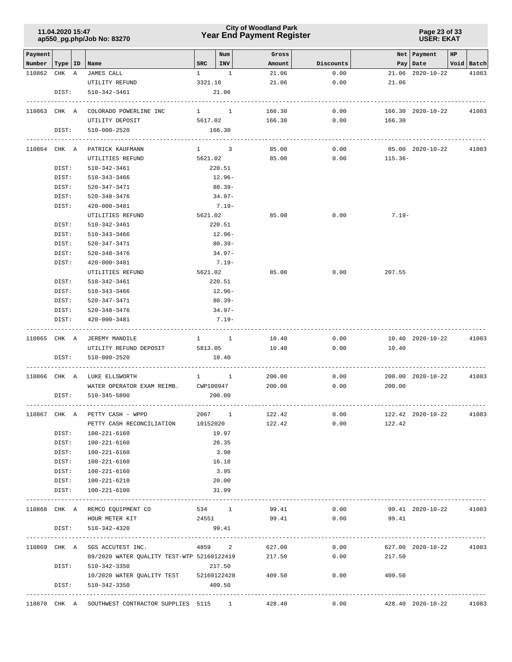### **Year End Payment Register City of Woodland Park 11.04.2020 15:47**

**Page 23 of 33 USER: EKAT**

| Payment<br>Number   Type   ID |       | Name                                                     | SRC     | Num<br>INV              | Gross<br>Amount | Discounts     |         | Net Payment<br>Pay   Date | HP | Void Batch |
|-------------------------------|-------|----------------------------------------------------------|---------|-------------------------|-----------------|---------------|---------|---------------------------|----|------------|
| 110862 CHK A                  |       | JAMES CALL                                               |         | $1 \quad 1$             | 21.06           | 0.00          |         | 21.06 2020-10-22          |    | 41083      |
|                               |       | UTILITY REFUND                                           | 3321.10 |                         | 21.06           | 0.00          | 21.06   |                           |    |            |
|                               | DIST: | 510-342-3461                                             |         | 21.06                   |                 |               |         |                           |    |            |
|                               |       |                                                          |         |                         |                 |               |         |                           |    |            |
| 110863 CHK A                  |       | COLORADO POWERLINE INC                                   |         | $1 \quad 1$             | 166.30          | 0.00          |         | 166.30 2020-10-22         |    | 41083      |
|                               |       | UTILITY DEPOSIT                                          |         | 5617.02                 | 166.30          | $0.00$ 166.30 |         |                           |    |            |
|                               | DIST: | 510-000-2520<br>------------------------                 |         | 166.30<br>------------- |                 |               |         |                           |    |            |
|                               |       | 110864 CHK A PATRICK KAUFMANN                            |         | $1 \qquad \qquad 3$     | 85.00           | 0.00          |         | 85.00 2020-10-22          |    | 41083      |
|                               |       | UTILITIES REFUND                                         |         | 5621.02                 | 85.00           | 0.00          | 115.36- |                           |    |            |
|                               | DIST: | 510-342-3461                                             |         | 220.51                  |                 |               |         |                           |    |            |
|                               | DIST: | 510-343-3466                                             |         | 12.96-                  |                 |               |         |                           |    |            |
|                               | DIST: | 520-347-3471                                             |         | $80.39 -$               |                 |               |         |                           |    |            |
|                               | DIST: | 520-348-3476                                             |         | $34.97-$                |                 |               |         |                           |    |            |
|                               | DIST: | 420-000-3481                                             |         | $7.19-$                 |                 |               |         |                           |    |            |
|                               |       | UTILITIES REFUND                                         |         | 5621.02                 | 85.00           | 0.00          | $7.19-$ |                           |    |            |
|                               | DIST: | 510-342-3461                                             |         | 220.51                  |                 |               |         |                           |    |            |
|                               | DIST: | 510-343-3466                                             |         | 12.96-                  |                 |               |         |                           |    |            |
|                               | DIST: | 520-347-3471                                             |         | $80.39 -$               |                 |               |         |                           |    |            |
|                               | DIST: | 520-348-3476                                             |         | 34.97-                  |                 |               |         |                           |    |            |
|                               | DIST: | 420-000-3481                                             |         | $7.19-$                 |                 |               |         |                           |    |            |
|                               |       | UTILITIES REFUND                                         |         | 5621.02                 | 85.00           | 0.00          | 207.55  |                           |    |            |
|                               | DIST: | 510-342-3461                                             |         | 220.51                  |                 |               |         |                           |    |            |
|                               | DIST: | 510-343-3466                                             |         | 12.96-                  |                 |               |         |                           |    |            |
|                               | DIST: | 520-347-3471                                             |         | 80.39-                  |                 |               |         |                           |    |            |
|                               | DIST: | 520-348-3476                                             |         | 34.97-                  |                 |               |         |                           |    |            |
|                               | DIST: | 420-000-3481                                             |         | $7.19-$                 |                 |               |         |                           |    |            |
|                               |       | 110865 CHK A JEREMY MANDILE                              |         | $1 \quad 1$             | 10.40           | 0.00          |         | 10.40 2020-10-22          |    | 41083      |
|                               |       | UTILITY REFUND DEPOSIT                                   | 5813.05 |                         | 10.40           | 0.00          | 10.40   |                           |    |            |
|                               | DIST: | 510-000-2520                                             |         | 10.40                   |                 |               |         |                           |    |            |
|                               |       |                                                          |         |                         |                 |               |         |                           |    |            |
|                               |       | 110866 CHK A LUKE ELLSWORTH                              |         | $1 \quad 1 \quad$       | 200.00          | 0.00          |         | 200.00 2020-10-22         |    | 41083      |
|                               |       | WATER OPERATOR EXAM REIMB. CWP100947 200.00              |         |                         |                 | 0.00          | 200.00  |                           |    |            |
|                               | DIST: | 510-345-5800                                             |         | 200.00                  |                 |               |         |                           |    |            |
|                               |       | 110867 CHK A PETTY CASH - WPPD                           |         | 2067 1                  | 122.42          | 0.00          |         | 122.42 2020-10-22         |    | 41083      |
|                               |       | PETTY CASH RECONCILIATION                                |         | 10152020                | 122.42          | 0.00          | 122.42  |                           |    |            |
|                               | DIST: | 100-221-6160                                             |         | 19.97                   |                 |               |         |                           |    |            |
|                               | DIST: | 100-221-6160                                             |         | 26.35                   |                 |               |         |                           |    |            |
|                               | DIST: | 100-221-6160                                             |         | 3.98                    |                 |               |         |                           |    |            |
|                               | DIST: | 100-221-6160                                             |         | 16.18                   |                 |               |         |                           |    |            |
|                               |       | DIST: 100-221-6160                                       |         | 3.95                    |                 |               |         |                           |    |            |
|                               |       | DIST: 100-221-6210                                       |         | 20.00                   |                 |               |         |                           |    |            |
|                               | DIST: | 100-221-6100                                             |         | 31.99                   |                 |               |         |                           |    |            |
|                               |       |                                                          |         |                         |                 |               |         |                           |    |            |
|                               |       | 110868 CHK A REMCO EQUIPMENT CO                          |         | 534 1                   | 99.41           | 0.00          |         | 99.41 2020-10-22          |    | 41083      |
|                               |       | HOUR METER KIT                                           | 24551   |                         | 99.41           | 0.00          | 99.41   |                           |    |            |
|                               | DIST: | 510-342-4320                                             |         | 99.41                   |                 |               |         |                           |    |            |
|                               |       | 110869 CHK A SGS ACCUTEST INC.                           |         |                         | 4859 2 627.00   | 0.00          |         | 627.00 2020-10-22         |    | 41083      |
|                               |       | 09/2020 WATER QUALITY TEST-WTP 52160122419 217.50        |         |                         |                 | 0.00          | 217.50  |                           |    |            |
|                               |       | DIST: 510-342-3350                                       |         | 217.50                  |                 |               |         |                           |    |            |
|                               |       | 10/2020 WATER QUALITY TEST 52160122428                   |         |                         | 409.50          | 0.00          | 409.50  |                           |    |            |
|                               | DIST: | 510-342-3350                                             |         | 409.50                  |                 |               |         |                           |    |            |
|                               |       | 110870 CHK A SOUTHWEST CONTRACTOR SUPPLIES 5115 1 428.40 |         |                         |                 | 0.00          |         | 428.40 2020-10-22         |    | 41083      |
|                               |       |                                                          |         |                         |                 |               |         |                           |    |            |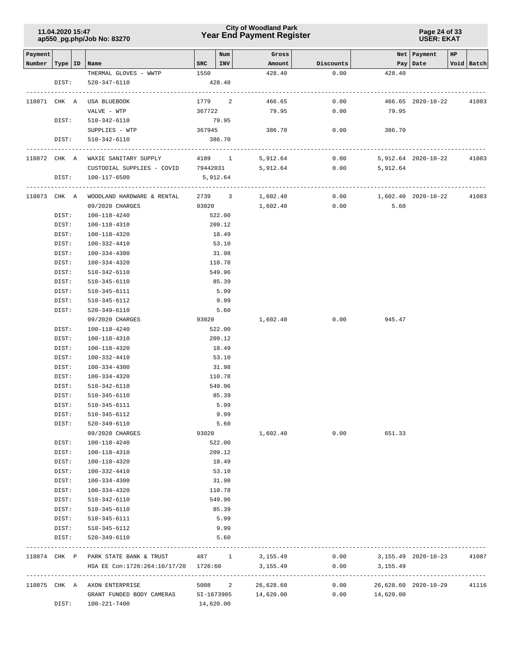### **Year End Payment Register City of Woodland Park 11.04.2020 15:47**

**Page 24 of 33 USER: EKAT**

| Payment |              |                                                                              |              | Num    | Gross                      |              |                                 | Net   Payment        | HP |            |
|---------|--------------|------------------------------------------------------------------------------|--------------|--------|----------------------------|--------------|---------------------------------|----------------------|----|------------|
| Number  | Type   ID    | Name                                                                         | $_{\rm SRC}$ | INV    | Amount                     | Discounts    |                                 | Pay   Date           |    | Void Batch |
|         |              | THERMAL GLOVES - WWTP                                                        | 1550         |        | 428.40                     | 0.00         | 428.40                          |                      |    |            |
|         | DIST:        | 520-347-6110                                                                 |              | 428.40 |                            |              |                                 |                      |    |            |
|         |              |                                                                              |              |        |                            |              |                                 |                      |    |            |
|         | 110871 CHK A | USA BLUEBOOK                                                                 | 1779 2       |        | 466.65                     | 0.00         |                                 | 466.65 2020-10-22    |    | 41083      |
|         |              | VALVE - WTP                                                                  | 367722       |        | 79.95                      | 0.00         | 79.95                           |                      |    |            |
|         | DIST:        | 510-342-6110                                                                 |              | 79.95  |                            |              |                                 |                      |    |            |
|         |              | SUPPLIES - WTP                                                               | 367945       |        | 386.70                     | 0.00         | 386.70                          |                      |    |            |
|         | DIST:        | 510-342-6110                                                                 |              | 386.70 |                            |              |                                 |                      |    |            |
|         |              |                                                                              |              |        |                            |              |                                 |                      |    |            |
|         | 110872 CHK A | WAXIE SANITARY SUPPLY 4189 1                                                 |              |        | 5,912.64                   | 0.00         |                                 | 5,912.64 2020-10-22  |    | 41083      |
|         |              | CUSTODIAL SUPPLIES - COVID 79442031 5,912.64                                 |              |        |                            |              | $0.00$ 5,912.64                 |                      |    |            |
|         | DIST:        | 100-117-6500                                                                 | 5,912.64     |        |                            |              |                                 |                      |    |            |
|         |              |                                                                              |              |        |                            |              |                                 |                      |    |            |
|         | 110873 CHK A | WOODLAND HARDWARE & RENTAL                                                   |              | 2739 3 | 1,602.40                   | 0.00         | 1,602.40 2020-10-22             |                      |    | 41083      |
|         |              | 09/2020 CHARGES                                                              | 93020        |        | 1,602.40                   | 0.00         | 5.60                            |                      |    |            |
|         | DIST:        | 100-118-4240                                                                 |              | 522.00 |                            |              |                                 |                      |    |            |
|         | DIST:        | 100-118-4310                                                                 |              | 209.12 |                            |              |                                 |                      |    |            |
|         | DIST:        | 100-118-4320                                                                 |              | 18.49  |                            |              |                                 |                      |    |            |
|         | DIST:        | 100-332-4410                                                                 |              | 53.10  |                            |              |                                 |                      |    |            |
|         | DIST:        | 100-334-4300                                                                 |              | 31.98  |                            |              |                                 |                      |    |            |
|         | DIST:        | 100-334-4320                                                                 |              | 110.78 |                            |              |                                 |                      |    |            |
|         | DIST:        | 510-342-6110                                                                 |              | 549.96 |                            |              |                                 |                      |    |            |
|         | DIST:        | 510-345-6110                                                                 |              | 85.39  |                            |              |                                 |                      |    |            |
|         | DIST:        | 510-345-6111                                                                 |              | 5.99   |                            |              |                                 |                      |    |            |
|         | DIST:        | 510-345-6112                                                                 |              | 9.99   |                            |              |                                 |                      |    |            |
|         | DIST:        | 520-349-6110                                                                 |              | 5.60   |                            |              |                                 |                      |    |            |
|         |              | 09/2020 CHARGES                                                              | 93020        |        | 1,602.40                   | 0.00         | 945.47                          |                      |    |            |
|         | DIST:        | 100-118-4240                                                                 |              | 522.00 |                            |              |                                 |                      |    |            |
|         | DIST:        | 100-118-4310                                                                 |              | 209.12 |                            |              |                                 |                      |    |            |
|         | DIST:        | 100-118-4320                                                                 |              | 18.49  |                            |              |                                 |                      |    |            |
|         | DIST:        | 100-332-4410                                                                 |              | 53.10  |                            |              |                                 |                      |    |            |
|         | DIST:        | 100-334-4300                                                                 |              | 31.98  |                            |              |                                 |                      |    |            |
|         | DIST:        | 100-334-4320                                                                 |              | 110.78 |                            |              |                                 |                      |    |            |
|         | DIST:        | 510-342-6110                                                                 |              | 549.96 |                            |              |                                 |                      |    |            |
|         | DIST:        | 510-345-6110                                                                 |              | 85.39  |                            |              |                                 |                      |    |            |
|         | DIST:        | 510-345-6111                                                                 |              | 5.99   |                            |              |                                 |                      |    |            |
|         | DIST:        | 510-345-6112                                                                 |              | 9.99   |                            |              |                                 |                      |    |            |
|         | DIST:        | 520-349-6110                                                                 |              | 5.60   |                            |              |                                 |                      |    |            |
|         |              | 09/2020 CHARGES                                                              | 93020        |        | 1,602.40                   | 0.00         | 651.33                          |                      |    |            |
|         | DIST:        | 100-118-4240                                                                 |              | 522.00 |                            |              |                                 |                      |    |            |
|         | DIST:        | 100-118-4310                                                                 |              | 209.12 |                            |              |                                 |                      |    |            |
|         | DIST:        | 100-118-4320                                                                 |              | 18.49  |                            |              |                                 |                      |    |            |
|         | DIST:        | 100-332-4410                                                                 |              | 53.10  |                            |              |                                 |                      |    |            |
|         | DIST:        | 100-334-4300                                                                 |              | 31.98  |                            |              |                                 |                      |    |            |
|         | DIST:        | 100-334-4320                                                                 |              | 110.78 |                            |              |                                 |                      |    |            |
|         | DIST:        | 510-342-6110                                                                 |              | 549.96 |                            |              |                                 |                      |    |            |
|         | DIST:        | 510-345-6110                                                                 |              | 85.39  |                            |              |                                 |                      |    |            |
|         | DIST:        | 510-345-6111                                                                 |              | 5.99   |                            |              |                                 |                      |    |            |
|         | DIST:        | 510-345-6112                                                                 |              | 9.99   |                            |              |                                 |                      |    |            |
|         | DIST:        | 520-349-6110                                                                 |              | 5.60   |                            |              |                                 |                      |    |            |
|         |              |                                                                              |              |        |                            |              |                                 |                      |    |            |
|         |              | 110874 CHK P PARK STATE BANK & TRUST<br>HSA EE Con:1726:264:10/17/20 1726:60 |              |        | 487 1 3,155.49<br>3,155.49 | 0.00<br>0.00 | 3,155.49 2020-10-23<br>3,155.49 |                      |    | 41087      |
|         |              | ------------------------------------                                         |              |        |                            |              |                                 |                      |    |            |
|         |              | 110875 CHK A AXON ENTERPRISE                                                 |              | 5008 2 | 26,628.60                  |              | 0.00                            | 26,628.60 2020-10-29 |    | 41116      |
|         |              | GRANT FUNDED BODY CAMERAS SI-1673985                                         |              |        | 14,620.00                  | 0.00         | 14,620.00                       |                      |    |            |
|         | DIST:        | 100-221-7400                                                                 | 14,620.00    |        |                            |              |                                 |                      |    |            |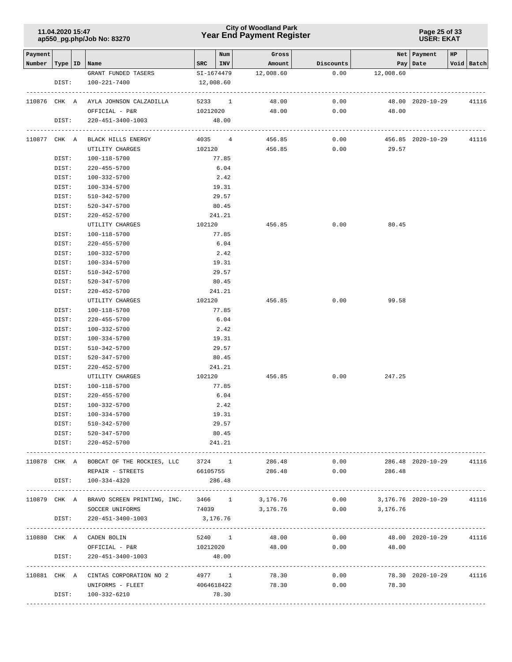### **Year End Payment Register City of Woodland Park 11.04.2020 15:47**

#### **Page 25 of 33 USER: EKAT**

| Payment<br>Number | Type<br>ID   | Name                                            | SRC   | Num<br>INV        | Gross<br>Amount | Discounts |                     | Net   Payment<br>Pay Date | HP | Void Batch |
|-------------------|--------------|-------------------------------------------------|-------|-------------------|-----------------|-----------|---------------------|---------------------------|----|------------|
|                   |              | GRANT FUNDED TASERS                             |       | SI-1674479        | 12,008.60       | 0.00      | 12,008.60           |                           |    |            |
|                   | DIST:        | 100-221-7400                                    |       | 12,008.60         |                 |           |                     |                           |    |            |
|                   |              |                                                 |       |                   |                 |           |                     |                           |    |            |
|                   | 110876 CHK A | AYLA JOHNSON CALZADILLA                         |       | 5233 1            | 48.00           | 0.00      |                     | 48.00 2020-10-29          |    | 41116      |
|                   |              | OFFICIAL - P&R                                  |       | 10212020          | 48.00           | 0.00      | 48.00               |                           |    |            |
|                   | DIST:        | 220-451-3400-1003                               |       | 48.00             |                 |           |                     |                           |    |            |
|                   |              |                                                 |       |                   |                 |           |                     |                           |    |            |
|                   |              | 110877 CHK A BLACK HILLS ENERGY                 |       | 4035 4            | 456.85          | 0.00      |                     | 456.85 2020-10-29         |    | 41116      |
|                   |              | UTILITY CHARGES                                 |       | 102120            | 456.85          | 0.00      | 29.57               |                           |    |            |
|                   | DIST:        | 100-118-5700                                    |       | 77.85             |                 |           |                     |                           |    |            |
|                   | DIST:        | 220-455-5700                                    |       | 6.04              |                 |           |                     |                           |    |            |
|                   | DIST:        | 100-332-5700                                    |       | 2.42              |                 |           |                     |                           |    |            |
|                   | DIST:        | 100-334-5700                                    |       | 19.31             |                 |           |                     |                           |    |            |
|                   | DIST:        | 510-342-5700                                    |       | 29.57             |                 |           |                     |                           |    |            |
|                   | DIST:        | 520-347-5700                                    |       | 80.45             |                 |           |                     |                           |    |            |
|                   | DIST:        | 220-452-5700                                    |       | 241.21            |                 |           |                     |                           |    |            |
|                   |              | UTILITY CHARGES                                 |       | 102120            | 456.85          | 0.00      | 80.45               |                           |    |            |
|                   | DIST:        | 100-118-5700                                    |       | 77.85             |                 |           |                     |                           |    |            |
|                   | DIST:        | $220 - 455 - 5700$                              |       | 6.04              |                 |           |                     |                           |    |            |
|                   | DIST:        | 100-332-5700                                    |       | 2.42              |                 |           |                     |                           |    |            |
|                   | DIST:        | 100-334-5700                                    |       | 19.31             |                 |           |                     |                           |    |            |
|                   | DIST:        | 510-342-5700                                    |       | 29.57             |                 |           |                     |                           |    |            |
|                   | DIST:        | 520-347-5700                                    |       | 80.45             |                 |           |                     |                           |    |            |
|                   | DIST:        | 220-452-5700                                    |       | 241.21            |                 |           |                     |                           |    |            |
|                   |              | UTILITY CHARGES                                 |       | 102120            | 456.85          | 0.00      | 99.58               |                           |    |            |
|                   | DIST:        | 100-118-5700                                    |       | 77.85             |                 |           |                     |                           |    |            |
|                   | DIST:        | $220 - 455 - 5700$                              |       | 6.04              |                 |           |                     |                           |    |            |
|                   | DIST:        | 100-332-5700                                    |       | 2.42              |                 |           |                     |                           |    |            |
|                   | DIST:        | 100-334-5700                                    |       | 19.31             |                 |           |                     |                           |    |            |
|                   | DIST:        | 510-342-5700                                    |       | 29.57             |                 |           |                     |                           |    |            |
|                   | DIST:        | 520-347-5700                                    |       | 80.45             |                 |           |                     |                           |    |            |
|                   | DIST:        | $220 - 452 - 5700$                              |       | 241.21            |                 |           |                     |                           |    |            |
|                   |              | UTILITY CHARGES                                 |       | 102120            | 456.85          | 0.00      | 247.25              |                           |    |            |
|                   | DIST:        | 100-118-5700                                    |       | 77.85             |                 |           |                     |                           |    |            |
|                   | DIST:        | 220-455-5700                                    |       | 6.04              |                 |           |                     |                           |    |            |
|                   | DIST:        | 100-332-5700                                    |       | 2.42              |                 |           |                     |                           |    |            |
|                   | DIST:        | 100-334-5700                                    |       | 19.31             |                 |           |                     |                           |    |            |
|                   | DIST:        | 510-342-5700                                    |       | 29.57             |                 |           |                     |                           |    |            |
|                   |              | DIST: 520-347-5700                              |       | 80.45             |                 |           |                     |                           |    |            |
|                   |              | DIST: 220-452-5700                              |       | 241.21            |                 |           |                     |                           |    |            |
|                   |              |                                                 |       |                   |                 |           |                     |                           |    |            |
|                   |              | 110878 CHK A BOBCAT OF THE ROCKIES, LLC 3724 1  |       |                   | 286.48          | 0.00      |                     | 286.48 2020-10-29         |    | 41116      |
|                   |              | REPAIR - STREETS                                |       | 66105755          | 286.48          | 0.00      | 286.48              |                           |    |            |
|                   | DIST:        | 100-334-4320                                    |       | 286.48            |                 |           |                     |                           |    |            |
|                   |              |                                                 |       |                   |                 |           |                     |                           |    |            |
|                   |              | 110879 CHK A BRAVO SCREEN PRINTING, INC. 3466 1 |       |                   | 3,176.76        | 0.00      | 3,176.76 2020-10-29 |                           |    | 41116      |
|                   |              | SOCCER UNIFORMS                                 | 74039 |                   | 3,176.76        |           | $0.00$ 3,176.76     |                           |    |            |
|                   | DIST:        | 220-451-3400-1003                               |       | 3,176.76          |                 |           |                     | ----------------------    |    |            |
|                   |              | 110880 CHK A CADEN BOLIN                        |       | 5240 1            | 48.00           | 0.00      |                     | 48.00 2020-10-29          |    | 41116      |
|                   |              |                                                 |       |                   |                 |           |                     |                           |    |            |
|                   | DIST:        | OFFICIAL - P&R<br>220-451-3400-1003             |       | 10212020<br>48.00 | 48.00           |           | $0.00$ 48.00        |                           |    |            |
|                   |              | ---------------------------                     |       |                   |                 |           |                     |                           |    |            |
|                   |              | 110881 CHK A CINTAS CORPORATION NO 2            |       | 4977 1            | 78.30           | 0.00      |                     | 78.30 2020-10-29          |    | 41116      |
|                   |              | UNIFORMS - FLEET                                |       | 4064618422        | 78.30           | 0.00      | 78.30               |                           |    |            |
|                   |              | DIST: 100-332-6210                              |       | 78.30             |                 |           |                     |                           |    |            |
|                   |              |                                                 |       |                   |                 |           |                     |                           |    |            |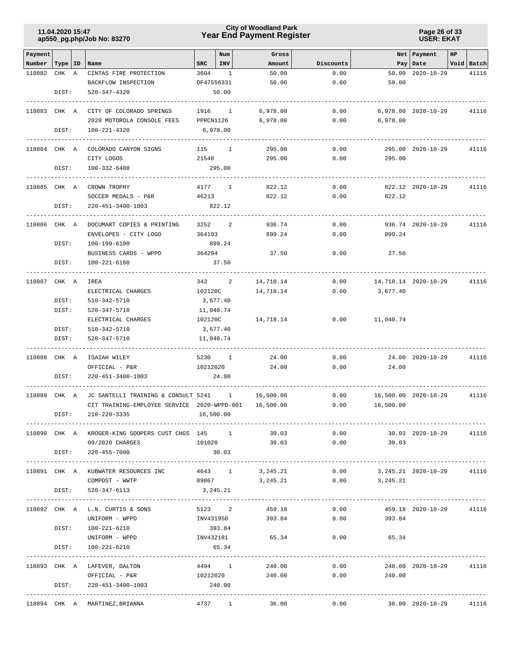### **Year End Payment Register City of Woodland Park 11.04.2020 15:47**

**Page 26 of 33 USER: EKAT**

| Payment                   |       |                                                        |              | Num            | Gross            |           |                         | Net   Payment           | HP |            |
|---------------------------|-------|--------------------------------------------------------|--------------|----------------|------------------|-----------|-------------------------|-------------------------|----|------------|
| Number   Type   ID   Name |       |                                                        | $_{\rm SRC}$ | INV            | Amount           | Discounts |                         | Pay   Date              |    | Void Batch |
| 110882                    | CHK A | CINTAS FIRE PROTECTION                                 | 3604         | $\overline{1}$ | 50.00            | 0.00      |                         | 50.00 2020-10-29        |    | 41116      |
|                           |       | BACKFLOW INSPECTION                                    |              | OF47556331     | 50.00            | 0.00      | 50.00                   |                         |    |            |
|                           | DIST: | 520-347-4320                                           |              | 50.00          |                  |           |                         |                         |    |            |
|                           |       |                                                        |              |                |                  |           |                         |                         |    |            |
| 110883 CHK A              |       | CITY OF COLORADO SPRINGS                               |              | 1916 1         | 6,978.00         | 0.00      |                         | 6,978.00 2020-10-29     |    | 41116      |
|                           |       | 2020 MOTOROLA CONSOLE FEES                             | PPRCN1126    |                | 6,978.00         | 0.00      | 6,978.00                |                         |    |            |
|                           | DIST: | 100-221-4320                                           |              | 6,978.00       |                  |           |                         |                         |    |            |
|                           |       | 110884 CHK A COLORADO CANYON SIGNS                     |              | 115 1          | 295.00           | 0.00      |                         | 295.00 2020-10-29       |    | 41116      |
|                           |       | CITY LOGOS                                             | 21548        |                | 295.00           | 0.00      | 295.00                  |                         |    |            |
|                           | DIST: | 100-332-6400                                           |              | 295.00         |                  |           |                         |                         |    |            |
|                           |       |                                                        |              |                |                  |           |                         |                         |    |            |
| 110885 CHK A              |       | CROWN TROPHY                                           |              | 4177 1         | 822.12           | 0.00      |                         | 822.12 2020-10-29       |    | 41116      |
|                           |       | SOCCER MEDALS - P&R                                    | 46213        |                | 822.12           | 0.00      | 822.12                  |                         |    |            |
|                           | DIST: | 220-451-3400-1003                                      |              | 822.12         |                  |           |                         |                         |    |            |
|                           |       |                                                        |              |                |                  |           |                         |                         |    |            |
| 110886 CHK A              |       | DOCUMART COPIES & PRINTING                             | 3252         | 2              | 936.74           | 0.00      |                         | 936.74 2020-10-29       |    | 41116      |
|                           |       | ENVELOPES - CITY LOGO                                  | 364193       |                | 899.24           | 0.00      | 899.24                  |                         |    |            |
|                           | DIST: | 100-199-6100                                           |              | 899.24         |                  |           |                         |                         |    |            |
|                           |       | BUSINESS CARDS - WPPD                                  | 364294       |                | 37.50            | 0.00      | 37.50                   |                         |    |            |
|                           | DIST: | 100-221-6160                                           |              | 37.50          |                  |           |                         |                         |    |            |
|                           |       | -----------                                            |              |                |                  |           |                         |                         |    |            |
| 110887 CHK A              |       | IREA                                                   |              | 343 2          | 14,718.14        | 0.00      | 14,718.14 2020-10-29    |                         |    | 41116      |
|                           |       | ELECTRICAL CHARGES                                     |              | 102120C        | 14,718.14        | 0.00      | 3,677.40                |                         |    |            |
|                           | DIST: | 510-342-5710                                           |              | 3,677.40       |                  |           |                         |                         |    |            |
|                           | DIST: | 520-347-5710                                           |              | 11,040.74      |                  |           |                         |                         |    |            |
|                           |       | ELECTRICAL CHARGES                                     | 102120C      |                | 14,718.14        | 0.00      | 11,040.74               |                         |    |            |
|                           | DIST: | 510-342-5710                                           |              | 3,677.40       |                  |           |                         |                         |    |            |
|                           | DIST: | 520-347-5710                                           |              | 11,040.74      |                  |           |                         |                         |    |            |
| 110888 CHK A              |       | ISAIAH WILEY                                           |              | 5230 1         | 24.00            | 0.00      |                         | 24.00 2020-10-29        |    | 41116      |
|                           |       | OFFICIAL - P&R                                         |              | 10212020       | 24.00            | 0.00      | 24.00                   |                         |    |            |
|                           | DIST: | 220-451-3400-1003                                      |              | 24.00          |                  |           |                         |                         |    |            |
|                           |       |                                                        |              |                |                  |           |                         |                         |    |            |
| 110889 CHK A              |       | JC SANTELLI TRAINING & CONSULT 5241 1                  |              |                | 16,500.00        | 0.00      |                         | 16,500.00 2020-10-29    |    | 41116      |
|                           |       | CIT TRAINING-EMPLOYEE SERVICE 2020-WPPD-001            |              |                | 16,500.00        | 0.00      | 16,500.00               |                         |    |            |
|                           | DIST: | 210-220-3335                                           |              | 16,500.00      |                  |           |                         |                         |    |            |
|                           |       |                                                        |              |                |                  |           |                         |                         |    |            |
|                           |       | 110890 CHK A KROGER-KING SOOPERS CUST CHGS 145 1 30.03 |              |                |                  |           | $0.00$ 30.03 2020-10-29 |                         |    | 41116      |
|                           |       | 09/2020 CHARGES                                        |              |                | 101020 30.03     |           | $0.00$ 30.03            |                         |    |            |
|                           |       | DIST: 220-455-7000                                     |              | 30.03          |                  |           |                         |                         |    |            |
|                           |       |                                                        |              |                |                  |           |                         |                         |    |            |
|                           |       | 110891 CHK A KUBWATER RESOURCES INC                    |              | 4643 1         | 3,245.21         | 0.00      |                         |                         |    |            |
|                           |       | COMPOST - WWTP                                         | 09867        |                | 3, 245. 21       | 0.00      | 3,245.21                |                         |    |            |
|                           | DIST: | 520-347-6113                                           |              | 3,245.21       |                  |           |                         |                         |    |            |
|                           |       | 110892 CHK A L.N. CURTIS & SONS                        |              |                | 5123 2 459.18    | 0.00      |                         | 459.18 2020-10-29       |    | 41116      |
|                           |       | UNIFORM - WPPD                                         |              |                | INV431950 393.84 | 0.00      | 393.84                  |                         |    |            |
|                           | DIST: | 100-221-6210                                           |              | 393.84         |                  |           |                         |                         |    |            |
|                           |       | UNIFORM - WPPD 1NV432181 65.34                         |              |                |                  |           | $0.00$ 65.34            |                         |    |            |
|                           | DIST: | 100-221-6210                                           |              | 65.34          |                  |           |                         |                         |    |            |
|                           |       |                                                        |              |                |                  |           |                         |                         |    |            |
|                           |       | 110893 CHK A LAFEVER, DALTON                           |              | 4494 1         | 240.00           | 0.00      |                         | 240.00 2020-10-29 41116 |    |            |
|                           |       | OFFICIAL - P&R                                         |              | 10212020       | 240.00           | 0.00      | 240.00                  |                         |    |            |
|                           | DIST: | 220-451-3400-1003                                      |              | 240.00         |                  |           |                         |                         |    |            |
|                           |       |                                                        |              |                |                  |           |                         |                         |    |            |
|                           |       | 110894 CHK A MARTINEZ, BRIANNA<br>4737 1               |              |                | 36.00            | 0.00      |                         | 36.00 2020-10-29        |    | 41116      |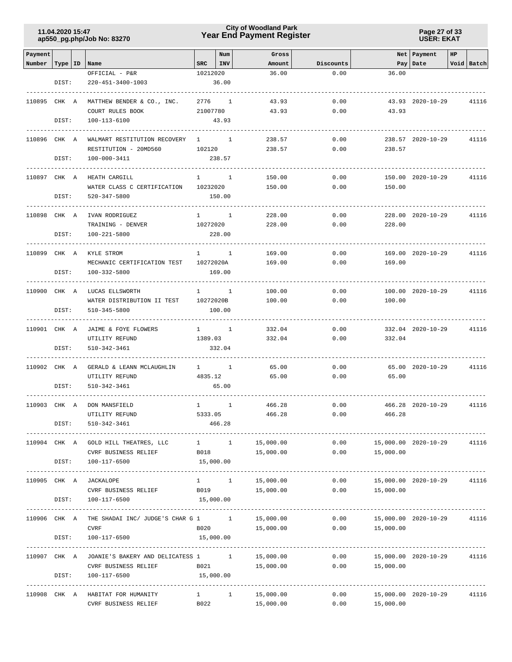### **Year End Payment Register City of Woodland Park 11.04.2020 15:47**

**Page 27 of 33 USER: EKAT**

| Payment      |               |                                                           |              | Num                 | Gross                    |              |                                   | Net   Payment     | <b>HP</b> |                          |
|--------------|---------------|-----------------------------------------------------------|--------------|---------------------|--------------------------|--------------|-----------------------------------|-------------------|-----------|--------------------------|
| Number       |               | Type   ID   Name                                          | SRC          | INV                 | Amount                   | Discounts    |                                   | Pay   Date        |           | Void Batch               |
|              | DIST:         | OFFICIAL - P&R<br>220-451-3400-1003                       | 10212020     | 36.00               | 36.00                    | 0.00         | 36.00                             |                   |           |                          |
|              |               |                                                           |              |                     |                          |              |                                   |                   |           |                          |
| 110895 CHK A |               | MATTHEW BENDER & CO., INC.                                |              | 2776 1              | 43.93                    | 0.00         |                                   | 43.93 2020-10-29  |           | 41116                    |
|              |               | COURT RULES BOOK                                          | 21007780     |                     | 43.93                    | 0.00         | 43.93                             |                   |           |                          |
|              | DIST:         | 100-113-6100                                              |              | 43.93               |                          |              |                                   |                   |           |                          |
| 110896 CHK A |               | WALMART RESTITUTION RECOVERY                              | $\mathbf{1}$ | $\mathbf{1}$        | 238.57                   | 0.00         |                                   | 238.57 2020-10-29 |           | 41116                    |
|              |               | RESTITUTION - 20MD560                                     | 102120       |                     | 238.57                   | 0.00         | 238.57                            |                   |           |                          |
|              | DIST:         | 100-000-3411                                              |              | 238.57              |                          |              |                                   |                   |           |                          |
|              |               |                                                           |              | $1 \quad 1$         |                          | 0.00         |                                   | 150.00 2020-10-29 |           | 41116                    |
| 110897 CHK A |               | HEATH CARGILL<br>WATER CLASS C CERTIFICATION              | 10232020     |                     | 150.00<br>150.00         | 0.00         | 150.00                            |                   |           |                          |
|              | DIST:         | 520-347-5800                                              |              | 150.00              |                          |              |                                   |                   |           |                          |
|              |               |                                                           |              |                     |                          |              |                                   |                   |           |                          |
| 110898 CHK A |               | IVAN RODRIGUEZ                                            |              | $1 \quad 1$         | 228.00                   | 0.00         |                                   | 228.00 2020-10-29 |           | 41116                    |
|              |               | TRAINING - DENVER                                         | 10272020     |                     | 228.00                   | 0.00         | 228.00                            |                   |           |                          |
|              | DIST:         | 100-221-5800                                              |              | 228.00              |                          |              |                                   |                   |           |                          |
| 110899 CHK A |               | KYLE STROM                                                |              | $1 \quad 1$         | 169.00                   | 0.00         |                                   | 169.00 2020-10-29 |           | 41116                    |
|              |               | MECHANIC CERTIFICATION TEST                               | 10272020A    |                     | 169.00                   | 0.00         | 169.00                            |                   |           |                          |
|              | DIST:         | $100 - 332 - 5800$                                        |              | 169.00              |                          |              |                                   |                   |           |                          |
| 110900 CHK A |               | LUCAS ELLSWORTH                                           |              | $1 \quad 1$         | 100.00                   | 0.00         |                                   | 100.00 2020-10-29 |           | 41116                    |
|              |               | WATER DISTRIBUTION II TEST                                | 10272020B    |                     | 100.00                   | 0.00         | 100.00                            |                   |           |                          |
|              | DIST:         | 510-345-5800                                              |              | 100.00              |                          |              |                                   |                   |           |                          |
|              |               |                                                           |              |                     |                          |              |                                   |                   |           |                          |
| 110901 CHK A |               | JAIME & FOYE FLOWERS                                      |              | $1 \quad 1$         | 332.04                   | 0.00         |                                   | 332.04 2020-10-29 |           | 41116                    |
|              |               | UTILITY REFUND                                            | 1389.03      |                     | 332.04                   | 0.00         | 332.04                            |                   |           |                          |
|              | DIST:         | 510-342-3461                                              |              | 332.04              |                          |              |                                   |                   |           |                          |
| 110902 CHK A |               | GERALD & LEANN MCLAUGHLIN                                 |              | $1 \quad 1$         | 65.00                    | 0.00         |                                   | 65.00 2020-10-29  |           | 41116                    |
|              |               | UTILITY REFUND                                            | 4835.12      |                     | 65.00                    | 0.00         | 65.00                             |                   |           |                          |
|              | DIST:         | 510-342-3461                                              |              | 65.00               |                          |              |                                   |                   |           |                          |
| 110903 CHK A |               | DON MANSFIELD                                             | $\mathbf{1}$ | $\mathbf{1}$        | 466.28                   | 0.00         |                                   | 466.28 2020-10-29 |           | 41116                    |
|              |               | UTILITY REFUND                                            | 5333.05      |                     | 466.28                   | 0.00         | 466.28                            |                   |           |                          |
|              | DIST:         | 510-342-3461                                              |              | 466.28              |                          |              |                                   |                   |           |                          |
|              |               | 110904 CHK A GOLD HILL THEATRES, LLC                      |              |                     | 15,000.00                | 0.00         |                                   |                   |           | 41116                    |
|              |               | CVRF BUSINESS RELIEF                                      |              | $1 \quad 1$<br>B018 | 15,000.00                | 0.00         | 15,000.00 2020-10-29<br>15,000.00 |                   |           |                          |
|              | DIST:         | 100-117-6500                                              | 15,000.00    |                     |                          |              |                                   |                   |           |                          |
|              |               |                                                           |              |                     |                          |              |                                   |                   |           |                          |
| 110905 CHK A |               | JACKALOPE                                                 |              | $1 \quad 1$         | 15,000.00                | 0.00         | 15,000.00 2020-10-29              |                   |           | 41116                    |
|              |               | CVRF BUSINESS RELIEF                                      | B019         |                     | 15,000.00                | 0.00         | 15,000.00                         |                   |           |                          |
|              | DIST:         | 100-117-6500                                              |              | 15,000.00           | ------------------------ |              |                                   |                   |           |                          |
| 110906 CHK A |               | THE SHADAI INC/ JUDGE'S CHAR G 1 1 15,000.00              |              |                     |                          |              | $0.00$ 15,000.00 2020-10-29       |                   |           | 41116                    |
|              |               | <b>CVRF</b>                                               |              |                     | B020 15,000.00           |              | $0.00$ 15,000.00                  |                   |           |                          |
|              | DIST:         | 100-117-6500                                              | 15,000.00    |                     |                          |              |                                   |                   |           |                          |
|              | ------------- | 110907 CHK A JOANIE'S BAKERY AND DELICATESS 1 1           |              |                     | 15,000.00                | 0.00         | 15,000.00 2020-10-29              |                   |           | ---------------<br>41116 |
|              |               | CVRF BUSINESS RELIEF                                      | B021         |                     | 15,000.00                | 0.00         | 15,000.00                         |                   |           |                          |
|              | DIST:         | 100-117-6500                                              | 15,000.00    |                     |                          |              |                                   |                   |           |                          |
|              |               |                                                           |              |                     |                          |              |                                   |                   |           |                          |
|              |               | 110908 CHK A HABITAT FOR HUMANITY<br>CVRF BUSINESS RELIEF | B022         | $1 \quad 1 \quad$   | 15,000.00<br>15,000.00   | 0.00<br>0.00 | 15,000.00 2020-10-29<br>15,000.00 |                   |           | 41116                    |
|              |               |                                                           |              |                     |                          |              |                                   |                   |           |                          |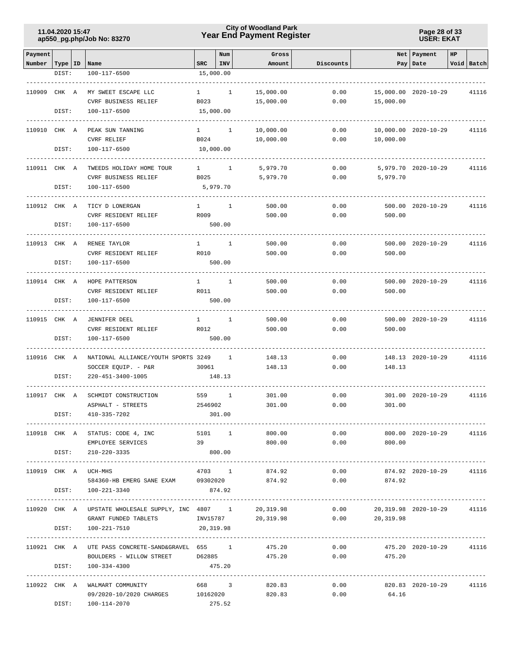## **Year End Payment Register City of Woodland Park 11.04.2020 15:47**

**Page 28 of 33 USER: EKAT**

| Payment            |       |                                                         |                        | Num          | Gross        |                      |                                   | Net   Payment           | HP |            |
|--------------------|-------|---------------------------------------------------------|------------------------|--------------|--------------|----------------------|-----------------------------------|-------------------------|----|------------|
| Number   Type   ID |       | Name                                                    | <b>SRC</b>             | INV          | Amount       | Discounts            |                                   | Pay   Date              |    | Void Batch |
|                    | DIST: | 100-117-6500                                            | 15,000.00              |              |              |                      |                                   |                         |    |            |
|                    |       |                                                         |                        |              |              |                      |                                   |                         |    |            |
| 110909 CHK A       |       | MY SWEET ESCAPE LLC                                     | $1 \qquad \qquad$      | $\mathbf{1}$ | 15,000.00    | 0.00                 |                                   | 15,000.00 2020-10-29    |    | 41116      |
|                    |       | CVRF BUSINESS RELIEF                                    | B023                   |              | 15,000.00    | 0.00                 | 15,000.00                         |                         |    |            |
|                    | DIST: | 100-117-6500                                            | 15,000.00              |              |              |                      |                                   |                         |    |            |
| 110910 CHK A       |       | PEAK SUN TANNING                                        |                        |              |              |                      |                                   |                         |    |            |
|                    |       | <b>CVRF RELIEF</b>                                      | $1 \quad \Box$<br>B024 | $\mathbf{1}$ | 10,000.00    | 0.00                 | 10,000.00                         | 10,000.00 2020-10-29    |    | 41116      |
|                    | DIST: | 100-117-6500                                            | 10,000.00              |              | 10,000.00    | 0.00                 |                                   |                         |    |            |
|                    |       |                                                         |                        |              |              |                      |                                   |                         |    |            |
| 110911 CHK A       |       | TWEEDS HOLIDAY HOME TOUR                                | $1 \quad 1$            |              | 5,979.70     | 0.00                 |                                   | 5,979.70 2020-10-29     |    | 41116      |
|                    |       | CVRF BUSINESS RELIEF                                    | B025                   |              | 5,979.70     | 0.00                 | 5,979.70                          |                         |    |            |
|                    | DIST: | 100-117-6500                                            |                        | 5,979.70     |              |                      |                                   |                         |    |            |
|                    |       |                                                         |                        |              |              |                      |                                   |                         |    |            |
| 110912 CHK A       |       | TICY D LONERGAN                                         | $1 \quad$              | 1            | 500.00       | 0.00                 |                                   | 500.00 2020-10-29       |    | 41116      |
|                    |       | CVRF RESIDENT RELIEF                                    | R009                   |              | 500.00       | 0.00                 | 500.00                            |                         |    |            |
|                    | DIST: | 100-117-6500                                            |                        | 500.00       |              |                      |                                   |                         |    |            |
|                    |       |                                                         |                        |              |              |                      |                                   |                         |    |            |
| 110913 CHK A       |       | RENEE TAYLOR                                            | $\mathbf{1}$<br>R010   | $\mathbf{1}$ | 500.00       | 0.00                 | 500.00                            | 500.00 2020-10-29       |    | 41116      |
|                    | DIST: | CVRF RESIDENT RELIEF<br>100-117-6500                    |                        | 500.00       | 500.00       | 0.00                 |                                   |                         |    |            |
|                    |       |                                                         |                        |              |              |                      |                                   |                         |    |            |
| 110914 CHK A       |       | HOPE PATTERSON                                          | $\mathbf{1}$           | 1            | 500.00       | 0.00                 |                                   | 500.00 2020-10-29       |    | 41116      |
|                    |       | CVRF RESIDENT RELIEF                                    | R011                   |              | 500.00       | 0.00                 | 500.00                            |                         |    |            |
|                    | DIST: | 100-117-6500                                            |                        | 500.00       |              |                      |                                   |                         |    |            |
|                    |       |                                                         |                        |              |              |                      |                                   |                         |    |            |
| 110915 CHK A       |       | JENNIFER DEEL                                           | $\mathbf{1}$           | 1            | 500.00       | 0.00                 |                                   | 500.00 2020-10-29       |    | 41116      |
|                    |       | CVRF RESIDENT RELIEF                                    | R012                   |              | 500.00       | 0.00                 | 500.00                            |                         |    |            |
|                    | DIST: | 100-117-6500                                            |                        | 500.00       |              |                      |                                   |                         |    |            |
|                    |       |                                                         |                        |              |              |                      |                                   |                         |    |            |
| 110916 CHK A       |       | NATIONAL ALLIANCE/YOUTH SPORTS 3249                     |                        | $\mathbf{1}$ | 148.13       | 0.00                 |                                   | 148.13 2020-10-29       |    | 41116      |
|                    |       | SOCCER EQUIP. - P&R                                     | 30961                  |              | 148.13       | 0.00                 | 148.13                            |                         |    |            |
|                    | DIST: | 220-451-3400-1005                                       |                        | 148.13       |              |                      |                                   |                         |    |            |
| 110917 CHK A       |       | SCHMIDT CONSTRUCTION                                    | 559                    | 1            | 301.00       | 0.00                 |                                   | 301.00 2020-10-29       |    | 41116      |
|                    |       | ASPHALT - STREETS                                       | 2546902                |              | 301.00       | 0.00                 | 301.00                            |                         |    |            |
|                    | DIST: | 410-335-7202                                            |                        | 301.00       |              |                      |                                   |                         |    |            |
| ------------       |       |                                                         |                        |              |              |                      |                                   |                         |    |            |
|                    |       | 110918 CHK A STATUS: CODE 4, INC                        | 5101 1                 |              | 800.00       | 0.00                 |                                   | 800.00 2020-10-29 41116 |    |            |
|                    |       | EMPLOYEE SERVICES                                       | 39                     |              | 800.00       | 0.00                 | 800.00                            |                         |    |            |
|                    |       | DIST: 210-220-3335                                      | 800.00                 |              |              |                      |                                   |                         |    |            |
|                    |       |                                                         |                        |              |              |                      |                                   |                         |    |            |
|                    |       | 110919 CHK A UCH-MHS                                    |                        |              |              | $4703$ 1 874.92 0.00 |                                   | 874.92 2020-10-29 41116 |    |            |
|                    |       | 584360-HB EMERG SANE EXAM 09302020 874.92               |                        |              |              |                      | 0.00<br>874.92                    |                         |    |            |
|                    |       | DIST: 100-221-3340                                      | 874.92                 |              |              |                      |                                   |                         |    |            |
|                    |       | 110920 CHK A UPSTATE WHOLESALE SUPPLY, INC 4807 1       |                        |              | 20, 319.98   |                      | $0.00$ 20,319.98 2020-10-29 41116 |                         |    |            |
|                    |       | GRANT FUNDED TABLETS 1NV15787 20,319.98 0.00            |                        |              |              |                      | 20,319.98                         |                         |    |            |
|                    |       | DIST: 100-221-7510                                      | 20,319.98              |              |              |                      |                                   |                         |    |            |
|                    |       |                                                         |                        |              |              |                      |                                   |                         |    |            |
|                    |       | 110921 CHK A UTE PASS CONCRETE-SAND&GRAVEL 655 1 475.20 |                        |              |              |                      | 0.00                              | 475.20 2020-10-29       |    | 41116      |
|                    |       | BOULDERS - WILLOW STREET D62885 475.20 0.00             |                        |              |              |                      | 475.20                            |                         |    |            |
|                    | DIST: | 100-334-4300                                            | 475.20                 |              |              |                      |                                   |                         |    |            |
|                    |       |                                                         |                        |              |              |                      |                                   |                         |    |            |
|                    |       | 110922 CHK A WALMART COMMUNITY                          |                        |              | 668 3 820.83 | 0.00                 |                                   | 820.83 2020-10-29       |    | 41116      |
|                    |       | 09/2020-10/2020 CHARGES 10162020                        |                        |              | 820.83       | 0.00                 | 64.16                             |                         |    |            |
|                    |       | DIST: 100-114-2070                                      |                        | 275.52       |              |                      |                                   |                         |    |            |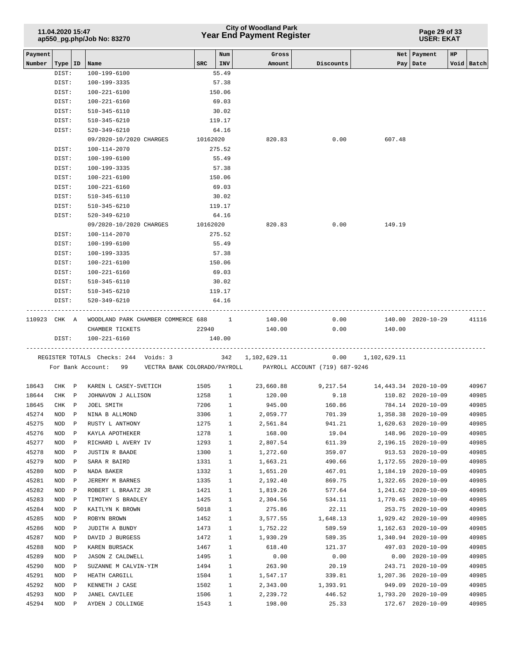|                   | 11.04.2020 15:47   |              | ap550_pg.php/Job No: 83270                                      |            |              | <b>City of Woodland Park</b><br><b>Year End Payment Register</b> |                                                                     | Page 29 of 33<br><b>USER: EKAT</b> |                     |    |            |  |
|-------------------|--------------------|--------------|-----------------------------------------------------------------|------------|--------------|------------------------------------------------------------------|---------------------------------------------------------------------|------------------------------------|---------------------|----|------------|--|
| Payment<br>Number |                    |              |                                                                 | <b>SRC</b> | Num<br>INV   | Gross<br>Amount                                                  | Discounts                                                           |                                    | Net   Payment       | HP | Void Batch |  |
|                   | Type   ID<br>DIST: |              | Name<br>100-199-6100                                            |            | 55.49        |                                                                  |                                                                     |                                    | Pay   Date          |    |            |  |
|                   | DIST:              |              | 100-199-3335                                                    |            | 57.38        |                                                                  |                                                                     |                                    |                     |    |            |  |
|                   | DIST:              |              | $100 - 221 - 6100$                                              |            | 150.06       |                                                                  |                                                                     |                                    |                     |    |            |  |
|                   | DIST:              |              | $100 - 221 - 6160$                                              |            | 69.03        |                                                                  |                                                                     |                                    |                     |    |            |  |
|                   | DIST:              |              | 510-345-6110                                                    |            | 30.02        |                                                                  |                                                                     |                                    |                     |    |            |  |
|                   | DIST:              |              | 510-345-6210                                                    |            | 119.17       |                                                                  |                                                                     |                                    |                     |    |            |  |
|                   | DIST:              |              | 520-349-6210                                                    |            | 64.16        |                                                                  |                                                                     |                                    |                     |    |            |  |
|                   |                    |              | 09/2020-10/2020 CHARGES                                         | 10162020   |              | 820.83                                                           | 0.00                                                                | 607.48                             |                     |    |            |  |
|                   | DIST:              |              | 100-114-2070                                                    |            | 275.52       |                                                                  |                                                                     |                                    |                     |    |            |  |
|                   | DIST:              |              | 100-199-6100                                                    |            | 55.49        |                                                                  |                                                                     |                                    |                     |    |            |  |
|                   | DIST:              |              | 100-199-3335                                                    |            | 57.38        |                                                                  |                                                                     |                                    |                     |    |            |  |
|                   | DIST:              |              | 100-221-6100                                                    |            | 150.06       |                                                                  |                                                                     |                                    |                     |    |            |  |
|                   | DIST:              |              | $100 - 221 - 6160$                                              |            | 69.03        |                                                                  |                                                                     |                                    |                     |    |            |  |
|                   | DIST:              |              | $510 - 345 - 6110$                                              |            | 30.02        |                                                                  |                                                                     |                                    |                     |    |            |  |
|                   | DIST:              |              | 510-345-6210                                                    |            | 119.17       |                                                                  |                                                                     |                                    |                     |    |            |  |
|                   | DIST:              |              | 520-349-6210                                                    |            | 64.16        |                                                                  |                                                                     |                                    |                     |    |            |  |
|                   |                    |              | 09/2020-10/2020 CHARGES                                         | 10162020   |              | 820.83                                                           | 0.00                                                                | 149.19                             |                     |    |            |  |
|                   | DIST:              |              | 100-114-2070                                                    |            | 275.52       |                                                                  |                                                                     |                                    |                     |    |            |  |
|                   | DIST:              |              | 100-199-6100                                                    |            | 55.49        |                                                                  |                                                                     |                                    |                     |    |            |  |
|                   | DIST:              |              | 100-199-3335                                                    |            | 57.38        |                                                                  |                                                                     |                                    |                     |    |            |  |
|                   | DIST:              |              | 100-221-6100                                                    |            | 150.06       |                                                                  |                                                                     |                                    |                     |    |            |  |
|                   | DIST:              |              | 100-221-6160                                                    |            | 69.03        |                                                                  |                                                                     |                                    |                     |    |            |  |
|                   | DIST:              |              | 510-345-6110                                                    |            | 30.02        |                                                                  |                                                                     |                                    |                     |    |            |  |
|                   | DIST:              |              | 510-345-6210                                                    |            | 119.17       |                                                                  |                                                                     |                                    |                     |    |            |  |
|                   | DIST:              |              | 520-349-6210                                                    |            | 64.16        |                                                                  |                                                                     |                                    |                     |    |            |  |
| 110923 CHK A      |                    |              | WOODLAND PARK CHAMBER COMMERCE 688 1 140.00<br>CHAMBER TICKETS  | 22940      |              | 140.00                                                           | 0.00<br>0.00                                                        | 140.00                             | 140.00 2020-10-29   |    | 41116      |  |
|                   | DIST:              |              | 100-221-6160                                                    |            | 140.00       |                                                                  |                                                                     |                                    |                     |    |            |  |
|                   |                    |              | REGISTER TOTALS Checks: 244 Voids: 3<br>For Bank Account:<br>99 |            |              | 342 1,102,629.11                                                 | 0.00<br>VECTRA BANK COLORADO/PAYROLL PAYROLL ACCOUNT (719) 687-9246 | 1,102,629.11                       |                     |    |            |  |
| 18643             | CHK P              |              | KAREN L CASEY-SVETICH                                           | 1505       | $\mathbf{1}$ | 23,660.88                                                        | 9, 217.54 14, 443.34 2020-10-09                                     |                                    |                     |    | 40967      |  |
| 18644             | CHK P              |              | JOHNAVON J ALLISON                                              | 1258       | $\mathbf{1}$ | 120.00                                                           | 9.18                                                                |                                    | 110.82 2020-10-09   |    | 40985      |  |
| 18645             | CHK P              |              | JOEL SMITH                                                      | 7206       | $\mathbf{1}$ | 945.00                                                           | 160.86                                                              |                                    | 784.14 2020-10-09   |    | 40985      |  |
| 45274             | NOD                | $\mathbb{P}$ | NINA B ALLMOND                                                  | 3306       | $\mathbf{1}$ | 2,059.77                                                         | 701.39                                                              | 1,358.38                           | $2020 - 10 - 09$    |    | 40985      |  |
| 45275             | NOD P              |              | RUSTY L ANTHONY                                                 | 1275       | $1\,$        | 2,561.84                                                         | 941.21                                                              | 1,620.63                           | $2020 - 10 - 09$    |    | 40985      |  |
| 45276             | NOD P              |              | KAYLA APOTHEKER                                                 | 1278       | $\mathbf{1}$ | 168.00                                                           | 19.04                                                               | 148.96                             | $2020 - 10 - 09$    |    | 40985      |  |
| 45277             | NOD P              |              | RICHARD L AVERY IV                                              | 1293       | $\mathbf{1}$ | 2,807.54                                                         | 611.39                                                              |                                    | 2,196.15 2020-10-09 |    | 40985      |  |
| 45278             | NOD                | $\mathbb{P}$ | JUSTIN R BAADE                                                  | 1300       | $\mathbf{1}$ | 1,272.60                                                         | 359.07                                                              |                                    | 913.53 2020-10-09   |    | 40985      |  |
| 45279             | NOD                | $\, {\bf P}$ | SARA R BAIRD                                                    | 1331       | $\mathbf{1}$ | 1,663.21                                                         | 490.66                                                              | 1,172.55                           | $2020 - 10 - 09$    |    | 40985      |  |
| 45280             | NOD P              |              | NADA BAKER                                                      | 1332       | $\mathbf{1}$ | 1,651.20                                                         | 467.01                                                              | 1,184.19                           | $2020 - 10 - 09$    |    | 40985      |  |
| 45281             | NOD P              |              | JEREMY M BARNES                                                 | 1335       | 1            | 2,192.40                                                         | 869.75                                                              | 1,322.65                           | $2020 - 10 - 09$    |    | 40985      |  |
| 45282             | NOD P              |              | ROBERT L BRAATZ JR                                              | 1421       | $\mathbf{1}$ | 1,819.26                                                         | 577.64                                                              | 1,241.62                           | $2020 - 10 - 09$    |    | 40985      |  |
| 45283             | NOD                | $\mathbb{P}$ | TIMOTHY S BRADLEY                                               | 1425       | $\mathbf{1}$ | 2,304.56                                                         | 534.11                                                              | 1,770.45                           | $2020 - 10 - 09$    |    | 40985      |  |
| 45284             | NOD P              |              | KAITLYN K BROWN                                                 | 5018       | $\mathbf{1}$ | 275.86                                                           | 22.11                                                               | 253.75                             | 2020-10-09          |    | 40985      |  |
| 45285             | NOD P              |              | ROBYN BROWN                                                     | 1452       | 1            | 3,577.55                                                         | 1,648.13                                                            |                                    | 1,929.42 2020-10-09 |    | 40985      |  |
| 45286             | NOD P              |              | JUDITH A BUNDY                                                  | 1473       | 1            | 1,752.22                                                         | 589.59                                                              |                                    | 1,162.63 2020-10-09 |    | 40985      |  |
| 45287             | NOD                | $\mathbb{P}$ | DAVID J BURGESS                                                 | 1472       | $\mathbf{1}$ | 1,930.29                                                         | 589.35                                                              |                                    | 1,340.94 2020-10-09 |    | 40985      |  |
| 45288             | NOD                | $\, {\bf P}$ | KAREN BURSACK                                                   | 1467       | 1            | 618.40                                                           | 121.37                                                              | 497.03                             | $2020 - 10 - 09$    |    | 40985      |  |
| 45289             | NOD P              |              | <b>JASON Z CALDWELL</b>                                         | 1495       | 1            | 0.00                                                             | 0.00                                                                | 0.00                               | $2020 - 10 - 09$    |    | 40985      |  |
| 45290             | NOD P              |              | SUZANNE M CALVIN-YIM                                            | 1494       | $\mathbf{1}$ | 263.90                                                           | 20.19                                                               | 243.71                             | 2020-10-09          |    | 40985      |  |
| 45291             | NOD P              |              | HEATH CARGILL                                                   | 1504       | 1            | 1,547.17                                                         | 339.81                                                              | 1,207.36                           | $2020 - 10 - 09$    |    | 40985      |  |
| 45292             | NOD                | $\mathbb{P}$ | KENNETH J CASE                                                  | 1502       | $1\,$        | 2,343.00                                                         | 1,393.91                                                            | 949.09                             | $2020 - 10 - 09$    |    | 40985      |  |
| 45293             | NOD P              |              | JANEL CAVILEE                                                   | 1506       | $1\,$        | 2,239.72                                                         | 446.52                                                              | 1,793.20                           | $2020 - 10 - 09$    |    | 40985      |  |
| 45294             | NOD P              |              | AYDEN J COLLINGE                                                | 1543       | $\mathbf{1}$ | 198.00                                                           | 25.33                                                               |                                    | 172.67 2020-10-09   |    | 40985      |  |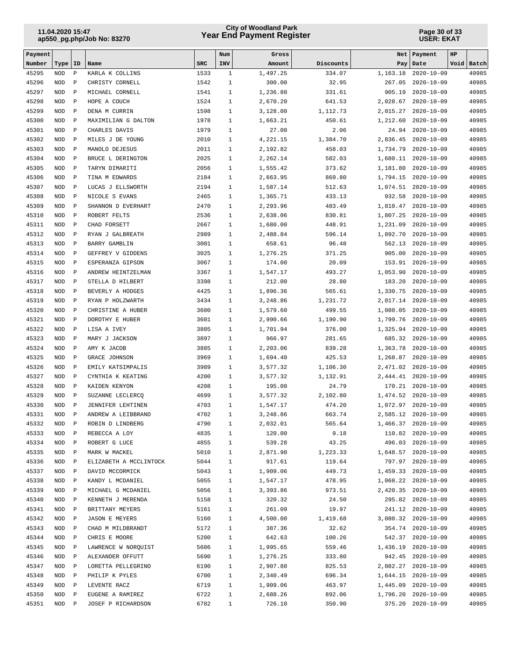## **Year End Payment Register City of Woodland Park 11.04.2020 15:47**

#### **Page 30 of 33 USER: EKAT**

| Payment        |                          |                              |                                   |              | Num                          | Gross             |                  | Net               | Payment                                | HP |                |
|----------------|--------------------------|------------------------------|-----------------------------------|--------------|------------------------------|-------------------|------------------|-------------------|----------------------------------------|----|----------------|
| Number         | Type                     | ID                           | Name                              | <b>SRC</b>   | INV                          | Amount            | Discounts        | Pay               | Date                                   |    | Void Batch     |
| 45295          | <b>NOD</b>               | $\, {\bf P}$                 | KARLA K COLLINS                   | 1533         | $\mathbf{1}$                 | 1,497.25          | 334.07           | 1,163.18          | $2020 - 10 - 09$                       |    | 40985          |
| 45296          | <b>NOD</b>               | $\, {\bf P}$                 | CHRISTY CORNELL                   | 1542         | $\mathbf{1}$                 | 300.00            | 32.95            | 267.05            | $2020 - 10 - 09$                       |    | 40985          |
| 45297          | <b>NOD</b>               | $\, {\bf P}$                 | MICHAEL CORNELL                   | 1541         | $\mathbf{1}$                 | 1,236.80          | 331.61           | 905.19            | $2020 - 10 - 09$                       |    | 40985          |
| 45298          | <b>NOD</b>               | $\, {\bf P}$                 | HOPE A COUCH                      | 1524         | $\mathbf{1}$                 | 2,670.20          | 641.53           | 2,028.67          | $2020 - 10 - 09$                       |    | 40985          |
| 45299          | <b>NOD</b>               | $\, {\bf P}$                 | DENA M CURRIN                     | 1598         | $\mathbf{1}$                 | 3,128.00          | 1,112.73         | 2,015.27          | $2020 - 10 - 09$                       |    | 40985          |
| 45300          | <b>NOD</b>               | $\, {\bf P}$                 | MAXIMILIAN G DALTON               | 1978         | $\mathbf{1}$                 | 1,663.21          | 450.61           | 1,212.60          | $2020 - 10 - 09$                       |    | 40985          |
| 45301<br>45302 | <b>NOD</b><br><b>NOD</b> | $\, {\bf P}$<br>$\, {\bf P}$ | CHARLES DAVIS<br>MILES J DE YOUNG | 1979<br>2010 | $\mathbf{1}$<br>$\mathbf{1}$ | 27.00<br>4,221.15 | 2.06<br>1,384.70 | 24.94<br>2,836.45 | $2020 - 10 - 09$<br>$2020 - 10 - 09$   |    | 40985<br>40985 |
| 45303          | <b>NOD</b>               | $\, {\bf P}$                 | MANOLO DEJESUS                    | 2011         | $\mathbf{1}$                 | 2,192.82          | 458.03           | 1,734.79          | $2020 - 10 - 09$                       |    | 40985          |
| 45304          | <b>NOD</b>               | $\mathbf{P}$                 | BRUCE L DERINGTON                 | 2025         | $\mathbf{1}$                 | 2,262.14          | 582.03           | 1,680.11          | $2020 - 10 - 09$                       |    | 40985          |
| 45305          | <b>NOD</b>               | $\, {\bf P}$                 | TARYN DIMARITI                    | 2056         | $\mathbf{1}$                 | 1,555.42          | 373.62           | 1,181.80          | $2020 - 10 - 09$                       |    | 40985          |
| 45306          | <b>NOD</b>               | $\, {\bf P}$                 | TINA M EDWARDS                    | 2184         | $\mathbf{1}$                 | 2,663.95          | 869.80           | 1,794.15          | $2020 - 10 - 09$                       |    | 40985          |
| 45307          | <b>NOD</b>               | $\, {\bf P}$                 | LUCAS J ELLSWORTH                 | 2194         | $\mathbf{1}$                 | 1,587.14          | 512.63           | 1,074.51          | $2020 - 10 - 09$                       |    | 40985          |
| 45308          | <b>NOD</b>               | $\, {\bf P}$                 | NICOLE S EVANS                    | 2465         | $\mathbf{1}$                 | 1,365.71          | 433.13           | 932.58            | $2020 - 10 - 09$                       |    | 40985          |
| 45309          | <b>NOD</b>               | $\, {\bf P}$                 | SHANNON D EVERHART                | 2470         | $\mathbf{1}$                 | 2,293.96          | 483.49           | 1,810.47          | $2020 - 10 - 09$                       |    | 40985          |
| 45310          | <b>NOD</b>               | $\, {\bf P}$                 | ROBERT FELTS                      | 2536         | $\mathbf{1}$                 | 2,638.06          | 830.81           | 1,807.25          | $2020 - 10 - 09$                       |    | 40985          |
| 45311          | <b>NOD</b>               | $\, {\bf P}$                 | CHAD FORSETT                      | 2667         | $\mathbf{1}$                 | 1,680.00          | 448.91           | 1,231.09          | $2020 - 10 - 09$                       |    | 40985          |
| 45312          | <b>NOD</b>               | $\, {\bf P}$                 | RYAN J GALBREATH                  | 2989         | $\mathbf{1}$                 | 2,488.84          | 596.14           | 1,892.70          | $2020 - 10 - 09$                       |    | 40985          |
| 45313          | <b>NOD</b>               | $\mathbf{P}$                 | BARRY GAMBLIN                     | 3001         | $\mathbf{1}$                 | 658.61            | 96.48            | 562.13            | $2020 - 10 - 09$                       |    | 40985          |
| 45314          | <b>NOD</b>               | $\, {\bf P}$                 | GEFFREY V GIDDENS                 | 3025         | $\mathbf{1}$                 | 1,276.25          | 371.25           | 905.00            | $2020 - 10 - 09$                       |    | 40985          |
| 45315          | <b>NOD</b>               | $\, {\bf P}$                 | ESPERANZA GIPSON                  | 3067         | $\mathbf{1}$                 | 174.00            | 20.09            | 153.91            | $2020 - 10 - 09$                       |    | 40985          |
| 45316          | <b>NOD</b>               | $\, {\bf P}$                 | ANDREW HEINTZELMAN                | 3367         | $\mathbf{1}$                 | 1,547.17          | 493.27           | 1,053.90          | $2020 - 10 - 09$                       |    | 40985          |
| 45317          | <b>NOD</b>               | $\, {\bf P}$                 | STELLA D HILBERT                  | 3398         | $\mathbf{1}$                 | 212.00            | 28.80            | 183.20            | $2020 - 10 - 09$                       |    | 40985          |
| 45318          | <b>NOD</b>               | $\, {\bf P}$                 | BEVERLY A HODGES                  | 4425         | $\mathbf{1}$                 | 1,896.36          | 565.61           | 1,330.75          | $2020 - 10 - 09$                       |    | 40985          |
| 45319          | <b>NOD</b>               | $\, {\bf P}$                 | RYAN P HOLZWARTH                  | 3434         | $\mathbf{1}$                 | 3,248.86          | 1,231.72         | 2,017.14          | $2020 - 10 - 09$                       |    | 40985          |
| 45320          | <b>NOD</b>               | $\, {\bf P}$                 | CHRISTINE A HUBER                 | 3600         | $\mathbf{1}$                 | 1,579.60          | 499.55           | 1,080.05          | $2020 - 10 - 09$                       |    | 40985          |
| 45321          | <b>NOD</b>               | $\, {\bf P}$                 | DOROTHY E HUBER                   | 3601         | $\mathbf{1}$                 | 2,990.66          | 1,190.90         | 1,799.76          | $2020 - 10 - 09$                       |    | 40985          |
| 45322          | <b>NOD</b>               | $\, {\bf P}$                 | LISA A IVEY                       | 3805         | $\mathbf{1}$                 | 1,701.94          | 376.00           | 1,325.94          | $2020 - 10 - 09$                       |    | 40985          |
| 45323          | <b>NOD</b>               | $\mathbf{P}$                 | MARY J JACKSON                    | 3897         | $\mathbf{1}$                 | 966.97            | 281.65           | 685.32            | $2020 - 10 - 09$                       |    | 40985          |
| 45324          | <b>NOD</b>               | $\, {\bf P}$                 | AMY K JACOB                       | 3885         | $\mathbf{1}$                 | 2,203.06          | 839.28           | 1,363.78          | $2020 - 10 - 09$                       |    | 40985          |
| 45325          | <b>NOD</b>               | $\, {\bf P}$                 | GRACE JOHNSON                     | 3969         | $\mathbf{1}$                 | 1,694.40          | 425.53           | 1,268.87          | $2020 - 10 - 09$                       |    | 40985          |
| 45326          | <b>NOD</b>               | $\, {\bf P}$                 | EMILY KATSIMPALIS                 | 3989         | $\mathbf{1}$                 | 3,577.32          | 1,106.30         | 2,471.02          | $2020 - 10 - 09$                       |    | 40985          |
| 45327          | <b>NOD</b>               | $\, {\bf P}$                 | CYNTHIA K KEATING                 | 4200         | $\mathbf{1}$                 | 3,577.32          | 1,132.91         | 2,444.41          | $2020 - 10 - 09$                       |    | 40985          |
| 45328          | <b>NOD</b>               | $\, {\bf P}$                 | KAIDEN KENYON                     | 4208         | $\mathbf{1}$                 | 195.00            | 24.79            | 170.21            | $2020 - 10 - 09$                       |    | 40985          |
| 45329          | <b>NOD</b>               | $\, {\bf P}$                 | SUZANNE LECLERCQ                  | 4699         | $\mathbf{1}$                 | 3,577.32          | 2,102.80         | 1,474.52          | $2020 - 10 - 09$                       |    | 40985          |
| 45330          | <b>NOD</b>               | $\mathbf{P}$                 | JENNIFER LEHTINEN                 | 4703         | $\mathbf{1}$                 | 1,547.17          | 474.20           | 1,072.97          | $2020 - 10 - 09$<br>$2020 - 10 - 09$   |    | 40985          |
| 45331          | <b>NOD</b>               | $\mathbf{P}$                 | ANDREW A LEIBBRAND                | 4702         | $\mathbf{1}$                 | 3,248.86          | 663.74           | 2,585.12          |                                        |    | 40985          |
| 45332          | NOD                      | Ρ                            | ROBIN D LINDBERG                  | 4790         | 1                            | 2,032.01          | 565.64           |                   | 1,466.37 2020-10-09                    |    | 40985          |
| 45333<br>45334 | NOD<br>NOD               | Ρ<br>Ρ                       | REBECCA A LOY<br>ROBERT G LUCE    | 4835<br>4855 | 1<br>$\mathbf{1}$            | 120.00<br>539.28  | 9.18<br>43.25    |                   | 110.82 2020-10-09<br>496.03 2020-10-09 |    | 40985<br>40985 |
| 45335          | NOD                      | $\, {\bf P}$                 | MARK W MACKEL                     | 5010         | $\mathbf{1}$                 | 2,871.90          | 1,223.33         |                   | 1,648.57 2020-10-09                    |    | 40985          |
| 45336          | $\rm NOD$                | $\, {\bf P}$                 | ELIZABETH A MCCLINTOCK            | 5044         | $\mathbf{1}$                 | 917.61            | 119.64           |                   | 797.97 2020-10-09                      |    | 40985          |
| 45337          | NOD                      | Ρ                            | DAVID MCCORMICK                   | 5043         | $\mathbf{1}$                 | 1,909.06          | 449.73           |                   | 1,459.33 2020-10-09                    |    | 40985          |
| 45338          | NOD                      | Ρ                            | KANDY L MCDANIEL                  | 5055         | 1                            | 1,547.17          | 478.95           |                   | 1,068.22 2020-10-09                    |    | 40985          |
| 45339          | NOD                      | Ρ                            | MICHAEL G MCDANIEL                | 5056         | $\mathbf{1}$                 | 3,393.86          | 973.51           |                   | 2,420.35 2020-10-09                    |    | 40985          |
| 45340          | NOD                      | $\, {\bf P}$                 | KENNETH J MERENDA                 | 5158         | $\mathbf{1}$                 | 320.32            | 24.50            |                   | 295.82 2020-10-09                      |    | 40985          |
| 45341          | NOD                      | $\, {\bf P}$                 | BRITTANY MEYERS                   | 5161         | 1                            | 261.09            | 19.97            |                   | 241.12 2020-10-09                      |    | 40985          |
| 45342          | NOD                      | $\, {\bf P}$                 | <b>JASON E MEYERS</b>             | 5160         | 1                            | 4,500.00          | 1,419.68         |                   | 3,080.32 2020-10-09                    |    | 40985          |
| 45343          | NOD                      | $\, {\bf P}$                 | CHAD M MILDBRANDT                 | 5172         | $\mathbf{1}$                 | 387.36            | 32.62            |                   | 354.74 2020-10-09                      |    | 40985          |
| 45344          | $\rm NOD$                | $\, {\bf P}$                 | CHRIS E MOORE                     | 5200         | $\mathbf{1}$                 | 642.63            | 100.26           |                   | 542.37 2020-10-09                      |    | 40985          |
| 45345          | $\rm NOD$                | $\, {\bf P}$                 | LAWRENCE W NORQUIST               | 5606         | $\mathbf{1}$                 | 1,995.65          | 559.46           |                   | 1,436.19 2020-10-09                    |    | 40985          |
| 45346          | NOD                      | Ρ                            | ALEXANDER OFFUTT                  | 5690         | $\mathbf{1}$                 | 1,276.25          | 333.80           |                   | 942.45 2020-10-09                      |    | 40985          |
| 45347          | NOD                      | Ρ                            | LORETTA PELLEGRINO                | 6190         | $\mathbf{1}$                 | 2,907.80          | 825.53           |                   | 2,082.27 2020-10-09                    |    | 40985          |
| 45348          | NOD                      | Ρ                            | PHILIP K PYLES                    | 6700         | $\mathbf{1}$                 | 2,340.49          | 696.34           |                   | 1,644.15 2020-10-09                    |    | 40985          |
| 45349          | NOD                      | $\, {\bf P}$                 | LEVENTE RACZ                      | 6719         | $\mathbf{1}$                 | 1,909.06          | 463.97           |                   | 1,445.09 2020-10-09                    |    | 40985          |
| 45350          | $\rm NOD$                | $\, {\bf P}$                 | EUGENE A RAMIREZ                  | 6722         | $\mathbf{1}$                 | 2,688.26          | 892.06           | 1,796.20          | $2020 - 10 - 09$                       |    | 40985          |
| 45351          | $\rm NOD$                | $\, {\bf P}$                 | JOSEF P RICHARDSON                | 6782         | $\mathbf{1}$                 | 726.10            | 350.90           |                   | 375.20 2020-10-09                      |    | 40985          |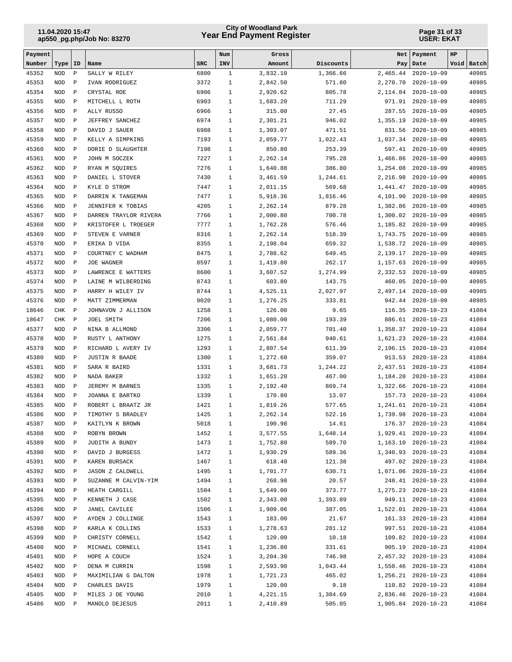## **Year End Payment Register City of Woodland Park 11.04.2020 15:47**

#### **Page 31 of 33 USER: EKAT**

| Payment        |                          |                              |                                    |              | Num                          | Gross                |                    | Net                  | Payment                                | HP         |                |
|----------------|--------------------------|------------------------------|------------------------------------|--------------|------------------------------|----------------------|--------------------|----------------------|----------------------------------------|------------|----------------|
| Number         | Type                     | ID                           | Name                               | <b>SRC</b>   | INV                          | Amount               | Discounts          | Pay                  | Date                                   | Void Batch |                |
| 45352          | <b>NOD</b>               | $\, {\bf P}$                 | SALLY W RILEY                      | 6800         | $\mathbf{1}$                 | 3,832.10             | 1,366.66           | 2,465.44             | $2020 - 10 - 09$                       |            | 40985          |
| 45353          | <b>NOD</b>               | $\, {\bf P}$                 | IVAN RODRIGUEZ                     | 3372         | $\mathbf{1}$                 | 2,842.50             | 571.80             | 2,270.70             | $2020 - 10 - 09$                       |            | 40985          |
| 45354          | <b>NOD</b>               | $\, {\bf p}$                 | CRYSTAL ROE                        | 6906         | $\mathbf{1}$                 | 2,920.62             | 805.78             | 2,114.84             | $2020 - 10 - 09$                       |            | 40985          |
| 45355          | <b>NOD</b>               | $\, {\bf P}$                 | MITCHELL L ROTH                    | 6903         | $\mathbf{1}$                 | 1,683.20             | 711.29             | 971.91               | $2020 - 10 - 09$                       |            | 40985          |
| 45356          | <b>NOD</b>               | $\, {\bf P}$                 | ALLY RUSSO                         | 6966         | $\mathbf{1}$                 | 315.00               | 27.45              | 287.55               | $2020 - 10 - 09$                       |            | 40985          |
| 45357<br>45358 | <b>NOD</b><br><b>NOD</b> | $\, {\bf P}$<br>$\, {\bf P}$ | JEFFREY SANCHEZ<br>DAVID J SAUER   | 6974<br>6988 | $\mathbf{1}$<br>$\mathbf{1}$ | 2,301.21<br>1,303.07 | 946.02             | 1,355.19             | $2020 - 10 - 09$                       |            | 40985<br>40985 |
| 45359          | <b>NOD</b>               | $\, {\bf p}$                 | KELLY A SIMPKINS                   | 7193         | $\mathbf{1}$                 | 2,059.77             | 471.51<br>1,022.43 | 831.56<br>1,037.34   | $2020 - 10 - 09$<br>$2020 - 10 - 09$   |            | 40985          |
| 45360          | <b>NOD</b>               | $\, {\bf P}$                 | DORIE D SLAUGHTER                  | 7198         | $\mathbf{1}$                 | 850.80               | 253.39             | 597.41               | $2020 - 10 - 09$                       |            | 40985          |
| 45361          | <b>NOD</b>               | $\, {\bf P}$                 | JOHN M SOCZEK                      | 7227         | $\mathbf{1}$                 | 2,262.14             | 795.28             | 1,466.86             | $2020 - 10 - 09$                       |            | 40985          |
| 45362          | <b>NOD</b>               | $\, {\bf P}$                 | RYAN M SQUIRES                     | 7276         | $\mathbf{1}$                 | 1,640.88             | 386.80             | 1,254.08             | $2020 - 10 - 09$                       |            | 40985          |
| 45363          | <b>NOD</b>               | $\, {\bf P}$                 | DANIEL L STOVER                    | 7430         | $\mathbf{1}$                 | 3,461.59             | 1,244.61           | 2,216.98             | $2020 - 10 - 09$                       |            | 40985          |
| 45364          | <b>NOD</b>               | $\, {\bf P}$                 | KYLE D STROM                       | 7447         | $\mathbf{1}$                 | 2,011.15             | 569.68             | 1,441.47             | $2020 - 10 - 09$                       |            | 40985          |
| 45365          | <b>NOD</b>               | $\mathbf{P}$                 | DARRIN K TANGEMAN                  | 7477         | $\mathbf{1}$                 | 5,918.36             | 1,816.46           | 4,101.90             | $2020 - 10 - 09$                       |            | 40985          |
| 45366          | <b>NOD</b>               | $\, {\bf P}$                 | JENNIFER K TOBIAS                  | 4205         | $\mathbf{1}$                 | 2,262.14             | 879.28             | 1,382.86             | $2020 - 10 - 09$                       |            | 40985          |
| 45367          | <b>NOD</b>               | $\, {\bf P}$                 | DARREN TRAYLOR RIVERA              | 7766         | $\mathbf{1}$                 | 2,000.80             | 700.78             | 1,300.02             | $2020 - 10 - 09$                       |            | 40985          |
| 45368          | <b>NOD</b>               | $\, {\bf p}$                 | KRISTOFER L TROEGER                | 7777         | $\mathbf{1}$                 | 1,762.28             | 576.46             | 1,185.82             | $2020 - 10 - 09$                       |            | 40985          |
| 45369          | <b>NOD</b>               | $\, {\bf P}$                 | STEVEN E VARNER                    | 8316         | $\mathbf{1}$                 | 2,262.14             | 518.39             | 1,743.75             | $2020 - 10 - 09$                       |            | 40985          |
| 45370          | <b>NOD</b>               | $\, {\bf P}$                 | ERIKA D VIDA                       | 8355         | $\mathbf{1}$                 | 2,198.04             | 659.32             | 1,538.72             | $2020 - 10 - 09$                       |            | 40985          |
| 45371          | <b>NOD</b>               | $\, {\bf P}$                 | COURTNEY C WADHAM                  | 8475         | $\mathbf{1}$                 | 2,788.62             | 649.45             | 2,139.17             | $2020 - 10 - 09$                       |            | 40985          |
| 45372          | <b>NOD</b>               | $\, {\bf P}$                 | JOE WAGNER                         | 8597         | $\mathbf{1}$                 | 1,419.80             | 262.17             | 1,157.63             | $2020 - 10 - 09$                       |            | 40985          |
| 45373          | <b>NOD</b>               | $\, {\bf P}$                 | LAWRENCE E WATTERS                 | 8600         | $\mathbf{1}$                 | 3,607.52             | 1,274.99           | 2,332.53             | $2020 - 10 - 09$                       |            | 40985          |
| 45374          | <b>NOD</b>               | $\, {\bf P}$                 | LAINE M WILBERDING                 | 8743         | $\mathbf{1}$                 | 603.80               | 143.75             | 460.05               | $2020 - 10 - 09$                       |            | 40985          |
| 45375          | <b>NOD</b>               | $\, {\bf P}$                 | HARRY H WILEY IV                   | 8744         | $\mathbf{1}$                 | 4,525.11             | 2,027.97           | 2,497.14             | $2020 - 10 - 09$                       |            | 40985          |
| 45376          | <b>NOD</b>               | $\, {\bf P}$                 | MATT ZIMMERMAN                     | 9020         | $\mathbf{1}$                 | 1,276.25             | 333.81             | 942.44               | $2020 - 10 - 09$                       |            | 40985          |
| 18646          | <b>CHK</b>               | $\, {\bf p}$                 | JOHNAVON J ALLISON                 | 1258         | $\mathbf{1}$                 | 126.00               | 9.65               | 116.35               | $2020 - 10 - 23$                       |            | 41084          |
| 18647          | <b>CHK</b>               | $\, {\bf P}$                 | JOEL SMITH                         | 7206         | $\mathbf{1}$                 | 1,080.00             | 193.39             | 886.61               | $2020 - 10 - 23$                       |            | 41084          |
| 45377<br>45378 | <b>NOD</b><br><b>NOD</b> | $\, {\bf P}$<br>$\, {\bf P}$ | NINA B ALLMOND<br>RUSTY L ANTHONY  | 3306<br>1275 | $\mathbf{1}$<br>$\mathbf{1}$ | 2,059.77<br>2,561.84 | 701.40<br>940.61   | 1,358.37<br>1,621.23 | $2020 - 10 - 23$<br>$2020 - 10 - 23$   |            | 41084<br>41084 |
| 45379          | <b>NOD</b>               | $\, {\bf P}$                 | RICHARD L AVERY IV                 | 1293         | $\mathbf{1}$                 | 2,807.54             | 611.39             | 2,196.15             | $2020 - 10 - 23$                       |            | 41084          |
| 45380          | <b>NOD</b>               | $\, {\bf P}$                 | <b>JUSTIN R BAADE</b>              | 1300         | $\mathbf{1}$                 | 1,272.60             | 359.07             | 913.53               | $2020 - 10 - 23$                       |            | 41084          |
| 45381          | <b>NOD</b>               | $\mathbf{P}$                 | SARA R BAIRD                       | 1331         | $\mathbf{1}$                 | 3,681.73             | 1,244.22           |                      | 2,437.51 2020-10-23                    |            | 41084          |
| 45382          | <b>NOD</b>               | $\, {\bf P}$                 | NADA BAKER                         | 1332         | $\mathbf{1}$                 | 1,651.20             | 467.00             | 1,184.20             | $2020 - 10 - 23$                       |            | 41084          |
| 45383          | <b>NOD</b>               | $\mathbf{P}$                 | JEREMY M BARNES                    | 1335         | $\mathbf{1}$                 | 2,192.40             | 869.74             | 1,322.66             | $2020 - 10 - 23$                       |            | 41084          |
| 45384          | <b>NOD</b>               | $\, {\bf p}$                 | JOANNA E BARTKO                    | 1339         | $\mathbf{1}$                 | 170.80               | 13.07              | 157.73               | $2020 - 10 - 23$                       |            | 41084          |
| 45385          | <b>NOD</b>               | $\, {\bf P}$                 | ROBERT L BRAATZ JR                 | 1421         | $\mathbf{1}$                 | 1,819.26             | 577.65             | 1,241.61             | $2020 - 10 - 23$                       |            | 41084          |
| 45386          | <b>NOD</b>               | $\mathbf{P}$                 | TIMOTHY S BRADLEY                  | 1425         | $\mathbf{1}$                 | 2,262.14             | 522.16             | 1,739.98             | $2020 - 10 - 23$                       |            | 41084          |
| 45387          | NOD                      | P                            | KAITLYN K BROWN                    | 5018         | $\mathbf 1$                  | 190.98               | 14.61              | 176.37               | $2020 - 10 - 23$                       |            | 41084          |
| 45388          | NOD                      | Ρ                            | ROBYN BROWN                        | 1452         | 1                            | 3,577.55             | 1,648.14           |                      | 1,929.41 2020-10-23                    |            | 41084          |
| 45389          | NOD                      | Ρ                            | JUDITH A BUNDY                     | 1473         | $\mathbf{1}$                 | 1,752.80             | 589.70             |                      | 1, 163.10 2020-10-23                   |            | 41084          |
| 45390          | $\rm NOD$                | $\, {\bf P}$                 | DAVID J BURGESS                    | 1472         | $\mathbf{1}$                 | 1,930.29             | 589.36             |                      | 1,340.93 2020-10-23                    |            | 41084          |
| 45391          | NOD                      | Ρ                            | KAREN BURSACK                      | 1467         | $\mathbf{1}$                 | 618.40               | 121.38             |                      | 497.02 2020-10-23                      |            | 41084          |
| 45392          | $\rm NOD$                | $\, {\bf P}$                 | JASON Z CALDWELL                   | 1495         | $\mathbf{1}$                 | 1,701.77             | 630.71             |                      | 1,071.06 2020-10-23                    |            | 41084          |
| 45393          | NOD                      | Ρ                            | SUZANNE M CALVIN-YIM               | 1494         | $\mathbf{1}$                 | 268.98               | 20.57              |                      | 248.41 2020-10-23                      |            | 41084          |
| 45394          | NOD                      | $\, {\bf P}$                 | HEATH CARGILL                      | 1504         | $\mathbf{1}$                 | 1,649.00             | 373.77             |                      | 1, 275.23 2020-10-23                   |            | 41084          |
| 45395          | $\rm NOD$                | $\, {\bf P}$                 | KENNETH J CASE                     | 1502         | $\mathbf{1}$                 | 2,343.00             | 1,393.89           |                      | 949.11 2020-10-23                      |            | 41084          |
| 45396          | NOD                      | P                            | JANEL CAVILEE                      | 1506         | $\mathbf{1}$                 | 1,909.06             | 387.05             |                      | 1,522.01 2020-10-23                    |            | 41084          |
| 45397          | NOD                      | $\, {\bf P}$                 | AYDEN J COLLINGE                   | 1543         | $\mathbf{1}$                 | 183.00               | 21.67              |                      | 161.33 2020-10-23                      |            | 41084          |
| 45398<br>45399 | NOD<br>$\rm NOD$         | $\, {\bf P}$<br>$\, {\bf P}$ | KARLA K COLLINS<br>CHRISTY CORNELL | 1533<br>1542 | $\mathbf{1}$<br>$\mathbf{1}$ | 1,278.63<br>120.00   | 281.12<br>10.18    |                      | 997.51 2020-10-23<br>109.82 2020-10-23 |            | 41084<br>41084 |
| 45400          | NOD                      | Ρ                            | MICHAEL CORNELL                    | 1541         | $\mathbf{1}$                 | 1,236.80             | 331.61             |                      | 905.19 2020-10-23                      |            | 41084          |
| 45401          | $\rm NOD$                | $\, {\bf P}$                 | HOPE A COUCH                       | 1524         | $\mathbf{1}$                 | 3,204.30             | 746.98             |                      | 2,457.32 2020-10-23                    |            | 41084          |
| 45402          | NOD                      | Ρ                            | DENA M CURRIN                      | 1598         | 1                            | 2,593.90             | 1,043.44           |                      | 1,550.46 2020-10-23                    |            | 41084          |
| 45403          | NOD                      | $\, {\bf P}$                 | MAXIMILIAN G DALTON                | 1978         | $\mathbf{1}$                 | 1,721.23             | 465.02             |                      | 1,256.21 2020-10-23                    |            | 41084          |
| 45404          | $\rm NOD$                | $\, {\bf P}$                 | CHARLES DAVIS                      | 1979         | $\mathbf{1}$                 | 120.00               | 9.18               |                      | 110.82 2020-10-23                      |            | 41084          |
| 45405          | NOD                      | Ρ                            | MILES J DE YOUNG                   | 2010         | $\mathbf 1$                  | 4,221.15             | 1,384.69           |                      | 2,836.46 2020-10-23                    |            | 41084          |
| 45406          | $\rm NOD$                | Ρ                            | MANOLO DEJESUS                     | 2011         | $\mathbf{1}$                 | 2,410.89             | 505.05             |                      | 1,905.84 2020-10-23                    |            | 41084          |
|                |                          |                              |                                    |              |                              |                      |                    |                      |                                        |            |                |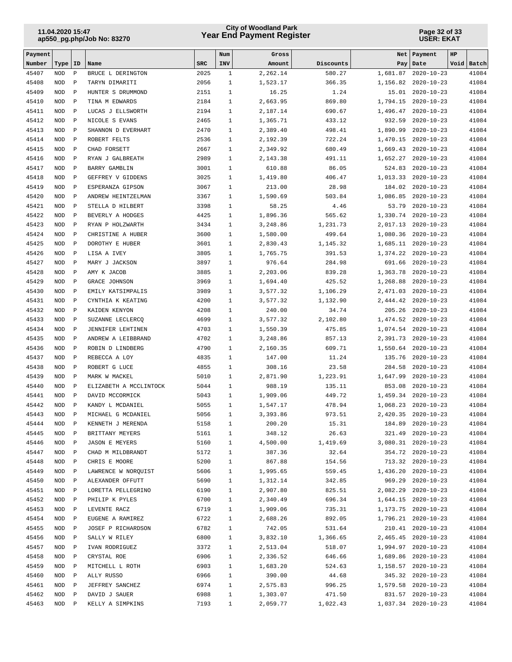## **Year End Payment Register City of Woodland Park 11.04.2020 15:47**

#### **Page 32 of 33 USER: EKAT**

| Payment        |                          |                              |                                  |              | Num                          | Gross                |                  | Net                  | Payment                                     | <b>HP</b>      |
|----------------|--------------------------|------------------------------|----------------------------------|--------------|------------------------------|----------------------|------------------|----------------------|---------------------------------------------|----------------|
| Number         | Type                     | ID                           | Name                             | <b>SRC</b>   | INV                          | Amount               | Discounts        | Pay                  | Date                                        | Void Batch     |
| 45407          | <b>NOD</b>               | $\, {\bf P}$                 | BRUCE L DERINGTON                | 2025         | $\mathbf{1}$                 | 2.262.14             | 580.27           | 1,681.87             | $2020 - 10 - 23$                            | 41084          |
| 45408          | <b>NOD</b>               | $\, {\bf P}$                 | TARYN DIMARITI                   | 2056         | $\mathbf{1}$                 | 1,523.17             | 366.35           | 1,156.82             | $2020 - 10 - 23$                            | 41084          |
| 45409          | <b>NOD</b>               | $\, {\bf P}$                 | HUNTER S DRUMMOND                | 2151         | $\mathbf{1}$                 | 16.25                | 1.24             | 15.01                | $2020 - 10 - 23$                            | 41084          |
| 45410          | <b>NOD</b>               | $\, {\bf P}$                 | TINA M EDWARDS                   | 2184         | $\mathbf{1}$                 | 2,663.95             | 869.80           | 1,794.15             | $2020 - 10 - 23$                            | 41084          |
| 45411          | <b>NOD</b>               | $\, {\bf P}$                 | LUCAS J ELLSWORTH                | 2194         | $\mathbf{1}$                 | 2,187.14             | 690.67           | 1,496.47             | $2020 - 10 - 23$                            | 41084          |
| 45412          | <b>NOD</b>               | $\, {\bf P}$                 | NICOLE S EVANS                   | 2465         | $\mathbf{1}$                 | 1,365.71             | 433.12           | 932.59               | $2020 - 10 - 23$                            | 41084          |
| 45413          | <b>NOD</b>               | $\, {\bf P}$                 | SHANNON D EVERHART               | 2470         | $\mathbf{1}$                 | 2,389.40             | 498.41           | 1,890.99             | $2020 - 10 - 23$                            | 41084          |
| 45414<br>45415 | <b>NOD</b>               | $\, {\bf P}$                 | ROBERT FELTS                     | 2536<br>2667 | $\mathbf{1}$<br>$\mathbf{1}$ | 2,192.39             | 722.24<br>680.49 | 1,470.15<br>1,669.43 | $2020 - 10 - 23$<br>$2020 - 10 - 23$        | 41084<br>41084 |
| 45416          | <b>NOD</b><br><b>NOD</b> | $\, {\bf P}$<br>$\, {\bf P}$ | CHAD FORSETT<br>RYAN J GALBREATH | 2989         | $\mathbf{1}$                 | 2,349.92<br>2,143.38 | 491.11           | 1,652.27             | $2020 - 10 - 23$                            | 41084          |
| 45417          | <b>NOD</b>               | $\, {\bf P}$                 | BARRY GAMBLIN                    | 3001         | $\mathbf{1}$                 | 610.88               | 86.05            | 524.83               | $2020 - 10 - 23$                            | 41084          |
| 45418          | <b>NOD</b>               | $\, {\bf P}$                 | GEFFREY V GIDDENS                | 3025         | $\mathbf{1}$                 | 1,419.80             | 406.47           | 1,013.33             | $2020 - 10 - 23$                            | 41084          |
| 45419          | <b>NOD</b>               | $\, {\bf P}$                 | ESPERANZA GIPSON                 | 3067         | $\mathbf{1}$                 | 213.00               | 28.98            | 184.02               | $2020 - 10 - 23$                            | 41084          |
| 45420          | <b>NOD</b>               | $\, {\bf P}$                 | ANDREW HEINTZELMAN               | 3367         | $\mathbf{1}$                 | 1,590.69             | 503.84           | 1,086.85             | $2020 - 10 - 23$                            | 41084          |
| 45421          | <b>NOD</b>               | $\, {\bf P}$                 | STELLA D HILBERT                 | 3398         | $\mathbf{1}$                 | 58.25                | 4.46             | 53.79                | $2020 - 10 - 23$                            | 41084          |
| 45422          | <b>NOD</b>               | $\, {\bf P}$                 | BEVERLY A HODGES                 | 4425         | $\mathbf{1}$                 | 1,896.36             | 565.62           | 1,330.74             | $2020 - 10 - 23$                            | 41084          |
| 45423          | <b>NOD</b>               | $\, {\bf P}$                 | RYAN P HOLZWARTH                 | 3434         | $\mathbf{1}$                 | 3,248.86             | 1,231.73         | 2,017.13             | $2020 - 10 - 23$                            | 41084          |
| 45424          | <b>NOD</b>               | $\, {\bf P}$                 | CHRISTINE A HUBER                | 3600         | $\mathbf{1}$                 | 1,580.00             | 499.64           | 1,080.36             | $2020 - 10 - 23$                            | 41084          |
| 45425          | <b>NOD</b>               | $\, {\bf P}$                 | DOROTHY E HUBER                  | 3601         | $\mathbf{1}$                 | 2,830.43             | 1,145.32         | 1,685.11             | $2020 - 10 - 23$                            | 41084          |
| 45426          | <b>NOD</b>               | $\, {\bf P}$                 | LISA A IVEY                      | 3805         | $\mathbf{1}$                 | 1,765.75             | 391.53           | 1,374.22             | $2020 - 10 - 23$                            | 41084          |
| 45427          | <b>NOD</b>               | $\, {\bf P}$                 | MARY J JACKSON                   | 3897         | $\mathbf{1}$                 | 976.64               | 284.98           | 691.66               | $2020 - 10 - 23$                            | 41084          |
| 45428          | <b>NOD</b>               | $\, {\bf P}$                 | AMY K JACOB                      | 3885         | $\mathbf{1}$                 | 2,203.06             | 839.28           | 1,363.78             | $2020 - 10 - 23$                            | 41084          |
| 45429          | <b>NOD</b>               | $\, {\bf P}$                 | <b>GRACE JOHNSON</b>             | 3969         | $\mathbf{1}$                 | 1,694.40             | 425.52           | 1,268.88             | $2020 - 10 - 23$                            | 41084          |
| 45430          | <b>NOD</b>               | $\, {\bf P}$                 | EMILY KATSIMPALIS                | 3989         | $\mathbf{1}$                 | 3,577.32             | 1,106.29         | 2,471.03             | $2020 - 10 - 23$                            | 41084          |
| 45431          | <b>NOD</b>               | $\, {\bf P}$                 | CYNTHIA K KEATING                | 4200         | $\mathbf{1}$                 | 3,577.32             | 1,132.90         | 2,444.42             | $2020 - 10 - 23$                            | 41084          |
| 45432          | <b>NOD</b>               | $\, {\bf P}$                 | KAIDEN KENYON                    | 4208         | $\mathbf{1}$                 | 240.00               | 34.74            | 205.26               | $2020 - 10 - 23$                            | 41084          |
| 45433          | <b>NOD</b>               | $\, {\bf P}$                 | SUZANNE LECLERCQ                 | 4699         | $\mathbf{1}$                 | 3,577.32             | 2,102.80         | 1,474.52             | $2020 - 10 - 23$                            | 41084          |
| 45434          | <b>NOD</b>               | $\, {\bf P}$                 | <b>JENNIFER LEHTINEN</b>         | 4703         | $\mathbf{1}$                 | 1,550.39             | 475.85           | 1,074.54             | $2020 - 10 - 23$                            | 41084          |
| 45435          | <b>NOD</b>               | $\, {\bf P}$                 | ANDREW A LEIBBRAND               | 4702         | $\mathbf{1}$                 | 3,248.86             | 857.13           | 2,391.73             | $2020 - 10 - 23$                            | 41084          |
| 45436          | <b>NOD</b>               | $\, {\bf P}$                 | ROBIN D LINDBERG                 | 4790         | $\mathbf{1}$                 | 2,160.35             | 609.71           | 1,550.64             | $2020 - 10 - 23$                            | 41084          |
| 45437          | <b>NOD</b>               | $\, {\bf P}$                 | REBECCA A LOY                    | 4835         | $\mathbf{1}$                 | 147.00               | 11.24            | 135.76               | $2020 - 10 - 23$                            | 41084          |
| 45438          | <b>NOD</b>               | $\, {\bf P}$                 | ROBERT G LUCE                    | 4855         | $\mathbf{1}$                 | 308.16               | 23.58            | 284.58               | $2020 - 10 - 23$                            | 41084          |
| 45439          | <b>NOD</b>               | $\, {\bf P}$                 | MARK W MACKEL                    | 5010         | $\mathbf{1}$                 | 2,871.90             | 1,223.91         | 1,647.99             | $2020 - 10 - 23$                            | 41084          |
| 45440          | <b>NOD</b>               | $\, {\bf P}$                 | ELIZABETH A MCCLINTOCK           | 5044         | $\mathbf{1}$                 | 988.19               | 135.11           | 853.08               | $2020 - 10 - 23$                            | 41084          |
| 45441          | <b>NOD</b>               | $\mathbf{P}$                 | DAVID MCCORMICK                  | 5043         | $\mathbf{1}$                 | 1,909.06             | 449.72           | 1,459.34             | $2020 - 10 - 23$                            | 41084          |
| 45442          | <b>NOD</b>               | $\, {\bf P}$                 | KANDY L MCDANIEL                 | 5055         | $\mathbf{1}$                 | 1,547.17             | 478.94           | 1,068.23             | $2020 - 10 - 23$                            | 41084          |
| 45443          | <b>NOD</b>               | $\mathbf{P}$                 | MICHAEL G MCDANIEL               | 5056         | $\mathbf{1}$                 | 3,393.86             | 973.51           | 2,420.35             | $2020 - 10 - 23$                            | 41084          |
| 45444          | NOD                      | $\mathbf{P}$                 | KENNETH J MERENDA                | 5158         | $\mathbf{1}$                 | 200.20               | 15.31            | 184.89               | $2020 - 10 - 23$                            | 41084          |
| 45445          | NOD                      | $\, {\bf P}$                 | BRITTANY MEYERS                  | 5161         | 1                            | 348.12               | 26.63            |                      | 321.49 2020-10-23                           | 41084          |
| 45446          | NOD                      | $\, {\bf P}$                 | <b>JASON E MEYERS</b>            | 5160         | $\mathbf{1}$                 | 4,500.00             | 1,419.69         |                      | 3,080.31 2020-10-23                         | 41084          |
| 45447          | $\rm NOD$                | $\, {\bf P}$                 | CHAD M MILDBRANDT                | 5172         | $\mathbf{1}$                 | 387.36               | 32.64            |                      | 354.72 2020-10-23                           | 41084          |
| 45448          | NOD                      | $\, {\bf P}$                 | CHRIS E MOORE                    | 5200         | $\mathbf{1}$                 | 867.88               | 154.56           |                      | 713.32 2020-10-23                           | 41084          |
| 45449          | NOD                      | $\, {\bf P}$                 | LAWRENCE W NORQUIST              | 5606         | $\mathbf{1}$                 | 1,995.65             | 559.45           |                      | 1,436.20 2020-10-23                         | 41084          |
| 45450          | NOD                      | $\mathbb P$                  | ALEXANDER OFFUTT                 | 5690         | $\mathbf{1}$                 | 1,312.14             | 342.85           |                      | 969.29 2020-10-23                           | 41084          |
| 45451          | NOD                      | $\, {\bf P}$                 | LORETTA PELLEGRINO               | 6190         | $\mathbf{1}$                 | 2,907.80             | 825.51           |                      | 2,082.29 2020-10-23                         | 41084          |
| 45452<br>45453 | NOD                      | $\mathbb{P}$                 | PHILIP K PYLES<br>LEVENTE RACZ   | 6700<br>6719 | $\mathbf{1}$<br>$\mathbf{1}$ | 2,340.49<br>1,909.06 | 696.34<br>735.31 |                      | 1,644.15 2020-10-23<br>1, 173.75 2020-10-23 | 41084<br>41084 |
| 45454          | NOD<br>NOD               | $\mathbb{P}$<br>$\mathbb{P}$ | EUGENE A RAMIREZ                 | 6722         | $\mathbf{1}$                 | 2,688.26             | 892.05           |                      | 1,796.21 2020-10-23                         | 41084          |
| 45455          | NOD                      | $\, {\bf P}$                 | JOSEF P RICHARDSON               | 6782         | $\mathbf{1}$                 | 742.05               | 531.64           |                      | 210.41 2020-10-23                           | 41084          |
| 45456          | NOD                      | $\, {\bf P}$                 | SALLY W RILEY                    | 6800         | $\mathbf{1}$                 | 3,832.10             | 1,366.65         |                      | 2,465.45 2020-10-23                         | 41084          |
| 45457          | NOD                      | $\, {\bf P}$                 | IVAN RODRIGUEZ                   | 3372         | $\mathbf{1}$                 | 2,513.04             | 518.07           |                      | 1,994.97 2020-10-23                         | 41084          |
| 45458          | NOD                      | $\, {\bf P}$                 | CRYSTAL ROE                      | 6906         | $\mathbf{1}$                 | 2,336.52             | 646.66           |                      | 1,689.86 2020-10-23                         | 41084          |
| 45459          | NOD                      | $\, {\bf P}$                 | MITCHELL L ROTH                  | 6903         | $\mathbf{1}$                 | 1,683.20             | 524.63           |                      | 1, 158.57 2020-10-23                        | 41084          |
| 45460          | NOD                      | $\, {\bf P}$                 | ALLY RUSSO                       | 6966         | $\mathbf{1}$                 | 390.00               | 44.68            |                      | 345.32 2020-10-23                           | 41084          |
| 45461          | $\rm NOD$                | $\mathbb P$                  | JEFFREY SANCHEZ                  | 6974         | $\mathbf{1}$                 | 2,575.83             | 996.25           |                      | 1,579.58 2020-10-23                         | 41084          |
| 45462          | NOD                      | $\mathbb P$                  | DAVID J SAUER                    | 6988         | $\mathbf{1}$                 | 1,303.07             | 471.50           |                      | 831.57 2020-10-23                           | 41084          |
| 45463          | NOD                      | $\mathbb{P}$                 | KELLY A SIMPKINS                 | 7193         | $\mathbf{1}$                 | 2,059.77             | 1,022.43         |                      | 1,037.34 2020-10-23                         | 41084          |
|                |                          |                              |                                  |              |                              |                      |                  |                      |                                             |                |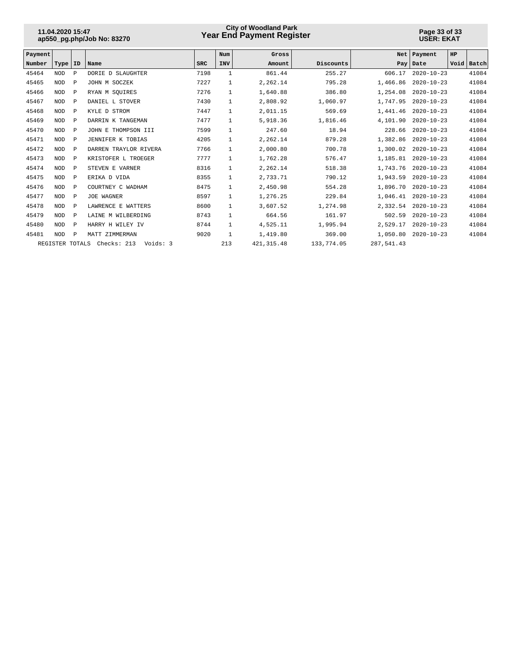## **Year End Payment Register City of Woodland Park 11.04.2020 15:47**

#### **Page 33 of 33 USER: EKAT**

| Payment |                 |              |                         |            | Num          | Gross       |            | <b>Net</b> | Payment          | HP   |       |
|---------|-----------------|--------------|-------------------------|------------|--------------|-------------|------------|------------|------------------|------|-------|
| Number  | Type            | ID           | Name                    | <b>SRC</b> | <b>INV</b>   | Amount      | Discounts  |            | Pay Date         | Void | Batch |
| 45464   | <b>NOD</b>      | $\mathbf{P}$ | DORIE D SLAUGHTER       | 7198       | 1            | 861.44      | 255.27     | 606.17     | $2020 - 10 - 23$ |      | 41084 |
| 45465   | <b>NOD</b>      | $\mathbf{P}$ | JOHN M SOCZEK           | 7227       | 1            | 2,262.14    | 795.28     | 1,466.86   | $2020 - 10 - 23$ |      | 41084 |
| 45466   | <b>NOD</b>      | $\mathbf{P}$ | RYAN M SOUIRES          | 7276       | 1            | 1,640.88    | 386.80     | 1,254.08   | $2020 - 10 - 23$ |      | 41084 |
| 45467   | <b>NOD</b>      | $\mathbb{P}$ | DANIEL L STOVER         | 7430       | 1            | 2,808.92    | 1,060.97   | 1,747.95   | $2020 - 10 - 23$ |      | 41084 |
| 45468   | <b>NOD</b>      | $\mathbb P$  | KYLE D STROM            | 7447       | $\mathbf{1}$ | 2,011.15    | 569.69     | 1,441.46   | $2020 - 10 - 23$ |      | 41084 |
| 45469   | <b>NOD</b>      | $\mathbb{P}$ | DARRIN K TANGEMAN       | 7477       | 1            | 5,918.36    | 1,816.46   | 4,101.90   | $2020 - 10 - 23$ |      | 41084 |
| 45470   | <b>NOD</b>      | $\mathbb{P}$ | JOHN E THOMPSON III     | 7599       | $\mathbf{1}$ | 247.60      | 18.94      | 228.66     | $2020 - 10 - 23$ |      | 41084 |
| 45471   | <b>NOD</b>      | $\mathbf{P}$ | JENNIFER K TOBIAS       | 4205       | 1            | 2,262.14    | 879.28     | 1,382.86   | $2020 - 10 - 23$ |      | 41084 |
| 45472   | <b>NOD</b>      | $\mathbb{P}$ | DARREN TRAYLOR RIVERA   | 7766       | 1            | 2,000.80    | 700.78     | 1,300.02   | $2020 - 10 - 23$ |      | 41084 |
| 45473   | <b>NOD</b>      | $\mathbf P$  | KRISTOFER L TROEGER     | 7777       | 1            | 1,762.28    | 576.47     | 1,185.81   | $2020 - 10 - 23$ |      | 41084 |
| 45474   | <b>NOD</b>      | $\mathbb P$  | STEVEN E VARNER         | 8316       | 1            | 2,262.14    | 518.38     | 1,743.76   | $2020 - 10 - 23$ |      | 41084 |
| 45475   | <b>NOD</b>      | $\mathbb P$  | ERIKA D VIDA            | 8355       | $\mathbf{1}$ | 2,733.71    | 790.12     | 1,943.59   | $2020 - 10 - 23$ |      | 41084 |
| 45476   | <b>NOD</b>      | $\mathbb P$  | COURTNEY C WADHAM       | 8475       | $\mathbf{1}$ | 2,450.98    | 554.28     | 1,896.70   | $2020 - 10 - 23$ |      | 41084 |
| 45477   | <b>NOD</b>      | $\mathbb P$  | JOE WAGNER              | 8597       | $\mathbf{1}$ | 1,276.25    | 229.84     | 1,046.41   | $2020 - 10 - 23$ |      | 41084 |
| 45478   | <b>NOD</b>      | $\mathbb P$  | LAWRENCE E WATTERS      | 8600       |              | 3,607.52    | 1,274.98   | 2,332.54   | $2020 - 10 - 23$ |      | 41084 |
| 45479   | <b>NOD</b>      | $\mathbb{P}$ | LAINE M WILBERDING      | 8743       | $\mathbf{1}$ | 664.56      | 161.97     | 502.59     | $2020 - 10 - 23$ |      | 41084 |
| 45480   | <b>NOD</b>      | $\mathbf{P}$ | HARRY H WILEY IV        | 8744       | $\mathbf{1}$ | 4,525.11    | 1,995.94   | 2,529.17   | $2020 - 10 - 23$ |      | 41084 |
| 45481   | <b>NOD</b>      | $\mathbb P$  | MATT<br>ZIMMERMAN       | 9020       | 1            | 1,419.80    | 369.00     | 1,050.80   | $2020 - 10 - 23$ |      | 41084 |
|         | REGISTER TOTALS |              | Checks: 213<br>Voids: 3 |            | 213          | 421, 315.48 | 133,774.05 | 287,541.43 |                  |      |       |